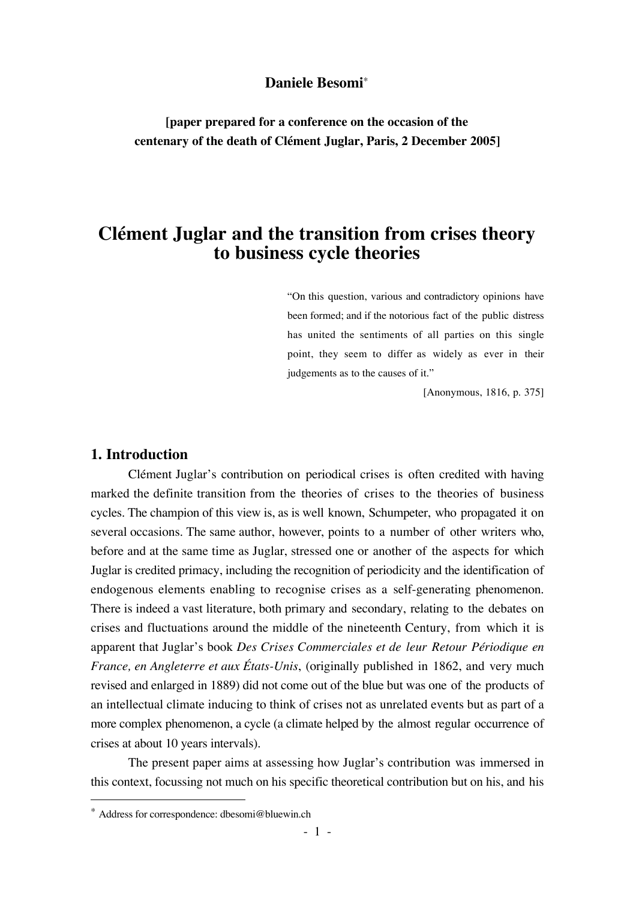## **Daniele Besomi**\*

**[paper prepared for a conference on the occasion of the centenary of the death of Clément Juglar, Paris, 2 December 2005]**

# **Clément Juglar and the transition from crises theory to business cycle theories**

"On this question, various and contradictory opinions have been formed; and if the notorious fact of the public distress has united the sentiments of all parties on this single point, they seem to differ as widely as ever in their judgements as to the causes of it."

[Anonymous, 1816, p. 375]

## **1. Introduction**

Clément Juglar's contribution on periodical crises is often credited with having marked the definite transition from the theories of crises to the theories of business cycles. The champion of this view is, as is well known, Schumpeter, who propagated it on several occasions. The same author, however, points to a number of other writers who, before and at the same time as Juglar, stressed one or another of the aspects for which Juglar is credited primacy, including the recognition of periodicity and the identification of endogenous elements enabling to recognise crises as a self-generating phenomenon. There is indeed a vast literature, both primary and secondary, relating to the debates on crises and fluctuations around the middle of the nineteenth Century, from which it is apparent that Juglar's book *Des Crises Commerciales et de leur Retour Périodique en France, en Angleterre et aux États-Unis*, (originally published in 1862, and very much revised and enlarged in 1889) did not come out of the blue but was one of the products of an intellectual climate inducing to think of crises not as unrelated events but as part of a more complex phenomenon, a cycle (a climate helped by the almost regular occurrence of crises at about 10 years intervals).

The present paper aims at assessing how Juglar's contribution was immersed in this context, focussing not much on his specific theoretical contribution but on his, and his

<sup>\*</sup> Address for correspondence: dbesomi@bluewin.ch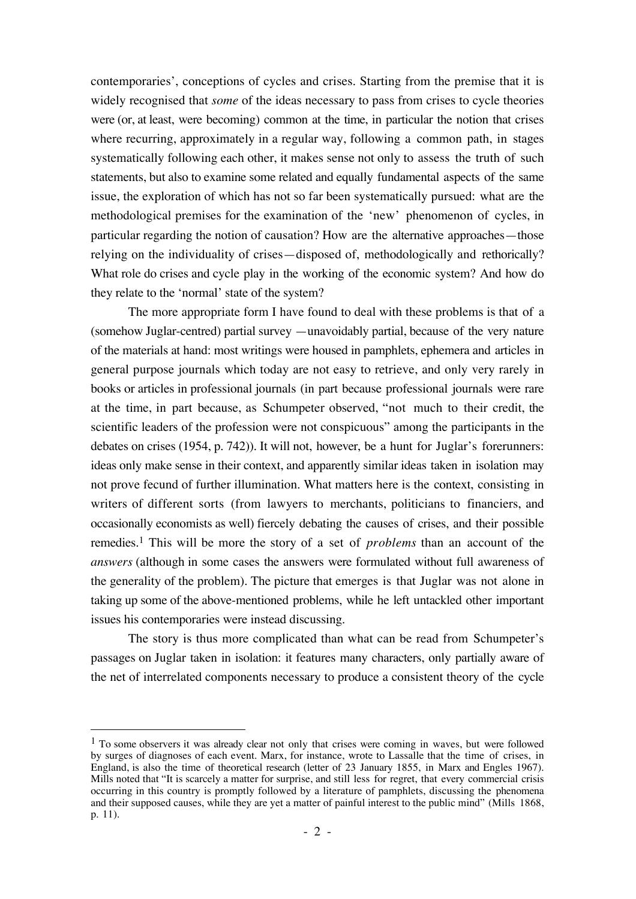contemporaries', conceptions of cycles and crises. Starting from the premise that it is widely recognised that *some* of the ideas necessary to pass from crises to cycle theories were (or, at least, were becoming) common at the time, in particular the notion that crises where recurring, approximately in a regular way, following a common path, in stages systematically following each other, it makes sense not only to assess the truth of such statements, but also to examine some related and equally fundamental aspects of the same issue, the exploration of which has not so far been systematically pursued: what are the methodological premises for the examination of the 'new' phenomenon of cycles, in particular regarding the notion of causation? How are the alternative approaches—those relying on the individuality of crises—disposed of, methodologically and rethorically? What role do crises and cycle play in the working of the economic system? And how do they relate to the 'normal' state of the system?

The more appropriate form I have found to deal with these problems is that of a (somehow Juglar-centred) partial survey —unavoidably partial, because of the very nature of the materials at hand: most writings were housed in pamphlets, ephemera and articles in general purpose journals which today are not easy to retrieve, and only very rarely in books or articles in professional journals (in part because professional journals were rare at the time, in part because, as Schumpeter observed, "not much to their credit, the scientific leaders of the profession were not conspicuous" among the participants in the debates on crises (1954, p. 742)). It will not, however, be a hunt for Juglar's forerunners: ideas only make sense in their context, and apparently similar ideas taken in isolation may not prove fecund of further illumination. What matters here is the context, consisting in writers of different sorts (from lawyers to merchants, politicians to financiers, and occasionally economists as well) fiercely debating the causes of crises, and their possible remedies.1 This will be more the story of a set of *problems* than an account of the *answers* (although in some cases the answers were formulated without full awareness of the generality of the problem). The picture that emerges is that Juglar was not alone in taking up some of the above-mentioned problems, while he left untackled other important issues his contemporaries were instead discussing.

The story is thus more complicated than what can be read from Schumpeter's passages on Juglar taken in isolation: it features many characters, only partially aware of the net of interrelated components necessary to produce a consistent theory of the cycle

<sup>&</sup>lt;sup>1</sup> To some observers it was already clear not only that crises were coming in waves, but were followed by surges of diagnoses of each event. Marx, for instance, wrote to Lassalle that the time of crises, in England, is also the time of theoretical research (letter of 23 January 1855, in Marx and Engles 1967). Mills noted that "It is scarcely a matter for surprise, and still less for regret, that every commercial crisis occurring in this country is promptly followed by a literature of pamphlets, discussing the phenomena and their supposed causes, while they are yet a matter of painful interest to the public mind" (Mills 1868, p. 11).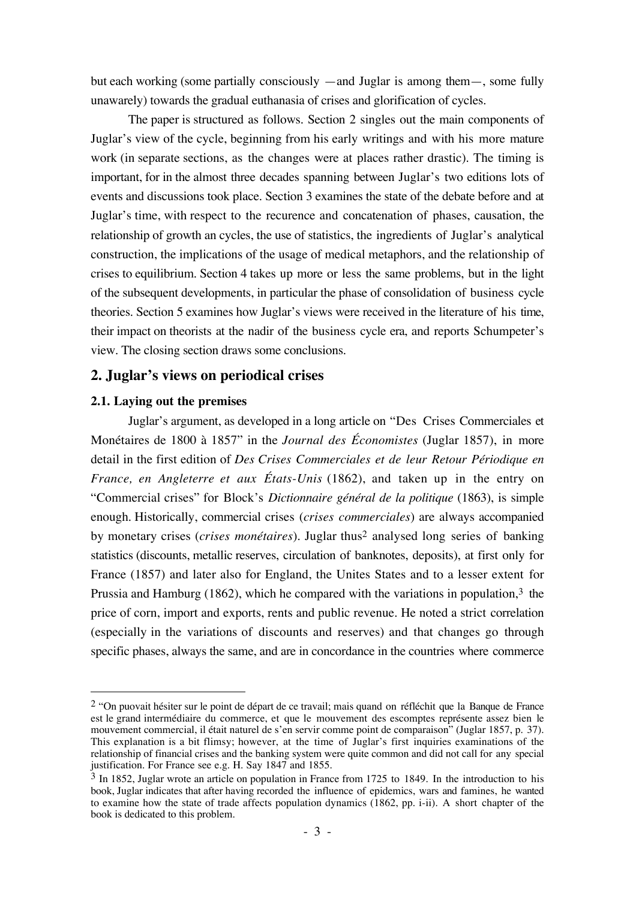but each working (some partially consciously —and Juglar is among them—, some fully unawarely) towards the gradual euthanasia of crises and glorification of cycles.

The paper is structured as follows. Section 2 singles out the main components of Juglar's view of the cycle, beginning from his early writings and with his more mature work (in separate sections, as the changes were at places rather drastic). The timing is important, for in the almost three decades spanning between Juglar's two editions lots of events and discussions took place. Section 3 examines the state of the debate before and at Juglar's time, with respect to the recurence and concatenation of phases, causation, the relationship of growth an cycles, the use of statistics, the ingredients of Juglar's analytical construction, the implications of the usage of medical metaphors, and the relationship of crises to equilibrium. Section 4 takes up more or less the same problems, but in the light of the subsequent developments, in particular the phase of consolidation of business cycle theories. Section 5 examines how Juglar's views were received in the literature of his time, their impact on theorists at the nadir of the business cycle era, and reports Schumpeter's view. The closing section draws some conclusions.

## **2. Juglar's views on periodical crises**

#### **2.1. Laying out the premises**

 $\overline{a}$ 

Juglar's argument, as developed in a long article on "Des Crises Commerciales et Monétaires de 1800 à 1857" in the *Journal des Économistes* (Juglar 1857), in more detail in the first edition of *Des Crises Commerciales et de leur Retour Périodique en France, en Angleterre et aux États-Unis* (1862), and taken up in the entry on "Commercial crises" for Block's *Dictionnaire général de la politique* (1863), is simple enough. Historically, commercial crises (*crises commerciales*) are always accompanied by monetary crises (*crises monétaires*). Juglar thus2 analysed long series of banking statistics (discounts, metallic reserves, circulation of banknotes, deposits), at first only for France (1857) and later also for England, the Unites States and to a lesser extent for Prussia and Hamburg (1862), which he compared with the variations in population,  $3$  the price of corn, import and exports, rents and public revenue. He noted a strict correlation (especially in the variations of discounts and reserves) and that changes go through specific phases, always the same, and are in concordance in the countries where commerce

<sup>&</sup>lt;sup>2</sup> "On puovait hésiter sur le point de départ de ce travail; mais quand on réfléchit que la Banque de France est le grand intermédiaire du commerce, et que le mouvement des escomptes représente assez bien le mouvement commercial, il était naturel de s'en servir comme point de comparaison" (Juglar 1857, p. 37). This explanation is a bit flimsy; however, at the time of Juglar's first inquiries examinations of the relationship of financial crises and the banking system were quite common and did not call for any special justification. For France see e.g. H. Say 1847 and 1855.

<sup>3</sup> In 1852, Juglar wrote an article on population in France from 1725 to 1849. In the introduction to his book, Juglar indicates that after having recorded the influence of epidemics, wars and famines, he wanted to examine how the state of trade affects population dynamics (1862, pp. i-ii). A short chapter of the book is dedicated to this problem.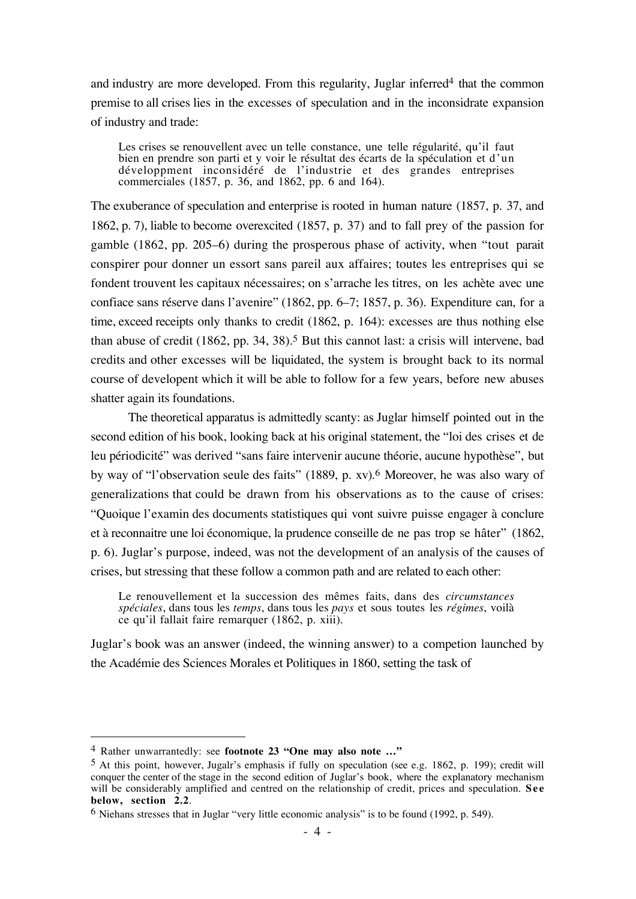and industry are more developed. From this regularity, Juglar inferred<sup>4</sup> that the common premise to all crises lies in the excesses of speculation and in the inconsidrate expansion of industry and trade:

Les crises se renouvellent avec un telle constance, une telle régularité, qu'il faut bien en prendre son parti et y voir le résultat des écarts de la spéculation et d'un développment inconsidéré de l'industrie et des grandes entreprises commerciales (1857, p. 36, and 1862, pp. 6 and 164).

The exuberance of speculation and enterprise is rooted in human nature (1857, p. 37, and 1862, p. 7), liable to become overexcited (1857, p. 37) and to fall prey of the passion for gamble (1862, pp. 205–6) during the prosperous phase of activity, when "tout parait conspirer pour donner un essort sans pareil aux affaires; toutes les entreprises qui se fondent trouvent les capitaux nécessaires; on s'arrache les titres, on les achète avec une confiace sans réserve dans l'avenire" (1862, pp. 6–7; 1857, p. 36). Expenditure can, for a time, exceed receipts only thanks to credit (1862, p. 164): excesses are thus nothing else than abuse of credit  $(1862, pp. 34, 38)$ .<sup>5</sup> But this cannot last: a crisis will intervene, bad credits and other excesses will be liquidated, the system is brought back to its normal course of developent which it will be able to follow for a few years, before new abuses shatter again its foundations.

The theoretical apparatus is admittedly scanty: as Juglar himself pointed out in the second edition of his book, looking back at his original statement, the "loi des crises et de leu périodicité" was derived "sans faire intervenir aucune théorie, aucune hypothèse", but by way of "l'observation seule des faits" (1889, p. xv).6 Moreover, he was also wary of generalizations that could be drawn from his observations as to the cause of crises: "Quoique l'examin des documents statistiques qui vont suivre puisse engager à conclure et à reconnaitre une loi économique, la prudence conseille de ne pas trop se hâter" (1862, p. 6). Juglar's purpose, indeed, was not the development of an analysis of the causes of crises, but stressing that these follow a common path and are related to each other:

Le renouvellement et la succession des mêmes faits, dans des *circumstances spéciales*, dans tous les *temps*, dans tous les *pays* et sous toutes les *régimes*, voilà ce qu'il fallait faire remarquer (1862, p. xiii).

Juglar's book was an answer (indeed, the winning answer) to a competion launched by the Académie des Sciences Morales et Politiques in 1860, setting the task of

<sup>4</sup> Rather unwarrantedly: see **footnote 23 "One may also note …"**

<sup>5</sup> At this point, however, Jugalr's emphasis if fully on speculation (see e.g. 1862, p. 199); credit will conquer the center of the stage in the second edition of Juglar's book, where the explanatory mechanism will be considerably amplified and centred on the relationship of credit, prices and speculation. **See below, section 2.2**.

<sup>6</sup> Niehans stresses that in Juglar "very little economic analysis" is to be found (1992, p. 549).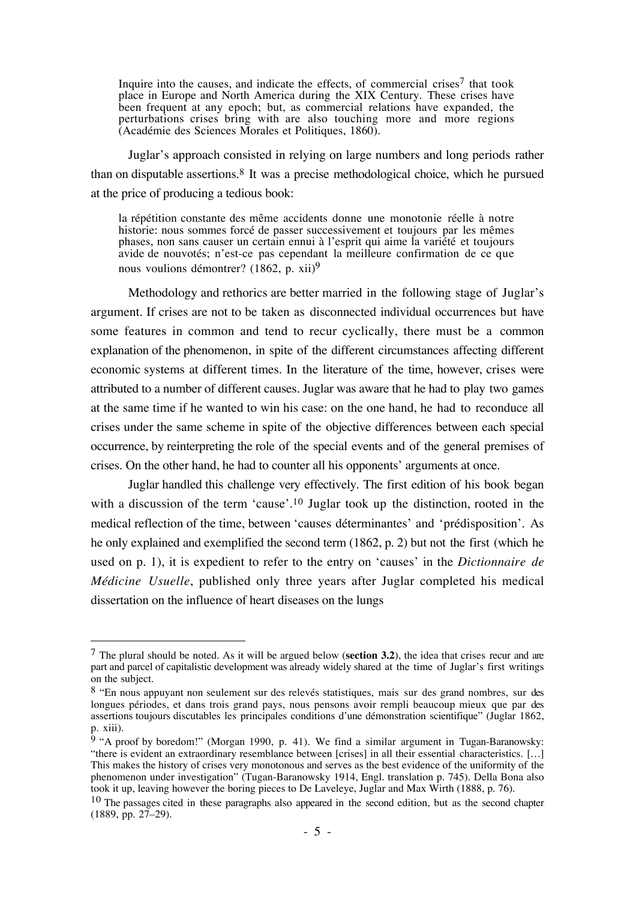Inquire into the causes, and indicate the effects, of commercial crises<sup>7</sup> that took place in Europe and North America during the XIX Century. These crises have been frequent at any epoch; but, as commercial relations have expanded, the perturbations crises bring with are also touching more and more regions (Académie des Sciences Morales et Politiques, 1860).

Juglar's approach consisted in relying on large numbers and long periods rather than on disputable assertions.8 It was a precise methodological choice, which he pursued at the price of producing a tedious book:

la répétition constante des même accidents donne une monotonie réelle à notre historie: nous sommes forcé de passer successivement et toujours par les mêmes phases, non sans causer un certain ennui à l'esprit qui aime la variété et toujours avide de nouvotés; n'est-ce pas cependant la meilleure confirmation de ce que nous voulions démontrer? (1862, p. xii)9

Methodology and rethorics are better married in the following stage of Juglar's argument. If crises are not to be taken as disconnected individual occurrences but have some features in common and tend to recur cyclically, there must be a common explanation of the phenomenon, in spite of the different circumstances affecting different economic systems at different times. In the literature of the time, however, crises were attributed to a number of different causes. Juglar was aware that he had to play two games at the same time if he wanted to win his case: on the one hand, he had to reconduce all crises under the same scheme in spite of the objective differences between each special occurrence, by reinterpreting the role of the special events and of the general premises of crises. On the other hand, he had to counter all his opponents' arguments at once.

Juglar handled this challenge very effectively. The first edition of his book began with a discussion of the term 'cause'.<sup>10</sup> Juglar took up the distinction, rooted in the medical reflection of the time, between 'causes déterminantes' and 'prédisposition'. As he only explained and exemplified the second term (1862, p. 2) but not the first (which he used on p. 1), it is expedient to refer to the entry on 'causes' in the *Dictionnaire de Médicine Usuelle*, published only three years after Juglar completed his medical dissertation on the influence of heart diseases on the lungs

<sup>7</sup> The plural should be noted. As it will be argued below (**section 3.2**), the idea that crises recur and are part and parcel of capitalistic development was already widely shared at the time of Juglar's first writings on the subject.

<sup>&</sup>lt;sup>8</sup> "En nous appuyant non seulement sur des relevés statistiques, mais sur des grand nombres, sur des longues périodes, et dans trois grand pays, nous pensons avoir rempli beaucoup mieux que par des assertions toujours discutables les principales conditions d'une démonstration scientifique" (Juglar 1862, p. xiii).

<sup>9</sup> "A proof by boredom!" (Morgan 1990, p. 41). We find a similar argument in Tugan-Baranowsky: "there is evident an extraordinary resemblance between [crises] in all their essential characteristics. […] This makes the history of crises very monotonous and serves as the best evidence of the uniformity of the phenomenon under investigation" (Tugan-Baranowsky 1914, Engl. translation p. 745). Della Bona also took it up, leaving however the boring pieces to De Laveleye, Juglar and Max Wirth (1888, p. 76).

 $10$  The passages cited in these paragraphs also appeared in the second edition, but as the second chapter (1889, pp. 27–29).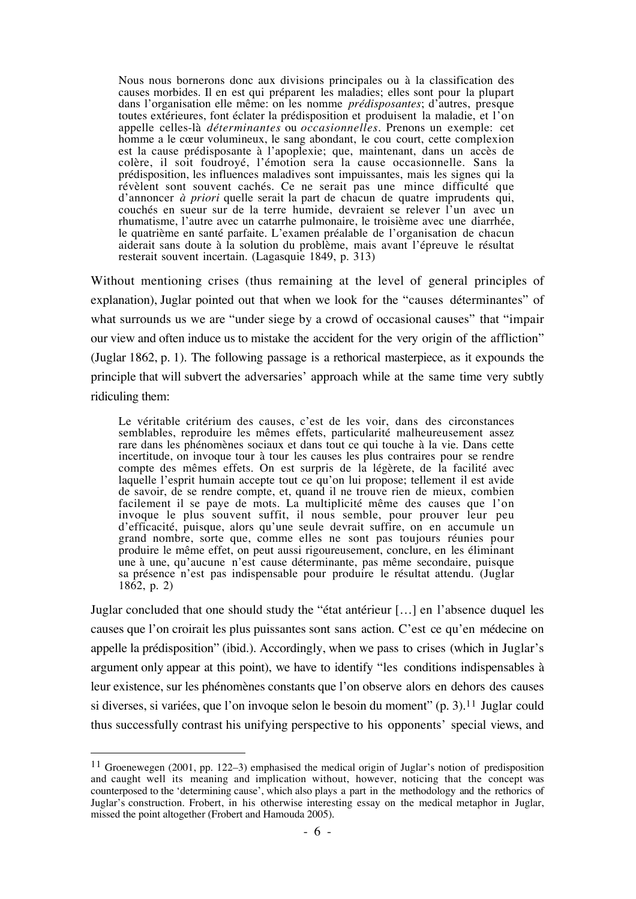Nous nous bornerons donc aux divisions principales ou à la classification des causes morbides. Il en est qui préparent les maladies; elles sont pour la plupart dans l'organisation elle même: on les nomme *prédisposantes*; d'autres, presque toutes extérieures, font éclater la prédisposition et produisent la maladie, et l'on appelle celles-là *déterminantes* ou *occasionnelles*. Prenons un exemple: cet homme a le cœur volumineux, le sang abondant, le cou court, cette complexion est la cause prédisposante à l'apoplexie; que, maintenant, dans un accès de colère, il soit foudroyé, l'émotion sera la cause occasionnelle. Sans la prédisposition, les influences maladives sont impuissantes, mais les signes qui la révèlent sont souvent cachés. Ce ne serait pas une mince difficulté que d'annoncer *à priori* quelle serait la part de chacun de quatre imprudents qui, couchés en sueur sur de la terre humide, devraient se relever l'un avec un rhumatisme, l'autre avec un catarrhe pulmonaire, le troisième avec une diarrhée, le quatrième en santé parfaite. L'examen préalable de l'organisation de chacun aiderait sans doute à la solution du problème, mais avant l'épreuve le résultat resterait souvent incertain. (Lagasquie 1849, p. 313)

Without mentioning crises (thus remaining at the level of general principles of explanation), Juglar pointed out that when we look for the "causes déterminantes" of what surrounds us we are "under siege by a crowd of occasional causes" that "impair our view and often induce us to mistake the accident for the very origin of the affliction" (Juglar 1862, p. 1). The following passage is a rethorical masterpiece, as it expounds the principle that will subvert the adversaries' approach while at the same time very subtly ridiculing them:

Le véritable critérium des causes, c'est de les voir, dans des circonstances semblables, reproduire les mêmes effets, particularité malheureusement assez rare dans les phénomènes sociaux et dans tout ce qui touche à la vie. Dans cette incertitude, on invoque tour à tour les causes les plus contraires pour se rendre compte des mêmes effets. On est surpris de la légèrete, de la facilité avec laquelle l'esprit humain accepte tout ce qu'on lui propose; tellement il est avide de savoir, de se rendre compte, et, quand il ne trouve rien de mieux, combien facilement il se paye de mots. La multiplicité même des causes que l'on invoque le plus souvent suffit, il nous semble, pour prouver leur peu d'efficacité, puisque, alors qu'une seule devrait suffire, on en accumule un grand nombre, sorte que, comme elles ne sont pas toujours réunies pour produire le même effet, on peut aussi rigoureusement, conclure, en les éliminant une à une, qu'aucune n'est cause déterminante, pas même secondaire, puisque sa présence n'est pas indispensable pour produire le résultat attendu. (Juglar 1862, p. 2)

Juglar concluded that one should study the "état antérieur […] en l'absence duquel les causes que l'on croirait les plus puissantes sont sans action. C'est ce qu'en médecine on appelle la prédisposition" (ibid.). Accordingly, when we pass to crises (which in Juglar's argument only appear at this point), we have to identify "les conditions indispensables à leur existence, sur les phénomènes constants que l'on observe alors en dehors des causes si diverses, si variées, que l'on invoque selon le besoin du moment" (p. 3).<sup>11</sup> Juglar could thus successfully contrast his unifying perspective to his opponents' special views, and

<sup>11</sup> Groenewegen (2001, pp. 122–3) emphasised the medical origin of Juglar's notion of predisposition and caught well its meaning and implication without, however, noticing that the concept was counterposed to the 'determining cause', which also plays a part in the methodology and the rethorics of Juglar's construction. Frobert, in his otherwise interesting essay on the medical metaphor in Juglar, missed the point altogether (Frobert and Hamouda 2005).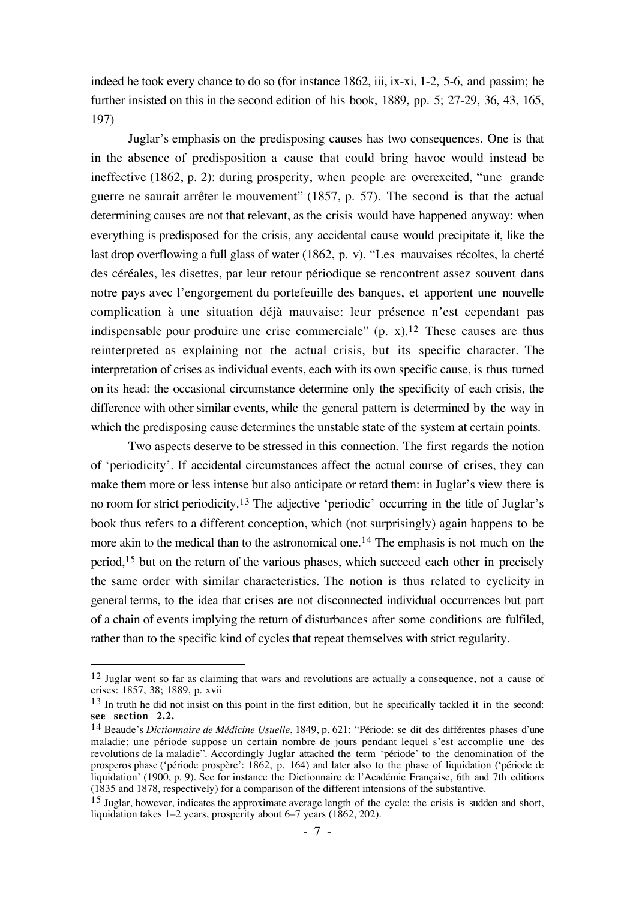indeed he took every chance to do so (for instance 1862, iii, ix-xi, 1-2, 5-6, and passim; he further insisted on this in the second edition of his book, 1889, pp. 5; 27-29, 36, 43, 165, 197)

Juglar's emphasis on the predisposing causes has two consequences. One is that in the absence of predisposition a cause that could bring havoc would instead be ineffective (1862, p. 2): during prosperity, when people are overexcited, "une grande guerre ne saurait arrêter le mouvement" (1857, p. 57). The second is that the actual determining causes are not that relevant, as the crisis would have happened anyway: when everything is predisposed for the crisis, any accidental cause would precipitate it, like the last drop overflowing a full glass of water (1862, p. v). "Les mauvaises récoltes, la cherté des céréales, les disettes, par leur retour périodique se rencontrent assez souvent dans notre pays avec l'engorgement du portefeuille des banques, et apportent une nouvelle complication à une situation déjà mauvaise: leur présence n'est cependant pas indispensable pour produire une crise commerciale"  $(p, x)$ .<sup>12</sup> These causes are thus reinterpreted as explaining not the actual crisis, but its specific character. The interpretation of crises as individual events, each with its own specific cause, is thus turned on its head: the occasional circumstance determine only the specificity of each crisis, the difference with other similar events, while the general pattern is determined by the way in which the predisposing cause determines the unstable state of the system at certain points.

Two aspects deserve to be stressed in this connection. The first regards the notion of 'periodicity'. If accidental circumstances affect the actual course of crises, they can make them more or less intense but also anticipate or retard them: in Juglar's view there is no room for strict periodicity.13 The adjective 'periodic' occurring in the title of Juglar's book thus refers to a different conception, which (not surprisingly) again happens to be more akin to the medical than to the astronomical one.14 The emphasis is not much on the period,15 but on the return of the various phases, which succeed each other in precisely the same order with similar characteristics. The notion is thus related to cyclicity in general terms, to the idea that crises are not disconnected individual occurrences but part of a chain of events implying the return of disturbances after some conditions are fulfiled, rather than to the specific kind of cycles that repeat themselves with strict regularity.

<sup>12</sup> Juglar went so far as claiming that wars and revolutions are actually a consequence, not a cause of crises: 1857, 38; 1889, p. xvii

<sup>&</sup>lt;sup>13</sup> In truth he did not insist on this point in the first edition, but he specifically tackled it in the second: **see section 2.2.**

<sup>14</sup> Beaude's *Dictionnaire de Médicine Usuelle*, 1849, p. 621: "Période: se dit des différentes phases d'une maladie; une période suppose un certain nombre de jours pendant lequel s'est accomplie une des revolutions de la maladie". Accordingly Juglar attached the term 'période' to the denomination of the prosperos phase ('période prospère': 1862, p. 164) and later also to the phase of liquidation ('période de liquidation' (1900, p. 9). See for instance the Dictionnaire de l'Académie Française, 6th and 7th editions (1835 and 1878, respectively) for a comparison of the different intensions of the substantive.

 $15$  Juglar, however, indicates the approximate average length of the cycle: the crisis is sudden and short, liquidation takes 1–2 years, prosperity about 6–7 years (1862, 202).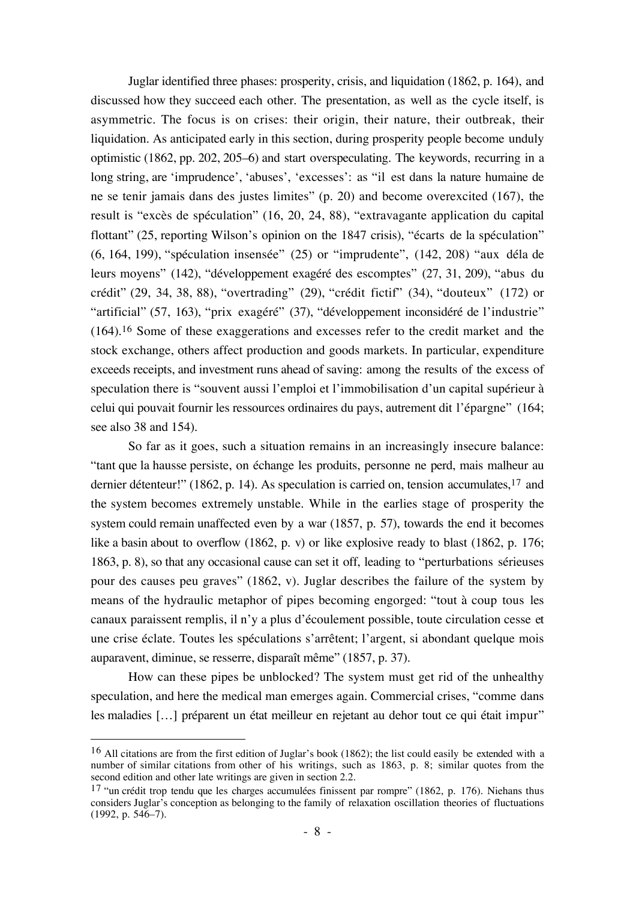Juglar identified three phases: prosperity, crisis, and liquidation (1862, p. 164), and discussed how they succeed each other. The presentation, as well as the cycle itself, is asymmetric. The focus is on crises: their origin, their nature, their outbreak, their liquidation. As anticipated early in this section, during prosperity people become unduly optimistic (1862, pp. 202, 205–6) and start overspeculating. The keywords, recurring in a long string, are 'imprudence', 'abuses', 'excesses': as "il est dans la nature humaine de ne se tenir jamais dans des justes limites" (p. 20) and become overexcited (167), the result is "excès de spéculation" (16, 20, 24, 88), "extravagante application du capital flottant" (25, reporting Wilson's opinion on the 1847 crisis), "écarts de la spéculation" (6, 164, 199), "spéculation insensée" (25) or "imprudente", (142, 208) "aux déla de leurs moyens" (142), "développement exagéré des escomptes" (27, 31, 209), "abus du crédit" (29, 34, 38, 88), "overtrading" (29), "crédit fictif" (34), "douteux" (172) or "artificial" (57, 163), "prix exagéré" (37), "développement inconsidéré de l'industrie" (164).16 Some of these exaggerations and excesses refer to the credit market and the stock exchange, others affect production and goods markets. In particular, expenditure exceeds receipts, and investment runs ahead of saving: among the results of the excess of speculation there is "souvent aussi l'emploi et l'immobilisation d'un capital supérieur à celui qui pouvait fournir les ressources ordinaires du pays, autrement dit l'épargne" (164; see also 38 and 154).

So far as it goes, such a situation remains in an increasingly insecure balance: "tant que la hausse persiste, on échange les produits, personne ne perd, mais malheur au dernier détenteur!" (1862, p. 14). As speculation is carried on, tension accumulates, <sup>17</sup> and the system becomes extremely unstable. While in the earlies stage of prosperity the system could remain unaffected even by a war (1857, p. 57), towards the end it becomes like a basin about to overflow (1862, p. v) or like explosive ready to blast (1862, p. 176; 1863, p. 8), so that any occasional cause can set it off, leading to "perturbations sérieuses pour des causes peu graves" (1862, v). Juglar describes the failure of the system by means of the hydraulic metaphor of pipes becoming engorged: "tout à coup tous les canaux paraissent remplis, il n'y a plus d'écoulement possible, toute circulation cesse et une crise éclate. Toutes les spéculations s'arrêtent; l'argent, si abondant quelque mois auparavent, diminue, se resserre, disparaît même" (1857, p. 37).

How can these pipes be unblocked? The system must get rid of the unhealthy speculation, and here the medical man emerges again. Commercial crises, "comme dans les maladies […] préparent un état meilleur en rejetant au dehor tout ce qui était impur"

<sup>16</sup> All citations are from the first edition of Juglar's book (1862); the list could easily be extended with a number of similar citations from other of his writings, such as 1863, p. 8; similar quotes from the second edition and other late writings are given in section 2.2.

<sup>17 &</sup>quot;un crédit trop tendu que les charges accumulées finissent par rompre" (1862, p. 176). Niehans thus considers Juglar's conception as belonging to the family of relaxation oscillation theories of fluctuations (1992, p. 546–7).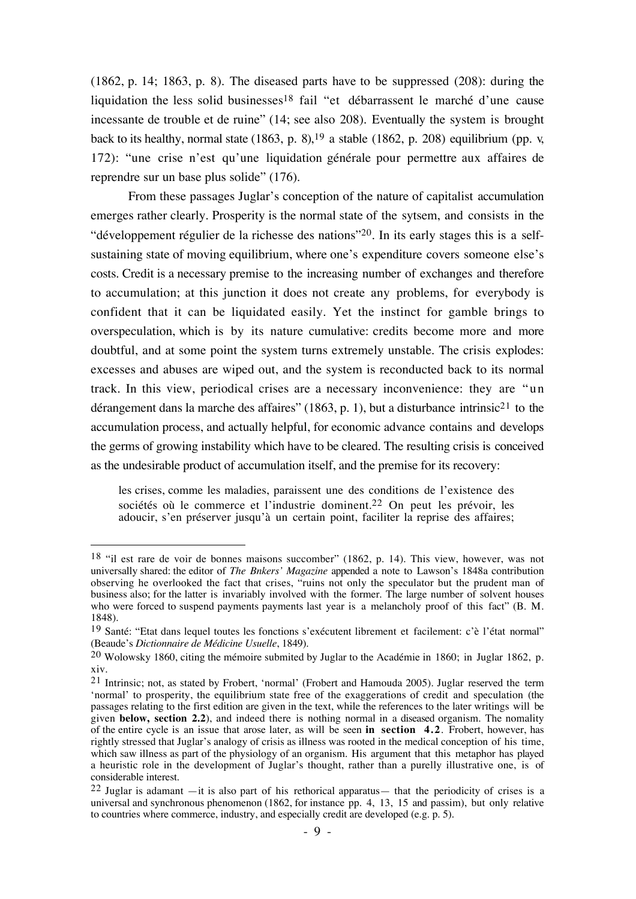(1862, p. 14; 1863, p. 8). The diseased parts have to be suppressed (208): during the liquidation the less solid businesses18 fail "et débarrassent le marché d'une cause incessante de trouble et de ruine" (14; see also 208). Eventually the system is brought back to its healthy, normal state  $(1863, p. 8)$ , <sup>19</sup> a stable  $(1862, p. 208)$  equilibrium (pp. v, 172): "une crise n'est qu'une liquidation générale pour permettre aux affaires de reprendre sur un base plus solide" (176).

From these passages Juglar's conception of the nature of capitalist accumulation emerges rather clearly. Prosperity is the normal state of the sytsem, and consists in the "développement régulier de la richesse des nations"20. In its early stages this is a selfsustaining state of moving equilibrium, where one's expenditure covers someone else's costs. Credit is a necessary premise to the increasing number of exchanges and therefore to accumulation; at this junction it does not create any problems, for everybody is confident that it can be liquidated easily. Yet the instinct for gamble brings to overspeculation, which is by its nature cumulative: credits become more and more doubtful, and at some point the system turns extremely unstable. The crisis explodes: excesses and abuses are wiped out, and the system is reconducted back to its normal track. In this view, periodical crises are a necessary inconvenience: they are "un dérangement dans la marche des affaires" (1863, p. 1), but a disturbance intrinsic<sup>21</sup> to the accumulation process, and actually helpful, for economic advance contains and develops the germs of growing instability which have to be cleared. The resulting crisis is conceived as the undesirable product of accumulation itself, and the premise for its recovery:

les crises, comme les maladies, paraissent une des conditions de l'existence des sociétés où le commerce et l'industrie dominent.<sup>22</sup> On peut les prévoir, les adoucir, s'en préserver jusqu'à un certain point, faciliter la reprise des affaires;

<sup>18</sup> "il est rare de voir de bonnes maisons succomber" (1862, p. 14). This view, however, was not universally shared: the editor of *The Bnkers' Magazine* appended a note to Lawson's 1848a contribution observing he overlooked the fact that crises, "ruins not only the speculator but the prudent man of business also; for the latter is invariably involved with the former. The large number of solvent houses who were forced to suspend payments payments last year is a melancholy proof of this fact" (B. M. 1848).

<sup>19</sup> Santé: "Etat dans lequel toutes les fonctions s'exécutent librement et facilement: c'è l'état normal" (Beaude's *Dictionnaire de Médicine Usuelle*, 1849).

<sup>&</sup>lt;sup>20</sup> Wolowsky 1860, citing the mémoire submited by Juglar to the Académie in 1860; in Juglar 1862, p. xiv.

<sup>21</sup> Intrinsic; not, as stated by Frobert, 'normal' (Frobert and Hamouda 2005). Juglar reserved the term 'normal' to prosperity, the equilibrium state free of the exaggerations of credit and speculation (the passages relating to the first edition are given in the text, while the references to the later writings will be given **below, section 2.2**), and indeed there is nothing normal in a diseased organism. The nomality of the entire cycle is an issue that arose later, as will be seen **in section 4.2**. Frobert, however, has rightly stressed that Juglar's analogy of crisis as illness was rooted in the medical conception of his time, which saw illness as part of the physiology of an organism. His argument that this metaphor has played a heuristic role in the development of Juglar's thought, rather than a purelly illustrative one, is of considerable interest.

<sup>&</sup>lt;sup>22</sup> Juglar is adamant —it is also part of his rethorical apparatus— that the periodicity of crises is a universal and synchronous phenomenon (1862, for instance pp. 4, 13, 15 and passim), but only relative to countries where commerce, industry, and especially credit are developed (e.g. p. 5).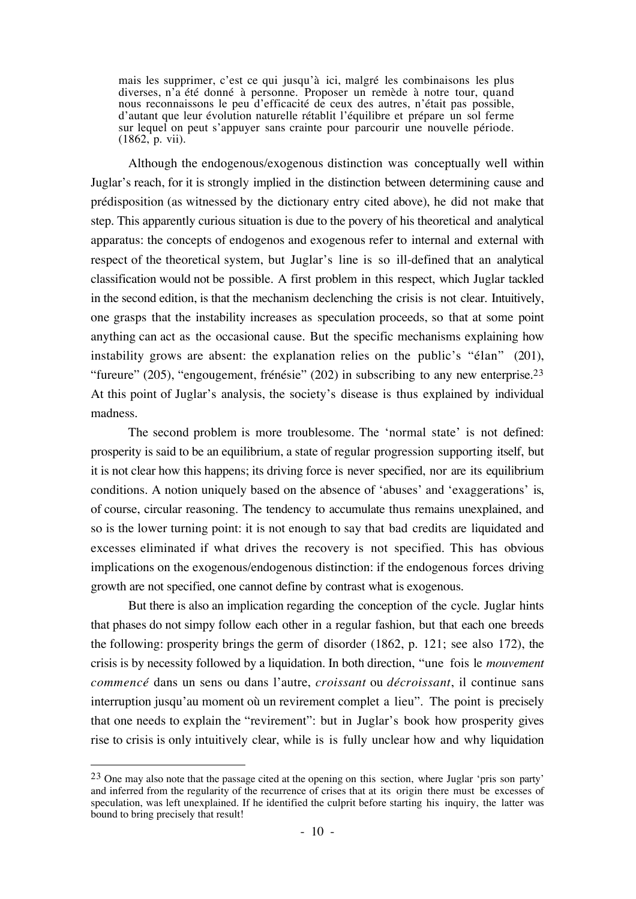mais les supprimer, c'est ce qui jusqu'à ici, malgré les combinaisons les plus diverses, n'a été donné à personne. Proposer un remède à notre tour, quand nous reconnaissons le peu d'efficacité de ceux des autres, n'était pas possible, d'autant que leur évolution naturelle rétablit l'équilibre et prépare un sol ferme sur lequel on peut s'appuyer sans crainte pour parcourir une nouvelle période. (1862, p. vii).

Although the endogenous/exogenous distinction was conceptually well within Juglar's reach, for it is strongly implied in the distinction between determining cause and prédisposition (as witnessed by the dictionary entry cited above), he did not make that step. This apparently curious situation is due to the povery of his theoretical and analytical apparatus: the concepts of endogenos and exogenous refer to internal and external with respect of the theoretical system, but Juglar's line is so ill-defined that an analytical classification would not be possible. A first problem in this respect, which Juglar tackled in the second edition, is that the mechanism declenching the crisis is not clear. Intuitively, one grasps that the instability increases as speculation proceeds, so that at some point anything can act as the occasional cause. But the specific mechanisms explaining how instability grows are absent: the explanation relies on the public's "élan" (201), "fureure" (205), "engougement, frénésie" (202) in subscribing to any new enterprise.<sup>23</sup> At this point of Juglar's analysis, the society's disease is thus explained by individual madness.

The second problem is more troublesome. The 'normal state' is not defined: prosperity is said to be an equilibrium, a state of regular progression supporting itself, but it is not clear how this happens; its driving force is never specified, nor are its equilibrium conditions. A notion uniquely based on the absence of 'abuses' and 'exaggerations' is, of course, circular reasoning. The tendency to accumulate thus remains unexplained, and so is the lower turning point: it is not enough to say that bad credits are liquidated and excesses eliminated if what drives the recovery is not specified. This has obvious implications on the exogenous/endogenous distinction: if the endogenous forces driving growth are not specified, one cannot define by contrast what is exogenous.

But there is also an implication regarding the conception of the cycle. Juglar hints that phases do not simpy follow each other in a regular fashion, but that each one breeds the following: prosperity brings the germ of disorder (1862, p. 121; see also 172), the crisis is by necessity followed by a liquidation. In both direction, "une fois le *mouvement commencé* dans un sens ou dans l'autre, *croissant* ou *décroissant*, il continue sans interruption jusqu'au moment où un revirement complet a lieu". The point is precisely that one needs to explain the "revirement": but in Juglar's book how prosperity gives rise to crisis is only intuitively clear, while is is fully unclear how and why liquidation

<sup>23</sup> One may also note that the passage cited at the opening on this section, where Juglar 'pris son party' and inferred from the regularity of the recurrence of crises that at its origin there must be excesses of speculation, was left unexplained. If he identified the culprit before starting his inquiry, the latter was bound to bring precisely that result!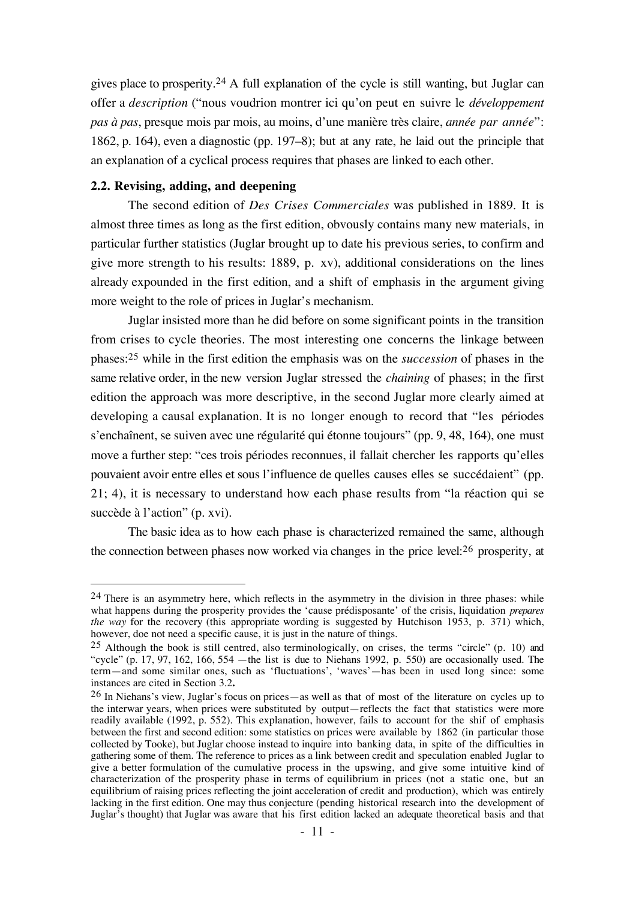gives place to prosperity.24 A full explanation of the cycle is still wanting, but Juglar can offer a *description* ("nous voudrion montrer ici qu'on peut en suivre le *développement pas à pas*, presque mois par mois, au moins, d'une manière très claire, *année par année*": 1862, p. 164), even a diagnostic (pp. 197–8); but at any rate, he laid out the principle that an explanation of a cyclical process requires that phases are linked to each other.

## **2.2. Revising, adding, and deepening**

 $\overline{a}$ 

The second edition of *Des Crises Commerciales* was published in 1889. It is almost three times as long as the first edition, obvously contains many new materials, in particular further statistics (Juglar brought up to date his previous series, to confirm and give more strength to his results: 1889, p. xv), additional considerations on the lines already expounded in the first edition, and a shift of emphasis in the argument giving more weight to the role of prices in Juglar's mechanism.

Juglar insisted more than he did before on some significant points in the transition from crises to cycle theories. The most interesting one concerns the linkage between phases:25 while in the first edition the emphasis was on the *succession* of phases in the same relative order, in the new version Juglar stressed the *chaining* of phases; in the first edition the approach was more descriptive, in the second Juglar more clearly aimed at developing a causal explanation. It is no longer enough to record that "les périodes s'enchaînent, se suiven avec une régularité qui étonne toujours" (pp. 9, 48, 164), one must move a further step: "ces trois périodes reconnues, il fallait chercher les rapports qu'elles pouvaient avoir entre elles et sous l'influence de quelles causes elles se succédaient" (pp. 21; 4), it is necessary to understand how each phase results from "la réaction qui se succède à l'action" (p. xvi).

The basic idea as to how each phase is characterized remained the same, although the connection between phases now worked via changes in the price level:26 prosperity, at

<sup>24</sup> There is an asymmetry here, which reflects in the asymmetry in the division in three phases: while what happens during the prosperity provides the 'cause prédisposante' of the crisis, liquidation *prepares the way* for the recovery (this appropriate wording is suggested by Hutchison 1953, p. 371) which, however, doe not need a specific cause, it is just in the nature of things.

 $25$  Although the book is still centred, also terminologically, on crises, the terms "circle" (p. 10) and "cycle" (p. 17, 97, 162, 166, 554 —the list is due to Niehans 1992, p. 550) are occasionally used. The term—and some similar ones, such as 'fluctuations', 'waves'—has been in used long since: some instances are cited in Section 3.2**.**

<sup>26</sup> In Niehans's view, Juglar's focus on prices—as well as that of most of the literature on cycles up to the interwar years, when prices were substituted by output—reflects the fact that statistics were more readily available (1992, p. 552). This explanation, however, fails to account for the shif of emphasis between the first and second edition: some statistics on prices were available by 1862 (in particular those collected by Tooke), but Juglar choose instead to inquire into banking data, in spite of the difficulties in gathering some of them. The reference to prices as a link between credit and speculation enabled Juglar to give a better formulation of the cumulative process in the upswing, and give some intuitive kind of characterization of the prosperity phase in terms of equilibrium in prices (not a static one, but an equilibrium of raising prices reflecting the joint acceleration of credit and production), which was entirely lacking in the first edition. One may thus conjecture (pending historical research into the development of Juglar's thought) that Juglar was aware that his first edition lacked an adequate theoretical basis and that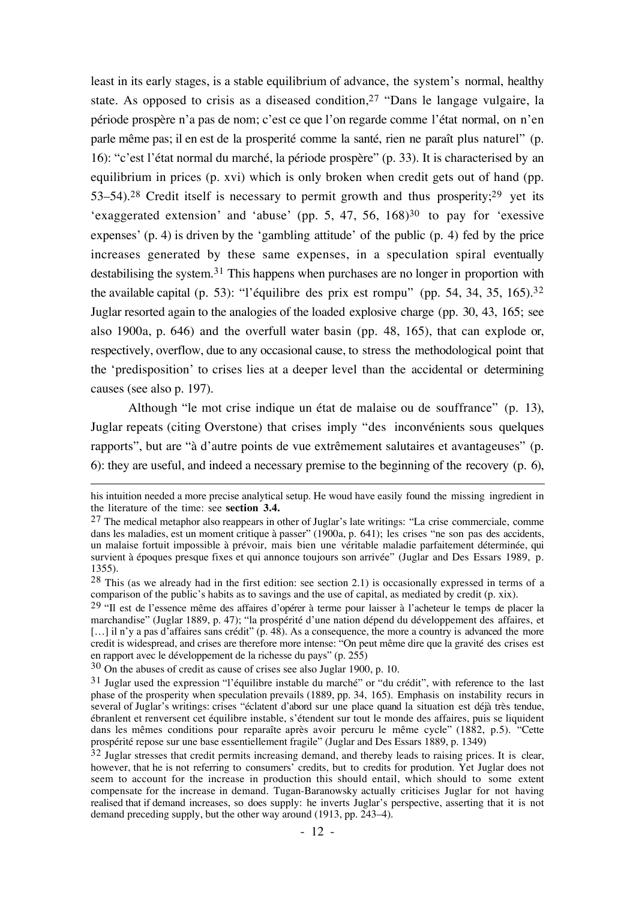least in its early stages, is a stable equilibrium of advance, the system's normal, healthy state. As opposed to crisis as a diseased condition,  $27$  "Dans le langage vulgaire, la période prospère n'a pas de nom; c'est ce que l'on regarde comme l'état normal, on n'en parle même pas; il en est de la prosperité comme la santé, rien ne paraît plus naturel" (p. 16): "c'est l'état normal du marché, la période prospère" (p. 33). It is characterised by an equilibrium in prices (p. xvi) which is only broken when credit gets out of hand (pp. 53–54).<sup>28</sup> Credit itself is necessary to permit growth and thus prosperity;<sup>29</sup> yet its 'exaggerated extension' and 'abuse' (pp. 5, 47, 56, 168)30 to pay for 'exessive expenses' (p. 4) is driven by the 'gambling attitude' of the public (p. 4) fed by the price increases generated by these same expenses, in a speculation spiral eventually destabilising the system.<sup>31</sup> This happens when purchases are no longer in proportion with the available capital (p. 53): "l'équilibre des prix est rompu" (pp. 54, 34, 35, 165).<sup>32</sup> Juglar resorted again to the analogies of the loaded explosive charge (pp. 30, 43, 165; see also 1900a, p. 646) and the overfull water basin (pp. 48, 165), that can explode or, respectively, overflow, due to any occasional cause, to stress the methodological point that the 'predisposition' to crises lies at a deeper level than the accidental or determining causes (see also p. 197).

Although "le mot crise indique un état de malaise ou de souffrance" (p. 13), Juglar repeats (citing Overstone) that crises imply "des inconvénients sous quelques rapports", but are "à d'autre points de vue extrêmement salutaires et avantageuses" (p. 6): they are useful, and indeed a necessary premise to the beginning of the recovery (p. 6),

 $30$  On the abuses of credit as cause of crises see also Juglar 1900, p. 10.

his intuition needed a more precise analytical setup. He woud have easily found the missing ingredient in the literature of the time: see **section 3.4.**

<sup>27</sup> The medical metaphor also reappears in other of Juglar's late writings: "La crise commerciale, comme dans les maladies, est un moment critique à passer" (1900a, p. 641); les crises "ne son pas des accidents, un malaise fortuit impossible à prévoir, mais bien une véritable maladie parfaitement déterminée, qui survient à époques presque fixes et qui annonce toujours son arrivée" (Juglar and Des Essars 1989, p. 1355).

 $28$  This (as we already had in the first edition: see section 2.1) is occasionally expressed in terms of a comparison of the public's habits as to savings and the use of capital, as mediated by credit (p. xix).

<sup>29</sup> "Il est de l'essence même des affaires d'opérer à terme pour laisser à l'acheteur le temps de placer la marchandise" (Juglar 1889, p. 47); "la prospérité d'une nation dépend du développement des affaires, et [...] il n'y a pas d'affaires sans crédit" (p. 48). As a consequence, the more a country is advanced the more credit is widespread, and crises are therefore more intense: "On peut même dire que la gravité des crises est en rapport avec le développement de la richesse du pays" (p. 255)

<sup>31</sup> Juglar used the expression "l'équilibre instable du marché" or "du crédit", with reference to the last phase of the prosperity when speculation prevails (1889, pp. 34, 165). Emphasis on instability recurs in several of Juglar's writings: crises "éclatent d'abord sur une place quand la situation est déjà très tendue, ébranlent et renversent cet équilibre instable, s'étendent sur tout le monde des affaires, puis se liquident dans les mêmes conditions pour reparaîte après avoir percuru le même cycle" (1882, p.5). "Cette prospérité repose sur une base essentiellement fragile" (Juglar and Des Essars 1889, p. 1349)

 $32$  Juglar stresses that credit permits increasing demand, and thereby leads to raising prices. It is clear, however, that he is not referring to consumers' credits, but to credits for prodution. Yet Juglar does not seem to account for the increase in production this should entail, which should to some extent compensate for the increase in demand. Tugan-Baranowsky actually criticises Juglar for not having realised that if demand increases, so does supply: he inverts Juglar's perspective, asserting that it is not demand preceding supply, but the other way around (1913, pp. 243–4).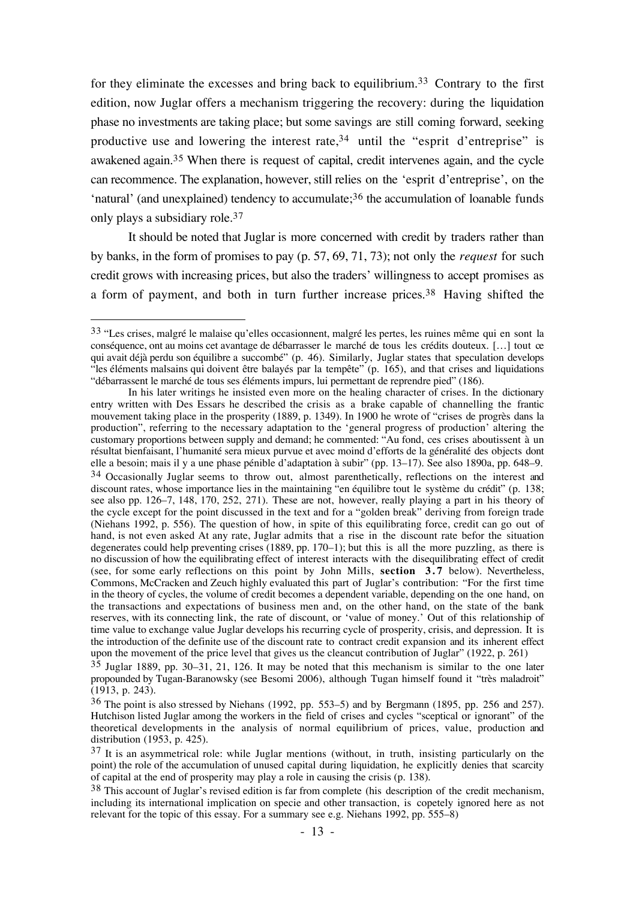for they eliminate the excesses and bring back to equilibrium.<sup>33</sup> Contrary to the first edition, now Juglar offers a mechanism triggering the recovery: during the liquidation phase no investments are taking place; but some savings are still coming forward, seeking productive use and lowering the interest rate,  $34$  until the "esprit d'entreprise" is awakened again.<sup>35</sup> When there is request of capital, credit intervenes again, and the cycle can recommence. The explanation, however, still relies on the 'esprit d'entreprise', on the 'natural' (and unexplained) tendency to accumulate;36 the accumulation of loanable funds only plays a subsidiary role.37

It should be noted that Juglar is more concerned with credit by traders rather than by banks, in the form of promises to pay (p. 57, 69, 71, 73); not only the *request* for such credit grows with increasing prices, but also the traders' willingness to accept promises as a form of payment, and both in turn further increase prices.<sup>38</sup> Having shifted the

<sup>33 &</sup>quot;Les crises, malgré le malaise qu'elles occasionnent, malgré les pertes, les ruines même qui en sont la conséquence, ont au moins cet avantage de débarrasser le marché de tous les crédits douteux. […] tout ce qui avait déjà perdu son équilibre a succombé" (p. 46). Similarly, Juglar states that speculation develops "les éléments malsains qui doivent être balayés par la tempête" (p. 165), and that crises and liquidations "débarrassent le marché de tous ses éléments impurs, lui permettant de reprendre pied" (186).

In his later writings he insisted even more on the healing character of crises. In the dictionary entry written with Des Essars he described the crisis as a brake capable of channelling the frantic mouvement taking place in the prosperity (1889, p. 1349). In 1900 he wrote of "crises de progrès dans la production", referring to the necessary adaptation to the 'general progress of production' altering the customary proportions between supply and demand; he commented: "Au fond, ces crises aboutissent à un résultat bienfaisant, l'humanité sera mieux purvue et avec moind d'efforts de la généralité des objects dont elle a besoin; mais il y a une phase pénible d'adaptation à subir" (pp. 13–17). See also 1890a, pp. 648–9. <sup>34</sup> Occasionally Juglar seems to throw out, almost parenthetically, reflections on the interest and discount rates, whose importance lies in the maintaining "en équilibre tout le système du crédit" (p. 138; see also pp. 126–7, 148, 170, 252, 271). These are not, however, really playing a part in his theory of the cycle except for the point discussed in the text and for a "golden break" deriving from foreign trade (Niehans 1992, p. 556). The question of how, in spite of this equilibrating force, credit can go out of hand, is not even asked At any rate, Juglar admits that a rise in the discount rate befor the situation degenerates could help preventing crises (1889, pp. 170–1); but this is all the more puzzling, as there is no discussion of how the equilibrating effect of interest interacts with the disequilibrating effect of credit (see, for some early reflections on this point by John Mills, **section 3.7** below). Nevertheless, Commons, McCracken and Zeuch highly evaluated this part of Juglar's contribution: "For the first time in the theory of cycles, the volume of credit becomes a dependent variable, depending on the one hand, on the transactions and expectations of business men and, on the other hand, on the state of the bank reserves, with its connecting link, the rate of discount, or 'value of money.' Out of this relationship of time value to exchange value Juglar develops his recurring cycle of prosperity, crisis, and depression. It is the introduction of the definite use of the discount rate to contract credit expansion and its inherent effect upon the movement of the price level that gives us the cleancut contribution of Juglar" (1922, p. 261)

<sup>35</sup> Juglar 1889, pp. 30–31, 21, 126. It may be noted that this mechanism is similar to the one later propounded by Tugan-Baranowsky (see Besomi 2006), although Tugan himself found it "très maladroit" (1913, p. 243).

<sup>36</sup> The point is also stressed by Niehans (1992, pp. 553–5) and by Bergmann (1895, pp. 256 and 257). Hutchison listed Juglar among the workers in the field of crises and cycles "sceptical or ignorant" of the theoretical developments in the analysis of normal equilibrium of prices, value, production and distribution (1953, p. 425).

 $37$  It is an asymmetrical role: while Juglar mentions (without, in truth, insisting particularly on the point) the role of the accumulation of unused capital during liquidation, he explicitly denies that scarcity of capital at the end of prosperity may play a role in causing the crisis (p. 138).

<sup>&</sup>lt;sup>38</sup> This account of Juglar's revised edition is far from complete (his description of the credit mechanism, including its international implication on specie and other transaction, is copetely ignored here as not relevant for the topic of this essay. For a summary see e.g. Niehans 1992, pp. 555–8)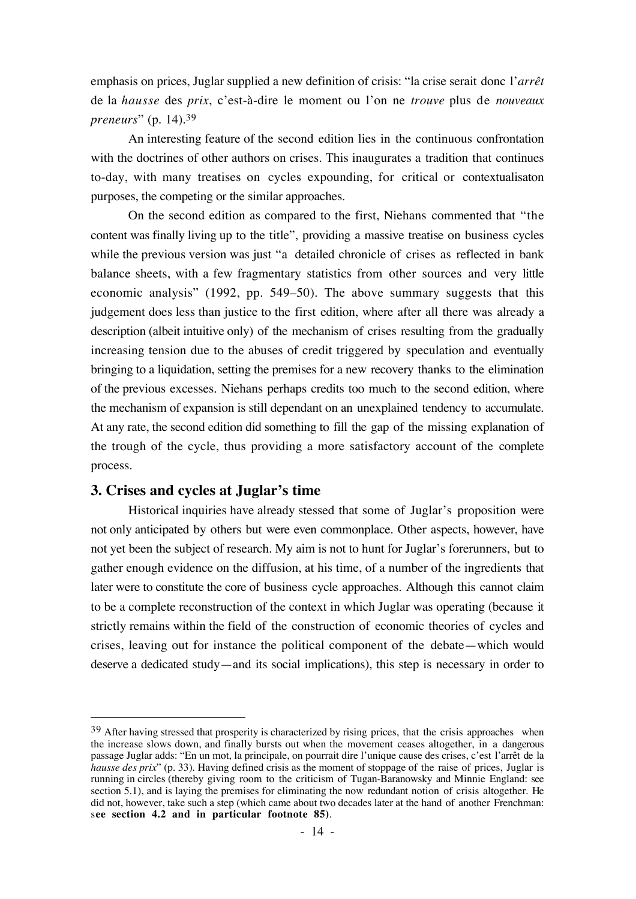emphasis on prices, Juglar supplied a new definition of crisis: "la crise serait donc l'*arrêt* de la *hausse* des *prix*, c'est-à-dire le moment ou l'on ne *trouve* plus de *nouveaux preneurs*" (p. 14).39

An interesting feature of the second edition lies in the continuous confrontation with the doctrines of other authors on crises. This inaugurates a tradition that continues to-day, with many treatises on cycles expounding, for critical or contextualisaton purposes, the competing or the similar approaches.

On the second edition as compared to the first, Niehans commented that "the content was finally living up to the title", providing a massive treatise on business cycles while the previous version was just "a detailed chronicle of crises as reflected in bank balance sheets, with a few fragmentary statistics from other sources and very little economic analysis" (1992, pp. 549–50). The above summary suggests that this judgement does less than justice to the first edition, where after all there was already a description (albeit intuitive only) of the mechanism of crises resulting from the gradually increasing tension due to the abuses of credit triggered by speculation and eventually bringing to a liquidation, setting the premises for a new recovery thanks to the elimination of the previous excesses. Niehans perhaps credits too much to the second edition, where the mechanism of expansion is still dependant on an unexplained tendency to accumulate. At any rate, the second edition did something to fill the gap of the missing explanation of the trough of the cycle, thus providing a more satisfactory account of the complete process.

## **3. Crises and cycles at Juglar's time**

 $\overline{a}$ 

Historical inquiries have already stessed that some of Juglar's proposition were not only anticipated by others but were even commonplace. Other aspects, however, have not yet been the subject of research. My aim is not to hunt for Juglar's forerunners, but to gather enough evidence on the diffusion, at his time, of a number of the ingredients that later were to constitute the core of business cycle approaches. Although this cannot claim to be a complete reconstruction of the context in which Juglar was operating (because it strictly remains within the field of the construction of economic theories of cycles and crises, leaving out for instance the political component of the debate—which would deserve a dedicated study—and its social implications), this step is necessary in order to

<sup>&</sup>lt;sup>39</sup> After having stressed that prosperity is characterized by rising prices, that the crisis approaches when the increase slows down, and finally bursts out when the movement ceases altogether, in a dangerous passage Juglar adds: "En un mot, la principale, on pourrait dire l'unique cause des crises, c'est l'arrêt de la *hausse des prix*" (p. 33). Having defined crisis as the moment of stoppage of the raise of prices, Juglar is running in circles (thereby giving room to the criticism of Tugan-Baranowsky and Minnie England: see section 5.1), and is laying the premises for eliminating the now redundant notion of crisis altogether. He did not, however, take such a step (which came about two decades later at the hand of another Frenchman: s**ee section 4.2 and in particular footnote 85)**.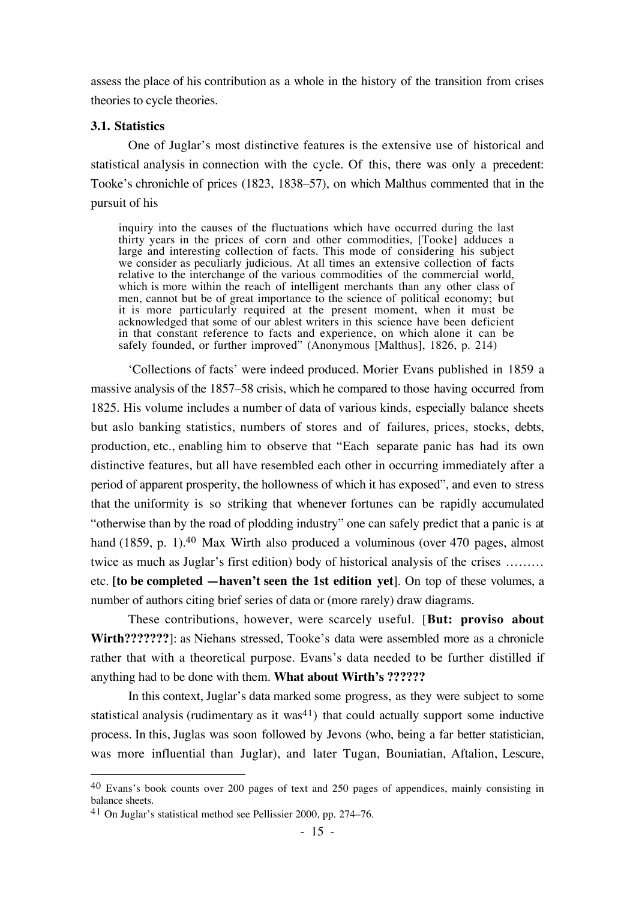assess the place of his contribution as a whole in the history of the transition from crises theories to cycle theories.

#### **3.1. Statistics**

One of Juglar's most distinctive features is the extensive use of historical and statistical analysis in connection with the cycle. Of this, there was only a precedent: Tooke's chronichle of prices (1823, 1838–57), on which Malthus commented that in the pursuit of his

inquiry into the causes of the fluctuations which have occurred during the last thirty years in the prices of corn and other commodities, [Tooke] adduces a large and interesting collection of facts. This mode of considering his subject we consider as peculiarly judicious. At all times an extensive collection of facts relative to the interchange of the various commodities of the commercial world, which is more within the reach of intelligent merchants than any other class of men, cannot but be of great importance to the science of political economy; but it is more particularly required at the present moment, when it must be acknowledged that some of our ablest writers in this science have been deficient in that constant reference to facts and experience, on which alone it can be safely founded, or further improved" (Anonymous [Malthus], 1826, p. 214)

'Collections of facts' were indeed produced. Morier Evans published in 1859 a massive analysis of the 1857–58 crisis, which he compared to those having occurred from 1825. His volume includes a number of data of various kinds, especially balance sheets but aslo banking statistics, numbers of stores and of failures, prices, stocks, debts, production, etc., enabling him to observe that "Each separate panic has had its own distinctive features, but all have resembled each other in occurring immediately after a period of apparent prosperity, the hollowness of which it has exposed", and even to stress that the uniformity is so striking that whenever fortunes can be rapidly accumulated "otherwise than by the road of plodding industry" one can safely predict that a panic is at hand (1859, p. 1).<sup>40</sup> Max Wirth also produced a voluminous (over 470 pages, almost twice as much as Juglar's first edition) body of historical analysis of the crises ……… etc. **[to be completed —haven't seen the 1st edition yet**]. On top of these volumes, a number of authors citing brief series of data or (more rarely) draw diagrams.

These contributions, however, were scarcely useful. [**But: proviso about Wirth???????**]: as Niehans stressed, Tooke's data were assembled more as a chronicle rather that with a theoretical purpose. Evans's data needed to be further distilled if anything had to be done with them. **What about Wirth's ??????**

In this context, Juglar's data marked some progress, as they were subject to some statistical analysis (rudimentary as it was<sup>41</sup>) that could actually support some inductive process. In this, Juglas was soon followed by Jevons (who, being a far better statistician, was more influential than Juglar), and later Tugan, Bouniatian, Aftalion, Lescure,

<sup>40</sup> Evans's book counts over 200 pages of text and 250 pages of appendices, mainly consisting in balance sheets.

<sup>41</sup> On Juglar's statistical method see Pellissier 2000, pp. 274–76.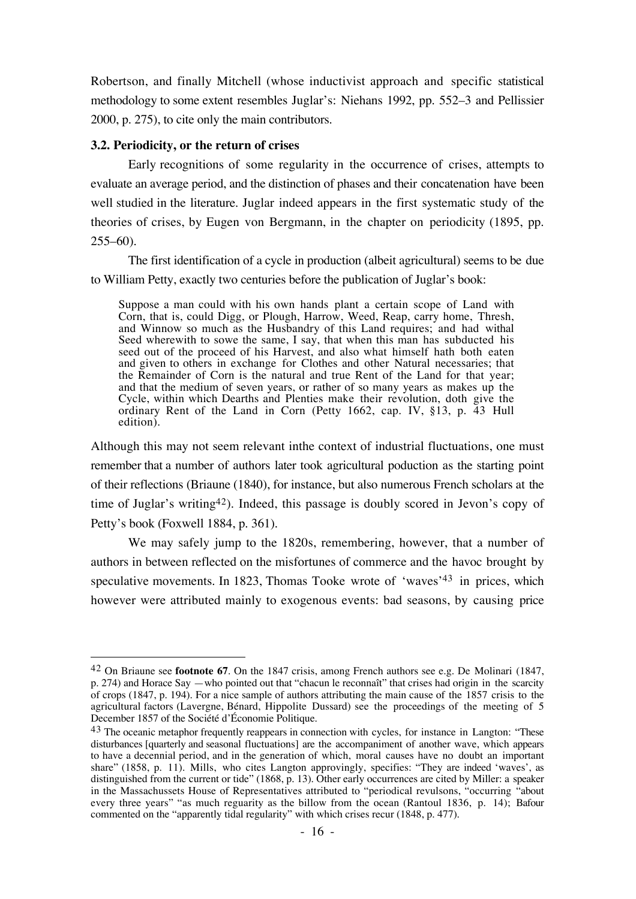Robertson, and finally Mitchell (whose inductivist approach and specific statistical methodology to some extent resembles Juglar's: Niehans 1992, pp. 552–3 and Pellissier 2000, p. 275), to cite only the main contributors.

#### **3.2. Periodicity, or the return of crises**

 $\overline{a}$ 

Early recognitions of some regularity in the occurrence of crises, attempts to evaluate an average period, and the distinction of phases and their concatenation have been well studied in the literature. Juglar indeed appears in the first systematic study of the theories of crises, by Eugen von Bergmann, in the chapter on periodicity (1895, pp.  $255 - 60$ ).

The first identification of a cycle in production (albeit agricultural) seems to be due to William Petty, exactly two centuries before the publication of Juglar's book:

Suppose a man could with his own hands plant a certain scope of Land with Corn, that is, could Digg, or Plough, Harrow, Weed, Reap, carry home, Thresh, and Winnow so much as the Husbandry of this Land requires; and had withal Seed wherewith to sowe the same, I say, that when this man has subducted his seed out of the proceed of his Harvest, and also what himself hath both eaten and given to others in exchange for Clothes and other Natural necessaries; that the Remainder of Corn is the natural and true Rent of the Land for that year; and that the medium of seven years, or rather of so many years as makes up the Cycle, within which Dearths and Plenties make their revolution, doth give the ordinary Rent of the Land in Corn (Petty 1662, cap. IV, §13, p. 43 Hull edition).

Although this may not seem relevant inthe context of industrial fluctuations, one must remember that a number of authors later took agricultural poduction as the starting point of their reflections (Briaune (1840), for instance, but also numerous French scholars at the time of Juglar's writing42). Indeed, this passage is doubly scored in Jevon's copy of Petty's book (Foxwell 1884, p. 361).

We may safely jump to the 1820s, remembering, however, that a number of authors in between reflected on the misfortunes of commerce and the havoc brought by speculative movements. In 1823, Thomas Tooke wrote of 'waves'<sup>43</sup> in prices, which however were attributed mainly to exogenous events: bad seasons, by causing price

<sup>42</sup> On Briaune see **footnote 67**. On the 1847 crisis, among French authors see e.g. De Molinari (1847, p. 274) and Horace Say —who pointed out that "chacun le reconnaît" that crises had origin in the scarcity of crops (1847, p. 194). For a nice sample of authors attributing the main cause of the 1857 crisis to the agricultural factors (Lavergne, Bénard, Hippolite Dussard) see the proceedings of the meeting of 5 December 1857 of the Société d'Économie Politique.

<sup>&</sup>lt;sup>43</sup> The oceanic metaphor frequently reappears in connection with cycles, for instance in Langton: "These disturbances [quarterly and seasonal fluctuations] are the accompaniment of another wave, which appears to have a decennial period, and in the generation of which, moral causes have no doubt an important share" (1858, p. 11). Mills, who cites Langton approvingly, specifies: "They are indeed 'waves', as distinguished from the current or tide" (1868, p. 13). Other early occurrences are cited by Miller: a speaker in the Massachussets House of Representatives attributed to "periodical revulsons, "occurring "about every three years" "as much reguarity as the billow from the ocean (Rantoul 1836, p. 14); Bafour commented on the "apparently tidal regularity" with which crises recur (1848, p. 477).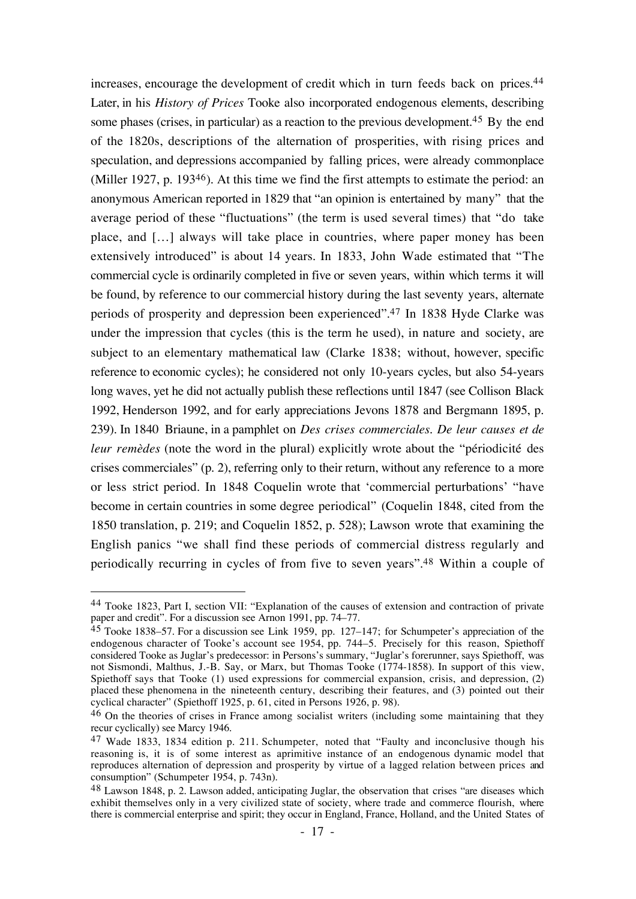increases, encourage the development of credit which in turn feeds back on prices.44 Later, in his *History of Prices* Tooke also incorporated endogenous elements, describing some phases (crises, in particular) as a reaction to the previous development.45 By the end of the 1820s, descriptions of the alternation of prosperities, with rising prices and speculation, and depressions accompanied by falling prices, were already commonplace (Miller 1927, p. 19346). At this time we find the first attempts to estimate the period: an anonymous American reported in 1829 that "an opinion is entertained by many" that the average period of these "fluctuations" (the term is used several times) that "do take place, and […] always will take place in countries, where paper money has been extensively introduced" is about 14 years. In 1833, John Wade estimated that "The commercial cycle is ordinarily completed in five or seven years, within which terms it will be found, by reference to our commercial history during the last seventy years, alternate periods of prosperity and depression been experienced".47 In 1838 Hyde Clarke was under the impression that cycles (this is the term he used), in nature and society, are subject to an elementary mathematical law (Clarke 1838; without, however, specific reference to economic cycles); he considered not only 10-years cycles, but also 54-years long waves, yet he did not actually publish these reflections until 1847 (see Collison Black 1992, Henderson 1992, and for early appreciations Jevons 1878 and Bergmann 1895, p. 239). In 1840 Briaune, in a pamphlet on *Des crises commerciales. De leur causes et de leur remèdes* (note the word in the plural) explicitly wrote about the "périodicité des crises commerciales" (p. 2), referring only to their return, without any reference to a more or less strict period. In 1848 Coquelin wrote that 'commercial perturbations' "have become in certain countries in some degree periodical" (Coquelin 1848, cited from the 1850 translation, p. 219; and Coquelin 1852, p. 528); Lawson wrote that examining the English panics "we shall find these periods of commercial distress regularly and periodically recurring in cycles of from five to seven years".48 Within a couple of

<sup>44</sup> Tooke 1823, Part I, section VII: "Explanation of the causes of extension and contraction of private paper and credit". For a discussion see Arnon 1991, pp. 74–77.

<sup>45</sup> Tooke 1838–57. For a discussion see Link 1959, pp. 127–147; for Schumpeter's appreciation of the endogenous character of Tooke's account see 1954, pp. 744–5. Precisely for this reason, Spiethoff considered Tooke as Juglar's predecessor: in Persons's summary, "Juglar's forerunner, says Spiethoff, was not Sismondi, Malthus, J.-B. Say, or Marx, but Thomas Tooke (1774-1858). In support of this view, Spiethoff says that Tooke (1) used expressions for commercial expansion, crisis, and depression, (2) placed these phenomena in the nineteenth century, describing their features, and (3) pointed out their cyclical character" (Spiethoff 1925, p. 61, cited in Persons 1926, p. 98).

<sup>46</sup> On the theories of crises in France among socialist writers (including some maintaining that they recur cyclically) see Marcy 1946.

<sup>47</sup> Wade 1833, 1834 edition p. 211. Schumpeter, noted that "Faulty and inconclusive though his reasoning is, it is of some interest as aprimitive instance of an endogenous dynamic model that reproduces alternation of depression and prosperity by virtue of a lagged relation between prices and consumption" (Schumpeter 1954, p. 743n).

<sup>48</sup> Lawson 1848, p. 2. Lawson added, anticipating Juglar, the observation that crises "are diseases which exhibit themselves only in a very civilized state of society, where trade and commerce flourish, where there is commercial enterprise and spirit; they occur in England, France, Holland, and the United States of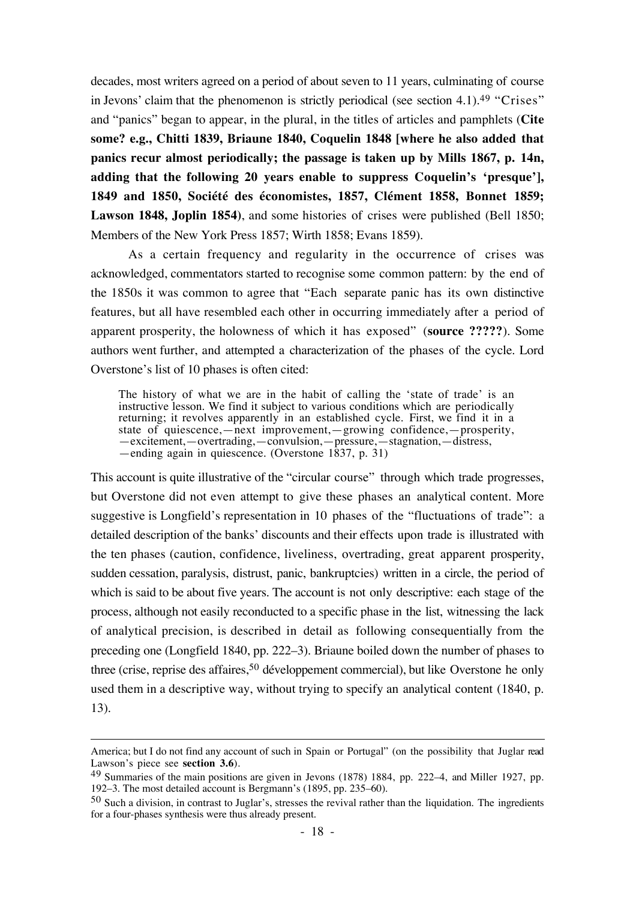decades, most writers agreed on a period of about seven to 11 years, culminating of course in Jevons' claim that the phenomenon is strictly periodical (see section 4.1).<sup>49</sup> "Crises" and "panics" began to appear, in the plural, in the titles of articles and pamphlets (**Cite some? e.g., Chitti 1839, Briaune 1840, Coquelin 1848 [where he also added that panics recur almost periodically; the passage is taken up by Mills 1867, p. 14n, adding that the following 20 years enable to suppress Coquelin's 'presque'], 1849 and 1850, Société des économistes, 1857, Clément 1858, Bonnet 1859; Lawson 1848, Joplin 1854)**, and some histories of crises were published (Bell 1850; Members of the New York Press 1857; Wirth 1858; Evans 1859).

As a certain frequency and regularity in the occurrence of crises was acknowledged, commentators started to recognise some common pattern: by the end of the 1850s it was common to agree that "Each separate panic has its own distinctive features, but all have resembled each other in occurring immediately after a period of apparent prosperity, the holowness of which it has exposed" (**source ?????**). Some authors went further, and attempted a characterization of the phases of the cycle. Lord Overstone's list of 10 phases is often cited:

The history of what we are in the habit of calling the 'state of trade' is an instructive lesson. We find it subject to various conditions which are periodically returning; it revolves apparently in an established cycle. First, we find it in a state of quiescence,—next improvement,—growing confidence,—prosperity, —excitement,—overtrading,—convulsion,—pressure,—stagnation,—distress, —ending again in quiescence. (Overstone 1837, p. 31)

This account is quite illustrative of the "circular course" through which trade progresses, but Overstone did not even attempt to give these phases an analytical content. More suggestive is Longfield's representation in 10 phases of the "fluctuations of trade": a detailed description of the banks' discounts and their effects upon trade is illustrated with the ten phases (caution, confidence, liveliness, overtrading, great apparent prosperity, sudden cessation, paralysis, distrust, panic, bankruptcies) written in a circle, the period of which is said to be about five years. The account is not only descriptive: each stage of the process, although not easily reconducted to a specific phase in the list, witnessing the lack of analytical precision, is described in detail as following consequentially from the preceding one (Longfield 1840, pp. 222–3). Briaune boiled down the number of phases to three (crise, reprise des affaires,<sup>50</sup> développement commercial), but like Overstone he only used them in a descriptive way, without trying to specify an analytical content (1840, p. 13).

America; but I do not find any account of such in Spain or Portugal" (on the possibility that Juglar read Lawson's piece see **section 3.6**).

<sup>49</sup> Summaries of the main positions are given in Jevons (1878) 1884, pp. 222–4, and Miller 1927, pp. 192–3. The most detailed account is Bergmann's (1895, pp. 235–60).

<sup>50</sup> Such a division, in contrast to Juglar's, stresses the revival rather than the liquidation. The ingredients for a four-phases synthesis were thus already present.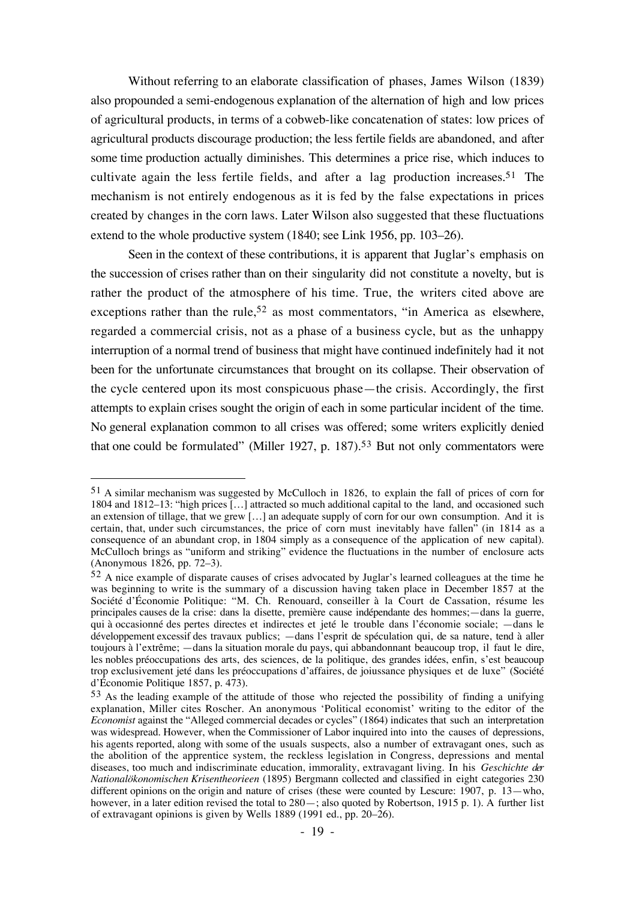Without referring to an elaborate classification of phases, James Wilson (1839) also propounded a semi-endogenous explanation of the alternation of high and low prices of agricultural products, in terms of a cobweb-like concatenation of states: low prices of agricultural products discourage production; the less fertile fields are abandoned, and after some time production actually diminishes. This determines a price rise, which induces to cultivate again the less fertile fields, and after a lag production increases.51 The mechanism is not entirely endogenous as it is fed by the false expectations in prices created by changes in the corn laws. Later Wilson also suggested that these fluctuations extend to the whole productive system (1840; see Link 1956, pp. 103–26).

Seen in the context of these contributions, it is apparent that Juglar's emphasis on the succession of crises rather than on their singularity did not constitute a novelty, but is rather the product of the atmosphere of his time. True, the writers cited above are exceptions rather than the rule,<sup>52</sup> as most commentators, "in America as elsewhere, regarded a commercial crisis, not as a phase of a business cycle, but as the unhappy interruption of a normal trend of business that might have continued indefinitely had it not been for the unfortunate circumstances that brought on its collapse. Their observation of the cycle centered upon its most conspicuous phase—the crisis. Accordingly, the first attempts to explain crises sought the origin of each in some particular incident of the time. No general explanation common to all crises was offered; some writers explicitly denied that one could be formulated" (Miller 1927, p. 187).<sup>53</sup> But not only commentators were

<sup>51</sup> A similar mechanism was suggested by McCulloch in 1826, to explain the fall of prices of corn for 1804 and 1812–13: "high prices […] attracted so much additional capital to the land, and occasioned such an extension of tillage, that we grew […] an adequate supply of corn for our own consumption. And it is certain, that, under such circumstances, the price of corn must inevitably have fallen" (in 1814 as a consequence of an abundant crop, in 1804 simply as a consequence of the application of new capital). McCulloch brings as "uniform and striking" evidence the fluctuations in the number of enclosure acts (Anonymous 1826, pp. 72–3).

<sup>52</sup> A nice example of disparate causes of crises advocated by Juglar's learned colleagues at the time he was beginning to write is the summary of a discussion having taken place in December 1857 at the Société d'Économie Politique: "M. Ch. Renouard, conseiller à la Court de Cassation, résume les principales causes de la crise: dans la disette, première cause indépendante des hommes;—dans la guerre, qui à occasionné des pertes directes et indirectes et jeté le trouble dans l'économie sociale; - dans le développement excessif des travaux publics; —dans l'esprit de spéculation qui, de sa nature, tend à aller toujours à l'extrême; —dans la situation morale du pays, qui abbandonnant beaucoup trop, il faut le dire, les nobles préoccupations des arts, des sciences, de la politique, des grandes idées, enfin, s'est beaucoup trop exclusivement jeté dans les préoccupations d'affaires, de joiussance physiques et de luxe" (Société d'Économie Politique 1857, p. 473).

<sup>53</sup> As the leading example of the attitude of those who rejected the possibility of finding a unifying explanation, Miller cites Roscher. An anonymous 'Political economist' writing to the editor of the *Economist* against the "Alleged commercial decades or cycles" (1864) indicates that such an interpretation was widespread. However, when the Commissioner of Labor inquired into into the causes of depressions, his agents reported, along with some of the usuals suspects, also a number of extravagant ones, such as the abolition of the apprentice system, the reckless legislation in Congress, depressions and mental diseases, too much and indiscriminate education, immorality, extravagant living. In his *Geschichte der Nationalökonomischen Krisentheorieen* (1895) Bergmann collected and classified in eight categories 230 different opinions on the origin and nature of crises (these were counted by Lescure: 1907, p. 13—who, however, in a later edition revised the total to 280 —; also quoted by Robertson, 1915 p. 1). A further list of extravagant opinions is given by Wells 1889 (1991 ed., pp. 20–26).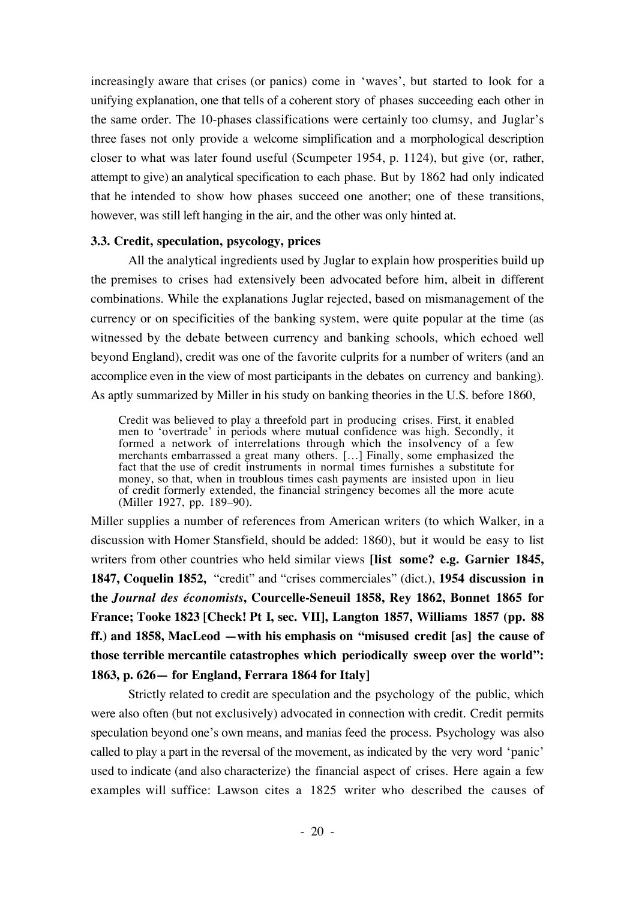increasingly aware that crises (or panics) come in 'waves', but started to look for a unifying explanation, one that tells of a coherent story of phases succeeding each other in the same order. The 10-phases classifications were certainly too clumsy, and Juglar's three fases not only provide a welcome simplification and a morphological description closer to what was later found useful (Scumpeter 1954, p. 1124), but give (or, rather, attempt to give) an analytical specification to each phase. But by 1862 had only indicated that he intended to show how phases succeed one another; one of these transitions, however, was still left hanging in the air, and the other was only hinted at.

#### **3.3. Credit, speculation, psycology, prices**

All the analytical ingredients used by Juglar to explain how prosperities build up the premises to crises had extensively been advocated before him, albeit in different combinations. While the explanations Juglar rejected, based on mismanagement of the currency or on specificities of the banking system, were quite popular at the time (as witnessed by the debate between currency and banking schools, which echoed well beyond England), credit was one of the favorite culprits for a number of writers (and an accomplice even in the view of most participants in the debates on currency and banking). As aptly summarized by Miller in his study on banking theories in the U.S. before 1860,

Credit was believed to play a threefold part in producing crises. First, it enabled men to 'overtrade' in periods where mutual confidence was high. Secondly, it formed a network of interrelations through which the insolvency of a few merchants embarrassed a great many others. […] Finally, some emphasized the fact that the use of credit instruments in normal times furnishes a substitute for money, so that, when in troublous times cash payments are insisted upon in lieu of credit formerly extended, the financial stringency becomes all the more acute (Miller 1927, pp. 189–90).

Miller supplies a number of references from American writers (to which Walker, in a discussion with Homer Stansfield, should be added: 1860), but it would be easy to list writers from other countries who held similar views **[list some? e.g. Garnier 1845, 1847, Coquelin 1852,** "credit" and "crises commerciales" (dict.), **1954 discussion in the** *Journal des économists***, Courcelle-Seneuil 1858, Rey 1862, Bonnet 1865 for France; Tooke 1823 [Check! Pt I, sec. VII], Langton 1857, Williams 1857 (pp. 88 ff.) and 1858, MacLeod —with his emphasis on "misused credit [as] the cause of those terrible mercantile catastrophes which periodically sweep over the world": 1863, p. 626— for England, Ferrara 1864 for Italy]**

Strictly related to credit are speculation and the psychology of the public, which were also often (but not exclusively) advocated in connection with credit. Credit permits speculation beyond one's own means, and manias feed the process. Psychology was also called to play a part in the reversal of the movement, as indicated by the very word 'panic' used to indicate (and also characterize) the financial aspect of crises. Here again a few examples will suffice: Lawson cites a 1825 writer who described the causes of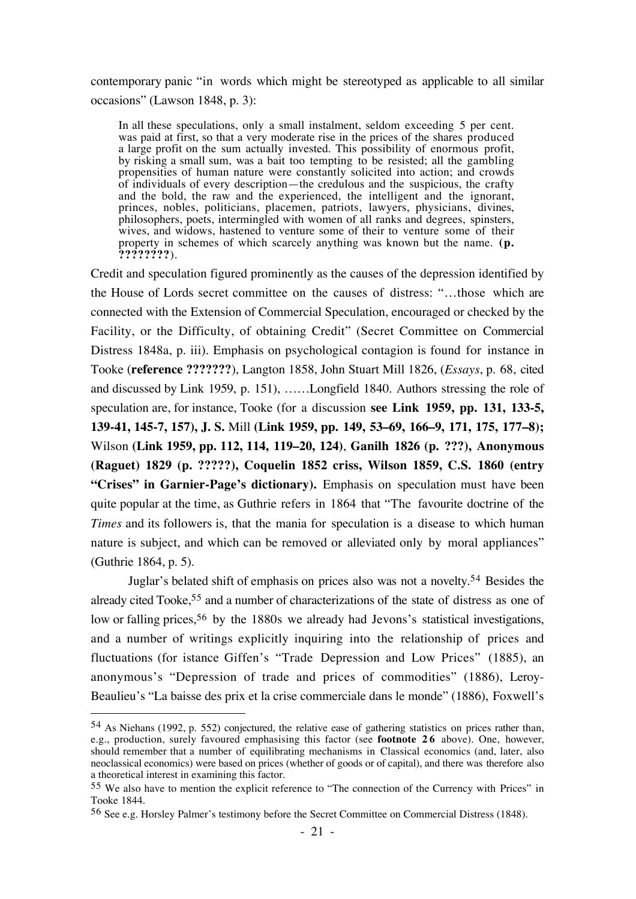contemporary panic "in words which might be stereotyped as applicable to all similar occasions" (Lawson 1848, p. 3):

In all these speculations, only a small instalment, seldom exceeding 5 per cent. was paid at first, so that a very moderate rise in the prices of the shares produced a large profit on the sum actually invested. This possibility of enormous profit, by risking a small sum, was a bait too tempting to be resisted; all the gambling propensities of human nature were constantly solicited into action; and crowds of individuals of every description—the credulous and the suspicious, the crafty and the bold, the raw and the experienced, the intelligent and the ignorant, princes, nobles, politicians, placemen, patriots, lawyers, physicians, divines, philosophers, poets, intermingled with women of all ranks and degrees, spinsters, wives, and widows, hastened to venture some of their to venture some of their property in schemes of which scarcely anything was known but the name. **(p. ????????**).

Credit and speculation figured prominently as the causes of the depression identified by the House of Lords secret committee on the causes of distress: "…those which are connected with the Extension of Commercial Speculation, encouraged or checked by the Facility, or the Difficulty, of obtaining Credit" (Secret Committee on Commercial Distress 1848a, p. iii). Emphasis on psychological contagion is found for instance in Tooke (**reference ???????**), Langton 1858, John Stuart Mill 1826, (*Essays*, p. 68, cited and discussed by Link 1959, p. 151), ……Longfield 1840. Authors stressing the role of speculation are, for instance, Tooke (for a discussion **see Link 1959, pp. 131, 133-5, 139-41, 145-7, 157), J. S.** Mill **(Link 1959, pp. 149, 53–69, 166–9, 171, 175, 177–8);** Wilson **(Link 1959, pp. 112, 114, 119–20, 124)**, **Ganilh 1826 (p. ???), Anonymous (Raguet) 1829 (p. ?????), Coquelin 1852 criss, Wilson 1859, C.S. 1860 (entry "Crises" in Garnier-Page's dictionary).** Emphasis on speculation must have been quite popular at the time, as Guthrie refers in 1864 that "The favourite doctrine of the *Times* and its followers is, that the mania for speculation is a disease to which human nature is subject, and which can be removed or alleviated only by moral appliances" (Guthrie 1864, p. 5).

Juglar's belated shift of emphasis on prices also was not a novelty.54 Besides the already cited Tooke,<sup>55</sup> and a number of characterizations of the state of distress as one of low or falling prices,<sup>56</sup> by the 1880s we already had Jevons's statistical investigations, and a number of writings explicitly inquiring into the relationship of prices and fluctuations (for istance Giffen's "Trade Depression and Low Prices" (1885), an anonymous's "Depression of trade and prices of commodities" (1886), Leroy-Beaulieu's "La baisse des prix et la crise commerciale dans le monde" (1886), Foxwell's

<sup>54</sup> As Niehans (1992, p. 552) conjectured, the relative ease of gathering statistics on prices rather than, e.g., production, surely favoured emphasising this factor (see **footnote 2 6** above). One, however, should remember that a number of equilibrating mechanisms in Classical economics (and, later, also neoclassical economics) were based on prices (whether of goods or of capital), and there was therefore also a theoretical interest in examining this factor.

<sup>55</sup> We also have to mention the explicit reference to "The connection of the Currency with Prices" in Tooke 1844.

<sup>56</sup> See e.g. Horsley Palmer's testimony before the Secret Committee on Commercial Distress (1848).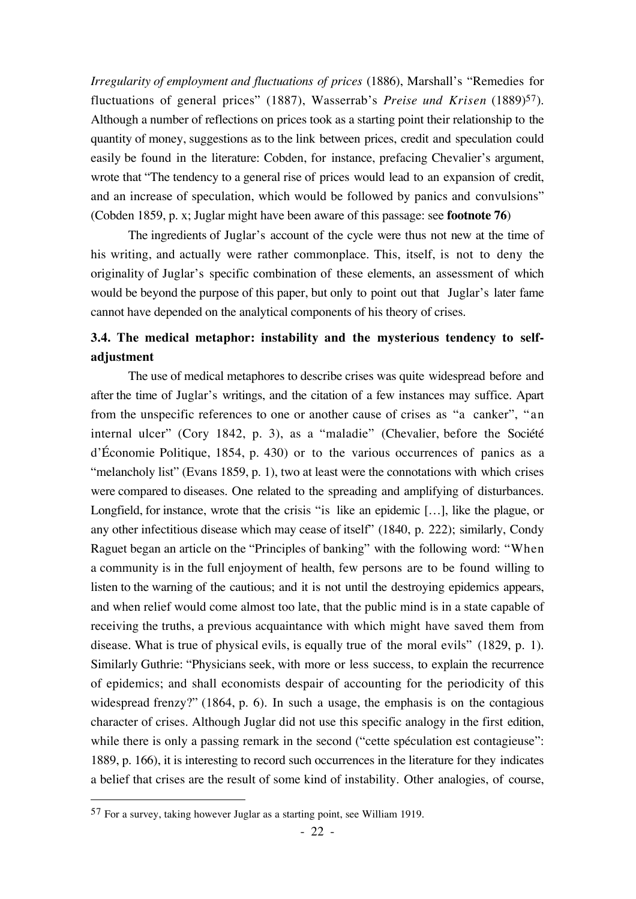*Irregularity of employment and fluctuations of prices* (1886), Marshall's "Remedies for fluctuations of general prices" (1887), Wasserrab's *Preise und Krisen* (1889)<sup>57</sup>). Although a number of reflections on prices took as a starting point their relationship to the quantity of money, suggestions as to the link between prices, credit and speculation could easily be found in the literature: Cobden, for instance, prefacing Chevalier's argument, wrote that "The tendency to a general rise of prices would lead to an expansion of credit, and an increase of speculation, which would be followed by panics and convulsions" (Cobden 1859, p. x; Juglar might have been aware of this passage: see **footnote 76**)

The ingredients of Juglar's account of the cycle were thus not new at the time of his writing, and actually were rather commonplace. This, itself, is not to deny the originality of Juglar's specific combination of these elements, an assessment of which would be beyond the purpose of this paper, but only to point out that Juglar's later fame cannot have depended on the analytical components of his theory of crises.

## **3.4. The medical metaphor: instability and the mysterious tendency to selfadjustment**

The use of medical metaphores to describe crises was quite widespread before and after the time of Juglar's writings, and the citation of a few instances may suffice. Apart from the unspecific references to one or another cause of crises as "a canker", "an internal ulcer" (Cory 1842, p. 3), as a "maladie" (Chevalier, before the Société d'Économie Politique, 1854, p. 430) or to the various occurrences of panics as a "melancholy list" (Evans 1859, p. 1), two at least were the connotations with which crises were compared to diseases. One related to the spreading and amplifying of disturbances. Longfield, for instance, wrote that the crisis "is like an epidemic [...], like the plague, or any other infectitious disease which may cease of itself" (1840, p. 222); similarly, Condy Raguet began an article on the "Principles of banking" with the following word: "When a community is in the full enjoyment of health, few persons are to be found willing to listen to the warning of the cautious; and it is not until the destroying epidemics appears, and when relief would come almost too late, that the public mind is in a state capable of receiving the truths, a previous acquaintance with which might have saved them from disease. What is true of physical evils, is equally true of the moral evils" (1829, p. 1). Similarly Guthrie: "Physicians seek, with more or less success, to explain the recurrence of epidemics; and shall economists despair of accounting for the periodicity of this widespread frenzy?" (1864, p. 6). In such a usage, the emphasis is on the contagious character of crises. Although Juglar did not use this specific analogy in the first edition, while there is only a passing remark in the second ("cette spéculation est contagieuse": 1889, p. 166), it is interesting to record such occurrences in the literature for they indicates a belief that crises are the result of some kind of instability. Other analogies, of course,

<sup>57</sup> For a survey, taking however Juglar as a starting point, see William 1919.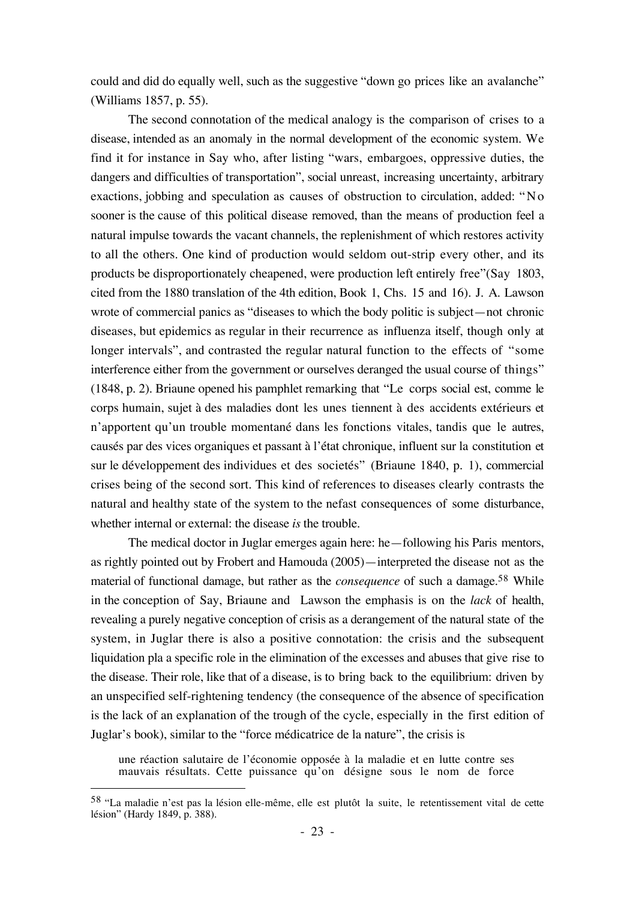could and did do equally well, such as the suggestive "down go prices like an avalanche" (Williams 1857, p. 55).

The second connotation of the medical analogy is the comparison of crises to a disease, intended as an anomaly in the normal development of the economic system. We find it for instance in Say who, after listing "wars, embargoes, oppressive duties, the dangers and difficulties of transportation", social unreast, increasing uncertainty, arbitrary exactions, jobbing and speculation as causes of obstruction to circulation, added: "No sooner is the cause of this political disease removed, than the means of production feel a natural impulse towards the vacant channels, the replenishment of which restores activity to all the others. One kind of production would seldom out-strip every other, and its products be disproportionately cheapened, were production left entirely free"(Say 1803, cited from the 1880 translation of the 4th edition, Book 1, Chs. 15 and 16). J. A. Lawson wrote of commercial panics as "diseases to which the body politic is subject—not chronic diseases, but epidemics as regular in their recurrence as influenza itself, though only at longer intervals", and contrasted the regular natural function to the effects of "some interference either from the government or ourselves deranged the usual course of things" (1848, p. 2). Briaune opened his pamphlet remarking that "Le corps social est, comme le corps humain, sujet à des maladies dont les unes tiennent à des accidents extérieurs et n'apportent qu'un trouble momentané dans les fonctions vitales, tandis que le autres, causés par des vices organiques et passant à l'état chronique, influent sur la constitution et sur le développement des individues et des societés" (Briaune 1840, p. 1), commercial crises being of the second sort. This kind of references to diseases clearly contrasts the natural and healthy state of the system to the nefast consequences of some disturbance, whether internal or external: the disease *is* the trouble.

The medical doctor in Juglar emerges again here: he—following his Paris mentors, as rightly pointed out by Frobert and Hamouda (2005)—interpreted the disease not as the material of functional damage, but rather as the *consequence* of such a damage.58 While in the conception of Say, Briaune and Lawson the emphasis is on the *lack* of health, revealing a purely negative conception of crisis as a derangement of the natural state of the system, in Juglar there is also a positive connotation: the crisis and the subsequent liquidation pla a specific role in the elimination of the excesses and abuses that give rise to the disease. Their role, like that of a disease, is to bring back to the equilibrium: driven by an unspecified self-rightening tendency (the consequence of the absence of specification is the lack of an explanation of the trough of the cycle, especially in the first edition of Juglar's book), similar to the "force médicatrice de la nature", the crisis is

une réaction salutaire de l'économie opposée à la maladie et en lutte contre ses mauvais résultats. Cette puissance qu'on désigne sous le nom de force

<sup>58</sup> "La maladie n'est pas la lésion elle-même, elle est plutôt la suite, le retentissement vital de cette lésion" (Hardy 1849, p. 388).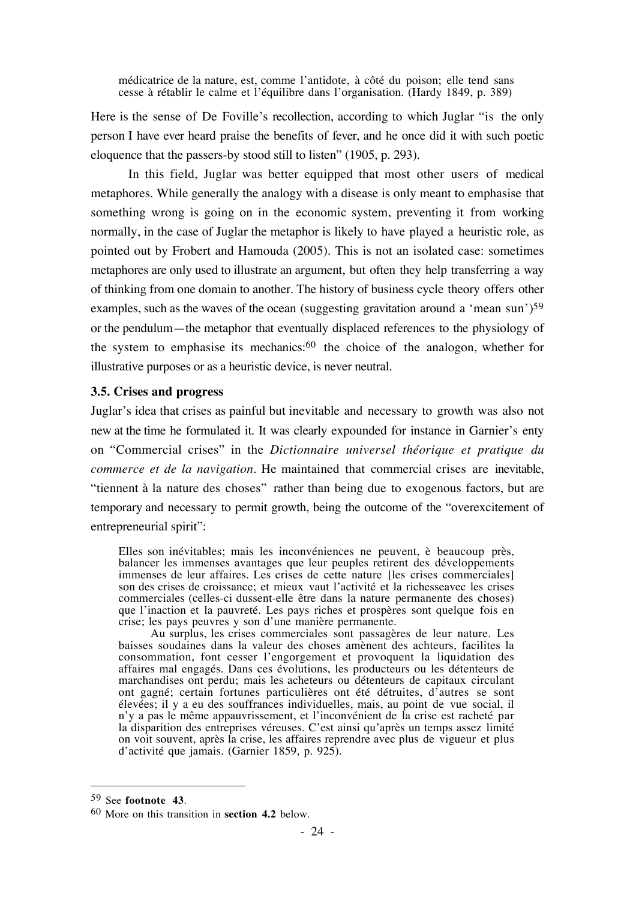médicatrice de la nature, est, comme l'antidote, à côté du poison; elle tend sans cesse à rétablir le calme et l'équilibre dans l'organisation. (Hardy 1849, p. 389)

Here is the sense of De Foville's recollection, according to which Juglar "is the only person I have ever heard praise the benefits of fever, and he once did it with such poetic eloquence that the passers-by stood still to listen" (1905, p. 293).

In this field, Juglar was better equipped that most other users of medical metaphores. While generally the analogy with a disease is only meant to emphasise that something wrong is going on in the economic system, preventing it from working normally, in the case of Juglar the metaphor is likely to have played a heuristic role, as pointed out by Frobert and Hamouda (2005). This is not an isolated case: sometimes metaphores are only used to illustrate an argument, but often they help transferring a way of thinking from one domain to another. The history of business cycle theory offers other examples, such as the waves of the ocean (suggesting gravitation around a 'mean sun')<sup>59</sup> or the pendulum—the metaphor that eventually displaced references to the physiology of the system to emphasise its mechanics: $60$  the choice of the analogon, whether for illustrative purposes or as a heuristic device, is never neutral.

#### **3.5. Crises and progress**

Juglar's idea that crises as painful but inevitable and necessary to growth was also not new at the time he formulated it. It was clearly expounded for instance in Garnier's enty on "Commercial crises" in the *Dictionnaire universel théorique et pratique du commerce et de la navigation*. He maintained that commercial crises are inevitable, "tiennent à la nature des choses" rather than being due to exogenous factors, but are temporary and necessary to permit growth, being the outcome of the "overexcitement of entrepreneurial spirit":

Elles son inévitables; mais les inconvéniences ne peuvent, è beaucoup près, balancer les immenses avantages que leur peuples retirent des développements immenses de leur affaires. Les crises de cette nature [les crises commerciales] son des crises de croissance; et mieux vaut l'activité et la richesseavec les crises commerciales (celles-ci dussent-elle être dans la nature permanente des choses) que l'inaction et la pauvreté. Les pays riches et prospères sont quelque fois en crise; les pays peuvres y son d'une manière permanente.

Au surplus, les crises commerciales sont passagères de leur nature. Les baisses soudaines dans la valeur des choses amènent des achteurs, facilites la consommation, font cesser l'engorgement et provoquent la liquidation des affaires mal engagés. Dans ces évolutions, les producteurs ou les détenteurs de marchandises ont perdu; mais les acheteurs ou détenteurs de capitaux circulant ont gagné; certain fortunes particulières ont été détruites, d'autres se sont élevées; il y a eu des souffrances individuelles, mais, au point de vue social, il n'y a pas le même appauvrissement, et l'inconvénient de la crise est racheté par la disparition des entreprises véreuses. C'est ainsi qu'après un temps assez limité on voit souvent, après la crise, les affaires reprendre avec plus de vigueur et plus d'activité que jamais. (Garnier 1859, p. 925).

<sup>59</sup> See **footnote 43**.

<sup>60</sup> More on this transition in **section 4.2** below.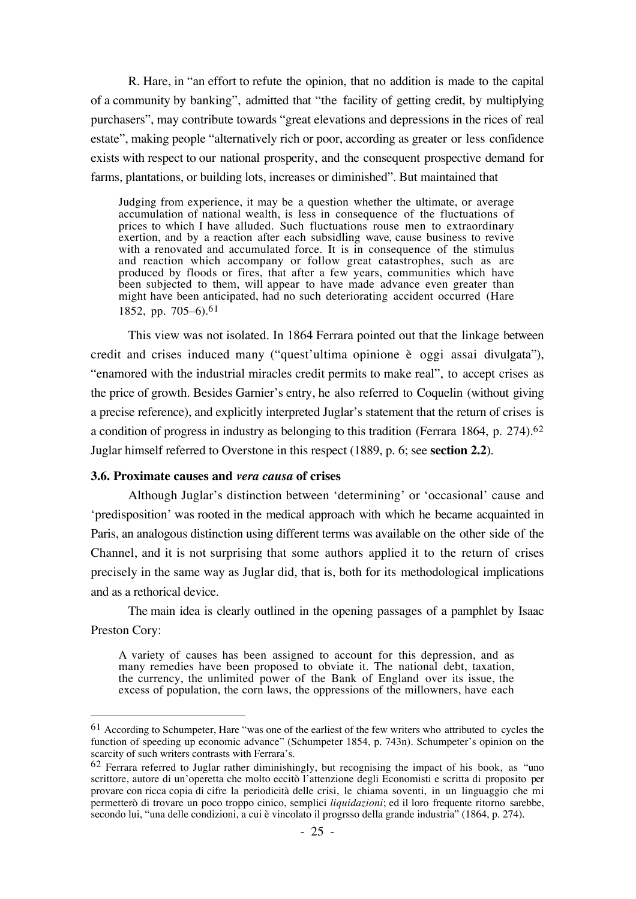R. Hare, in "an effort to refute the opinion, that no addition is made to the capital of a community by banking", admitted that "the facility of getting credit, by multiplying purchasers", may contribute towards "great elevations and depressions in the rices of real estate", making people "alternatively rich or poor, according as greater or less confidence exists with respect to our national prosperity, and the consequent prospective demand for farms, plantations, or building lots, increases or diminished". But maintained that

Judging from experience, it may be a question whether the ultimate, or average accumulation of national wealth, is less in consequence of the fluctuations of prices to which I have alluded. Such fluctuations rouse men to extraordinary exertion, and by a reaction after each subsidling wave, cause business to revive with a renovated and accumulated force. It is in consequence of the stimulus and reaction which accompany or follow great catastrophes, such as are produced by floods or fires, that after a few years, communities which have been subjected to them, will appear to have made advance even greater than might have been anticipated, had no such deteriorating accident occurred (Hare 1852, pp. 705–6).61

This view was not isolated. In 1864 Ferrara pointed out that the linkage between credit and crises induced many ("quest'ultima opinione è oggi assai divulgata"), "enamored with the industrial miracles credit permits to make real", to accept crises as the price of growth. Besides Garnier's entry, he also referred to Coquelin (without giving a precise reference), and explicitly interpreted Juglar's statement that the return of crises is a condition of progress in industry as belonging to this tradition (Ferrara 1864, p. 274).<sup>62</sup> Juglar himself referred to Overstone in this respect (1889, p. 6; see **section 2.2**).

#### **3.6. Proximate causes and** *vera causa* **of crises**

 $\overline{a}$ 

Although Juglar's distinction between 'determining' or 'occasional' cause and 'predisposition' was rooted in the medical approach with which he became acquainted in Paris, an analogous distinction using different terms was available on the other side of the Channel, and it is not surprising that some authors applied it to the return of crises precisely in the same way as Juglar did, that is, both for its methodological implications and as a rethorical device.

The main idea is clearly outlined in the opening passages of a pamphlet by Isaac Preston Cory:

A variety of causes has been assigned to account for this depression, and as many remedies have been proposed to obviate it. The national debt, taxation, the currency, the unlimited power of the Bank of England over its issue, the excess of population, the corn laws, the oppressions of the millowners, have each

<sup>61</sup> According to Schumpeter, Hare "was one of the earliest of the few writers who attributed to cycles the function of speeding up economic advance" (Schumpeter 1854, p. 743n). Schumpeter's opinion on the scarcity of such writers contrasts with Ferrara's.

<sup>62</sup> Ferrara referred to Juglar rather diminishingly, but recognising the impact of his book, as "uno scrittore, autore di un'operetta che molto eccitò l'attenzione degli Economisti e scritta di proposito per provare con ricca copia di cifre la periodicità delle crisi, le chiama soventi, in un linguaggio che mi permetterò di trovare un poco troppo cinico, semplici *liquidazioni*; ed il loro frequente ritorno sarebbe, secondo lui, "una delle condizioni, a cui è vincolato il progrsso della grande industria" (1864, p. 274).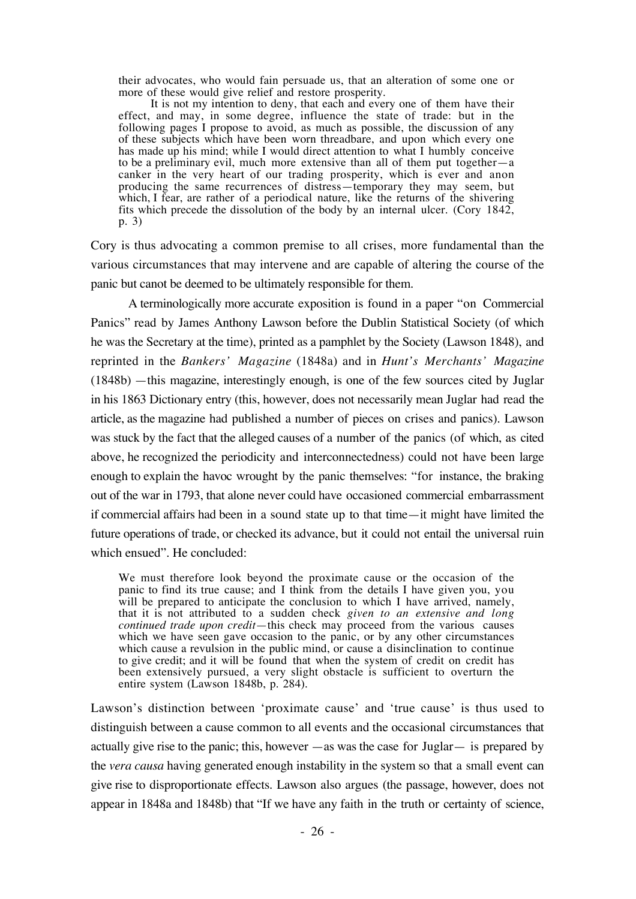their advocates, who would fain persuade us, that an alteration of some one or more of these would give relief and restore prosperity.

It is not my intention to deny, that each and every one of them have their effect, and may, in some degree, influence the state of trade: but in the following pages I propose to avoid, as much as possible, the discussion of any of these subjects which have been worn threadbare, and upon which every one has made up his mind; while I would direct attention to what I humbly conceive to be a preliminary evil, much more extensive than all of them put together—a canker in the very heart of our trading prosperity, which is ever and anon producing the same recurrences of distress—temporary they may seem, but which, I fear, are rather of a periodical nature, like the returns of the shivering fits which precede the dissolution of the body by an internal ulcer. (Cory 1842, p. 3)

Cory is thus advocating a common premise to all crises, more fundamental than the various circumstances that may intervene and are capable of altering the course of the panic but canot be deemed to be ultimately responsible for them.

A terminologically more accurate exposition is found in a paper "on Commercial Panics" read by James Anthony Lawson before the Dublin Statistical Society (of which he was the Secretary at the time), printed as a pamphlet by the Society (Lawson 1848), and reprinted in the *Bankers' Magazine* (1848a) and in *Hunt's Merchants' Magazine* (1848b) —this magazine, interestingly enough, is one of the few sources cited by Juglar in his 1863 Dictionary entry (this, however, does not necessarily mean Juglar had read the article, as the magazine had published a number of pieces on crises and panics). Lawson was stuck by the fact that the alleged causes of a number of the panics (of which, as cited above, he recognized the periodicity and interconnectedness) could not have been large enough to explain the havoc wrought by the panic themselves: "for instance, the braking out of the war in 1793, that alone never could have occasioned commercial embarrassment if commercial affairs had been in a sound state up to that time—it might have limited the future operations of trade, or checked its advance, but it could not entail the universal ruin which ensued". He concluded:

We must therefore look beyond the proximate cause or the occasion of the panic to find its true cause; and I think from the details I have given you, you will be prepared to anticipate the conclusion to which I have arrived, namely, that it is not attributed to a sudden check *given to an extensive and long continued trade upon credit*—this check may proceed from the various causes which we have seen gave occasion to the panic, or by any other circumstances which cause a revulsion in the public mind, or cause a disinclination to continue to give credit; and it will be found that when the system of credit on credit has been extensively pursued, a very slight obstacle is sufficient to overturn the entire system (Lawson 1848b, p. 284).

Lawson's distinction between 'proximate cause' and 'true cause' is thus used to distinguish between a cause common to all events and the occasional circumstances that actually give rise to the panic; this, however —as was the case for Juglar— is prepared by the *vera causa* having generated enough instability in the system so that a small event can give rise to disproportionate effects. Lawson also argues (the passage, however, does not appear in 1848a and 1848b) that "If we have any faith in the truth or certainty of science,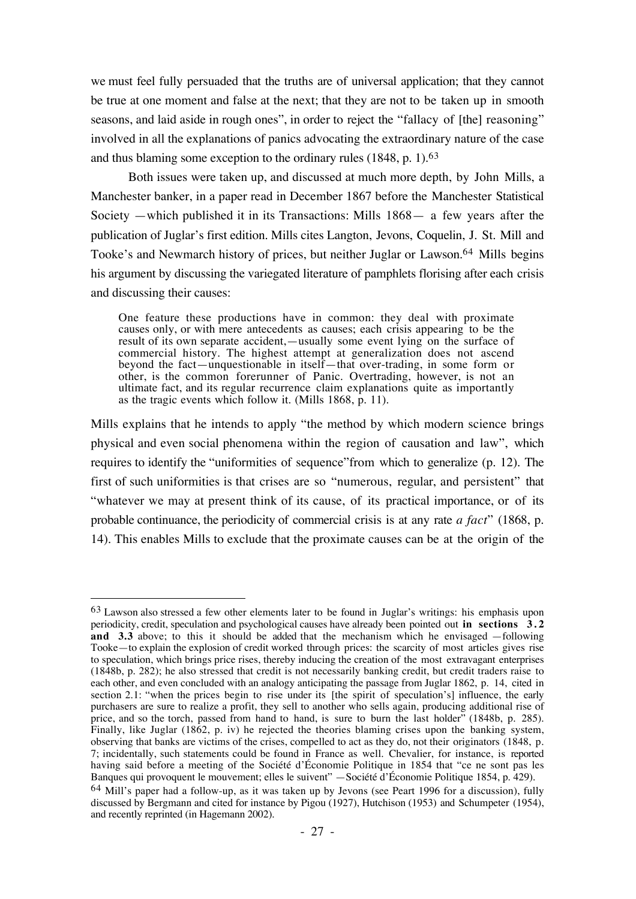we must feel fully persuaded that the truths are of universal application; that they cannot be true at one moment and false at the next; that they are not to be taken up in smooth seasons, and laid aside in rough ones", in order to reject the "fallacy of [the] reasoning" involved in all the explanations of panics advocating the extraordinary nature of the case and thus blaming some exception to the ordinary rules  $(1848, p. 1)$ .<sup>63</sup>

Both issues were taken up, and discussed at much more depth, by John Mills, a Manchester banker, in a paper read in December 1867 before the Manchester Statistical Society —which published it in its Transactions: Mills 1868— a few years after the publication of Juglar's first edition. Mills cites Langton, Jevons, Coquelin, J. St. Mill and Tooke's and Newmarch history of prices, but neither Juglar or Lawson.64 Mills begins his argument by discussing the variegated literature of pamphlets florising after each crisis and discussing their causes:

One feature these productions have in common: they deal with proximate causes only, or with mere antecedents as causes; each crisis appearing to be the result of its own separate accident,—usually some event lying on the surface of commercial history. The highest attempt at generalization does not ascend beyond the fact—unquestionable in itself—that over-trading, in some form or other, is the common forerunner of Panic. Overtrading, however, is not an ultimate fact, and its regular recurrence claim explanations quite as importantly as the tragic events which follow it. (Mills  $1868$ , p. 11).

Mills explains that he intends to apply "the method by which modern science brings physical and even social phenomena within the region of causation and law", which requires to identify the "uniformities of sequence"from which to generalize (p. 12). The first of such uniformities is that crises are so "numerous, regular, and persistent" that "whatever we may at present think of its cause, of its practical importance, or of its probable continuance, the periodicity of commercial crisis is at any rate *a fact*" (1868, p. 14). This enables Mills to exclude that the proximate causes can be at the origin of the

<sup>63</sup> Lawson also stressed a few other elements later to be found in Juglar's writings: his emphasis upon periodicity, credit, speculation and psychological causes have already been pointed out **in sections 3.2 and 3.3** above; to this it should be added that the mechanism which he envisaged —following Tooke—to explain the explosion of credit worked through prices: the scarcity of most articles gives rise to speculation, which brings price rises, thereby inducing the creation of the most extravagant enterprises (1848b, p. 282); he also stressed that credit is not necessarily banking credit, but credit traders raise to each other, and even concluded with an analogy anticipating the passage from Juglar 1862, p. 14, cited in section 2.1: "when the prices begin to rise under its [the spirit of speculation's] influence, the early purchasers are sure to realize a profit, they sell to another who sells again, producing additional rise of price, and so the torch, passed from hand to hand, is sure to burn the last holder" (1848b, p. 285). Finally, like Juglar (1862, p. iv) he rejected the theories blaming crises upon the banking system, observing that banks are victims of the crises, compelled to act as they do, not their originators (1848, p. 7; incidentally, such statements could be found in France as well. Chevalier, for instance, is reported having said before a meeting of the Société d'Économie Politique in 1854 that "ce ne sont pas les Banques qui provoquent le mouvement; elles le suivent" — Société d'Économie Politique 1854, p. 429). 64 Mill's paper had a follow-up, as it was taken up by Jevons (see Peart 1996 for a discussion), fully discussed by Bergmann and cited for instance by Pigou (1927), Hutchison (1953) and Schumpeter (1954),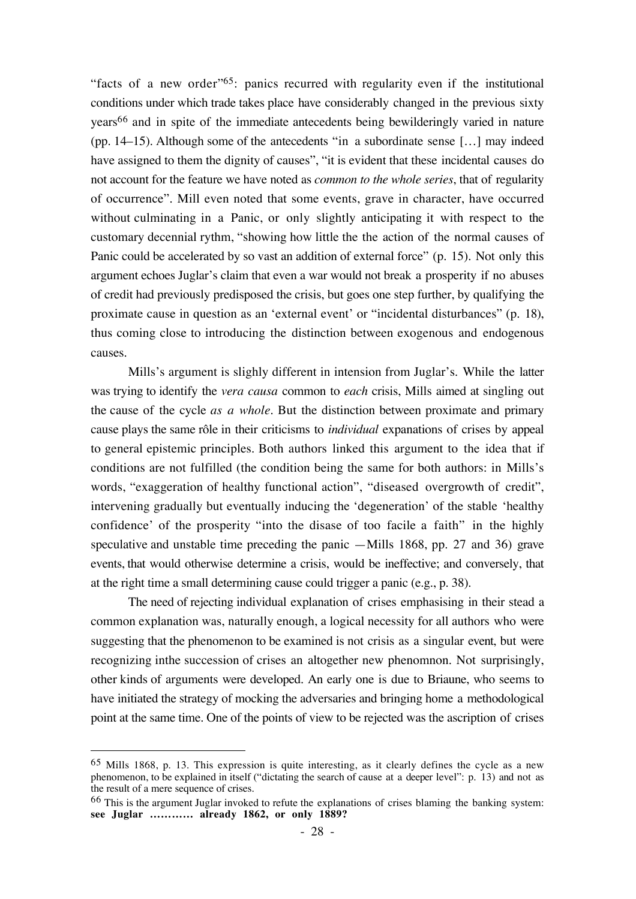"facts of a new order"65: panics recurred with regularity even if the institutional conditions under which trade takes place have considerably changed in the previous sixty years66 and in spite of the immediate antecedents being bewilderingly varied in nature (pp. 14–15). Although some of the antecedents "in a subordinate sense […] may indeed have assigned to them the dignity of causes", "it is evident that these incidental causes do not account for the feature we have noted as *common to the whole series*, that of regularity of occurrence". Mill even noted that some events, grave in character, have occurred without culminating in a Panic, or only slightly anticipating it with respect to the customary decennial rythm, "showing how little the the action of the normal causes of Panic could be accelerated by so vast an addition of external force" (p. 15). Not only this argument echoes Juglar's claim that even a war would not break a prosperity if no abuses of credit had previously predisposed the crisis, but goes one step further, by qualifying the proximate cause in question as an 'external event' or "incidental disturbances" (p. 18), thus coming close to introducing the distinction between exogenous and endogenous causes.

Mills's argument is slighly different in intension from Juglar's. While the latter was trying to identify the *vera causa* common to *each* crisis, Mills aimed at singling out the cause of the cycle *as a whole*. But the distinction between proximate and primary cause plays the same rôle in their criticisms to *individual* expanations of crises by appeal to general epistemic principles. Both authors linked this argument to the idea that if conditions are not fulfilled (the condition being the same for both authors: in Mills's words, "exaggeration of healthy functional action", "diseased overgrowth of credit", intervening gradually but eventually inducing the 'degeneration' of the stable 'healthy confidence' of the prosperity "into the disase of too facile a faith" in the highly speculative and unstable time preceding the panic —Mills 1868, pp. 27 and 36) grave events, that would otherwise determine a crisis, would be ineffective; and conversely, that at the right time a small determining cause could trigger a panic (e.g., p. 38).

The need of rejecting individual explanation of crises emphasising in their stead a common explanation was, naturally enough, a logical necessity for all authors who were suggesting that the phenomenon to be examined is not crisis as a singular event, but were recognizing inthe succession of crises an altogether new phenomnon. Not surprisingly, other kinds of arguments were developed. An early one is due to Briaune, who seems to have initiated the strategy of mocking the adversaries and bringing home a methodological point at the same time. One of the points of view to be rejected was the ascription of crises

<sup>65</sup> Mills 1868, p. 13. This expression is quite interesting, as it clearly defines the cycle as a new phenomenon, to be explained in itself ("dictating the search of cause at a deeper level": p. 13) and not as the result of a mere sequence of crises.

<sup>66</sup> This is the argument Juglar invoked to refute the explanations of crises blaming the banking system: **see Juglar ………… already 1862, or only 1889?**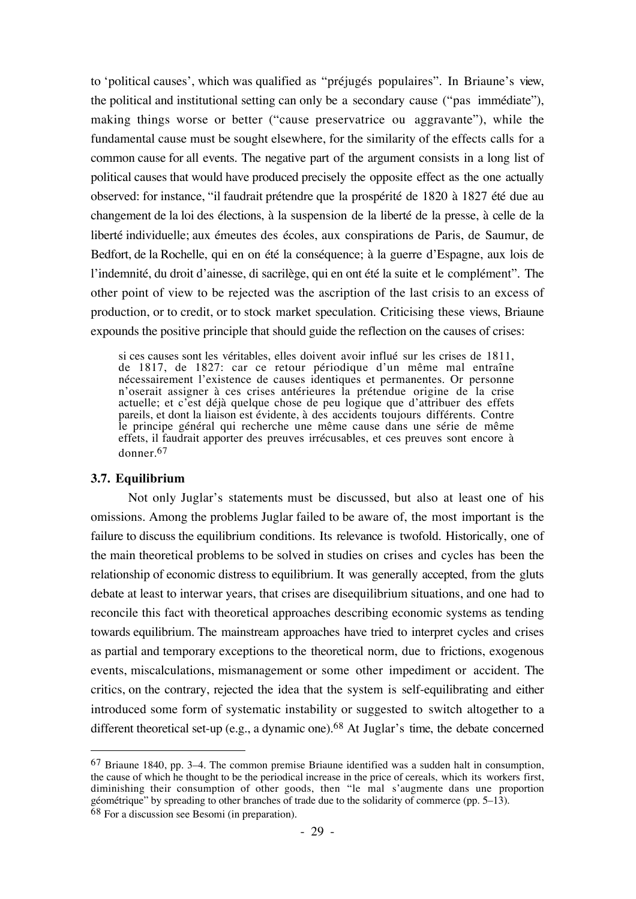to 'political causes', which was qualified as "préjugés populaires". In Briaune's view, the political and institutional setting can only be a secondary cause ("pas immédiate"), making things worse or better ("cause preservatrice ou aggravante"), while the fundamental cause must be sought elsewhere, for the similarity of the effects calls for a common cause for all events. The negative part of the argument consists in a long list of political causes that would have produced precisely the opposite effect as the one actually observed: for instance, "il faudrait prétendre que la prospérité de 1820 à 1827 été due au changement de la loi des élections, à la suspension de la liberté de la presse, à celle de la liberté individuelle; aux émeutes des écoles, aux conspirations de Paris, de Saumur, de Bedfort, de la Rochelle, qui en on été la conséquence; à la guerre d'Espagne, aux lois de l'indemnité, du droit d'ainesse, di sacrilège, qui en ont été la suite et le complément". The other point of view to be rejected was the ascription of the last crisis to an excess of production, or to credit, or to stock market speculation. Criticising these views, Briaune expounds the positive principle that should guide the reflection on the causes of crises:

si ces causes sont les véritables, elles doivent avoir influé sur les crises de 1811, de 1817, de 1827: car ce retour périodique d'un même mal entraîne nécessairement l'existence de causes identiques et permanentes. Or personne n'oserait assigner à ces crises antérieures la prétendue origine de la crise actuelle; et c'est déjà quelque chose de peu logique que d'attribuer des effets pareils, et dont la liaison est évidente, à des accidents toujours différents. Contre le principe général qui recherche une même cause dans une série de même effets, il faudrait apporter des preuves irrécusables, et ces preuves sont encore à donner.67

## **3.7. Equilibrium**

 $\overline{a}$ 

Not only Juglar's statements must be discussed, but also at least one of his omissions. Among the problems Juglar failed to be aware of, the most important is the failure to discuss the equilibrium conditions. Its relevance is twofold. Historically, one of the main theoretical problems to be solved in studies on crises and cycles has been the relationship of economic distress to equilibrium. It was generally accepted, from the gluts debate at least to interwar years, that crises are disequilibrium situations, and one had to reconcile this fact with theoretical approaches describing economic systems as tending towards equilibrium. The mainstream approaches have tried to interpret cycles and crises as partial and temporary exceptions to the theoretical norm, due to frictions, exogenous events, miscalculations, mismanagement or some other impediment or accident. The critics, on the contrary, rejected the idea that the system is self-equilibrating and either introduced some form of systematic instability or suggested to switch altogether to a different theoretical set-up (e.g., a dynamic one).<sup>68</sup> At Juglar's time, the debate concerned

<sup>67</sup> Briaune 1840, pp. 3–4. The common premise Briaune identified was a sudden halt in consumption, the cause of which he thought to be the periodical increase in the price of cereals, which its workers first, diminishing their consumption of other goods, then "le mal s'augmente dans une proportion géométrique" by spreading to other branches of trade due to the solidarity of commerce (pp. 5–13).

<sup>68</sup> For a discussion see Besomi (in preparation).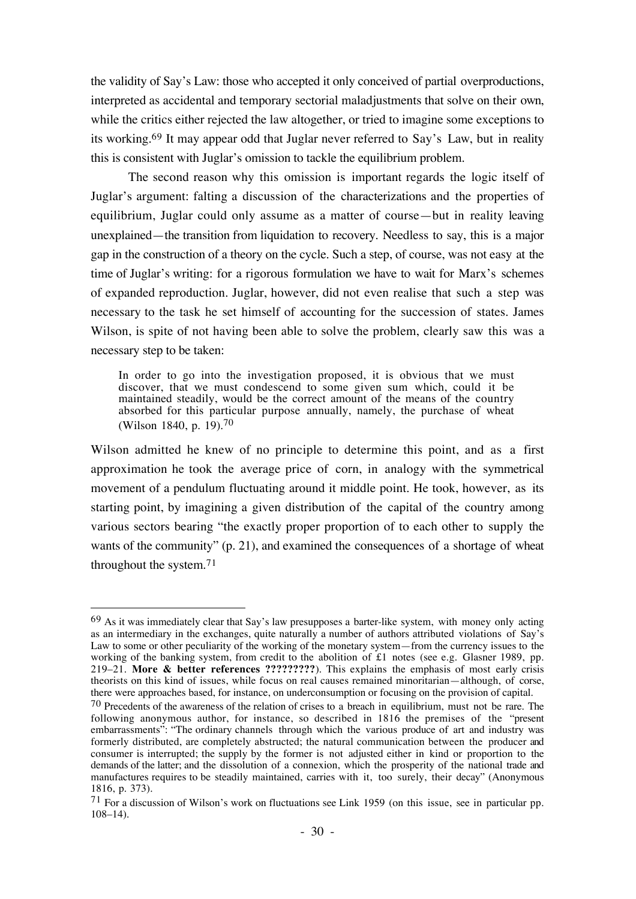the validity of Say's Law: those who accepted it only conceived of partial overproductions, interpreted as accidental and temporary sectorial maladjustments that solve on their own, while the critics either rejected the law altogether, or tried to imagine some exceptions to its working.69 It may appear odd that Juglar never referred to Say's Law, but in reality this is consistent with Juglar's omission to tackle the equilibrium problem.

The second reason why this omission is important regards the logic itself of Juglar's argument: falting a discussion of the characterizations and the properties of equilibrium, Juglar could only assume as a matter of course—but in reality leaving unexplained—the transition from liquidation to recovery. Needless to say, this is a major gap in the construction of a theory on the cycle. Such a step, of course, was not easy at the time of Juglar's writing: for a rigorous formulation we have to wait for Marx's schemes of expanded reproduction. Juglar, however, did not even realise that such a step was necessary to the task he set himself of accounting for the succession of states. James Wilson, is spite of not having been able to solve the problem, clearly saw this was a necessary step to be taken:

In order to go into the investigation proposed, it is obvious that we must discover, that we must condescend to some given sum which, could it be maintained steadily, would be the correct amount of the means of the country absorbed for this particular purpose annually, namely, the purchase of wheat (Wilson 1840, p. 19).70

Wilson admitted he knew of no principle to determine this point, and as a first approximation he took the average price of corn, in analogy with the symmetrical movement of a pendulum fluctuating around it middle point. He took, however, as its starting point, by imagining a given distribution of the capital of the country among various sectors bearing "the exactly proper proportion of to each other to supply the wants of the community" (p. 21), and examined the consequences of a shortage of wheat throughout the system.71

 $69$  As it was immediately clear that Say's law presupposes a barter-like system, with money only acting as an intermediary in the exchanges, quite naturally a number of authors attributed violations of Say's Law to some or other peculiarity of the working of the monetary system—from the currency issues to the working of the banking system, from credit to the abolition of £1 notes (see e.g. Glasner 1989, pp. 219–21. **More & better references ?????????**). This explains the emphasis of most early crisis theorists on this kind of issues, while focus on real causes remained minoritarian—although, of corse, there were approaches based, for instance, on underconsumption or focusing on the provision of capital.

<sup>70</sup> Precedents of the awareness of the relation of crises to a breach in equilibrium, must not be rare. The following anonymous author, for instance, so described in 1816 the premises of the "present embarrassments": "The ordinary channels through which the various produce of art and industry was formerly distributed, are completely abstructed; the natural communication between the producer and consumer is interrupted; the supply by the former is not adjusted either in kind or proportion to the demands of the latter; and the dissolution of a connexion, which the prosperity of the national trade and manufactures requires to be steadily maintained, carries with it, too surely, their decay" (Anonymous 1816, p. 373).

<sup>71</sup> For a discussion of Wilson's work on fluctuations see Link 1959 (on this issue, see in particular pp. 108–14).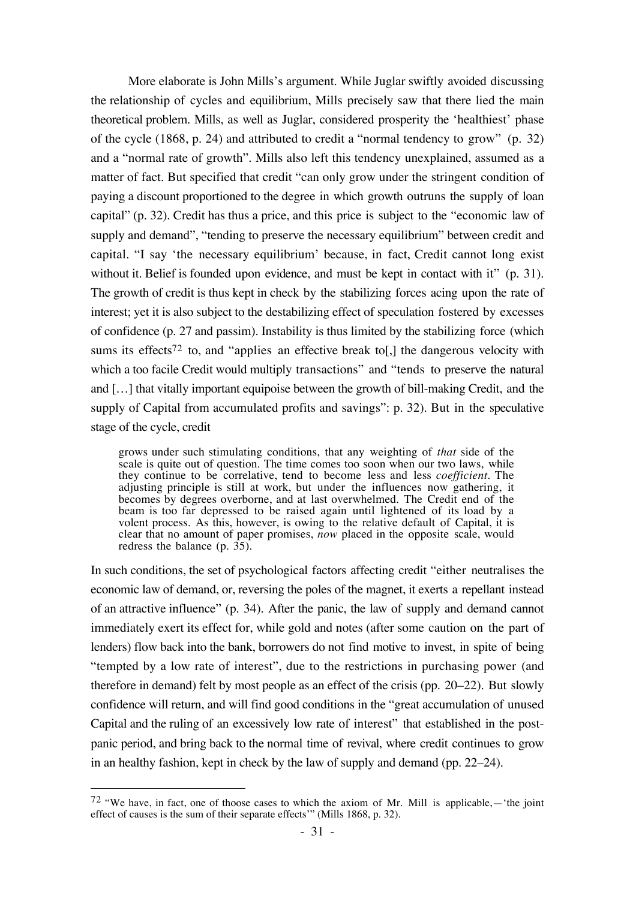More elaborate is John Mills's argument. While Juglar swiftly avoided discussing the relationship of cycles and equilibrium, Mills precisely saw that there lied the main theoretical problem. Mills, as well as Juglar, considered prosperity the 'healthiest' phase of the cycle (1868, p. 24) and attributed to credit a "normal tendency to grow" (p. 32) and a "normal rate of growth". Mills also left this tendency unexplained, assumed as a matter of fact. But specified that credit "can only grow under the stringent condition of paying a discount proportioned to the degree in which growth outruns the supply of loan capital" (p. 32). Credit has thus a price, and this price is subject to the "economic law of supply and demand", "tending to preserve the necessary equilibrium" between credit and capital. "I say 'the necessary equilibrium' because, in fact, Credit cannot long exist without it. Belief is founded upon evidence, and must be kept in contact with it" (p. 31). The growth of credit is thus kept in check by the stabilizing forces acing upon the rate of interest; yet it is also subject to the destabilizing effect of speculation fostered by excesses of confidence (p. 27 and passim). Instability is thus limited by the stabilizing force (which sums its effects<sup>72</sup> to, and "applies an effective break to[,] the dangerous velocity with which a too facile Credit would multiply transactions" and "tends to preserve the natural and […] that vitally important equipoise between the growth of bill-making Credit, and the supply of Capital from accumulated profits and savings": p. 32). But in the speculative stage of the cycle, credit

grows under such stimulating conditions, that any weighting of *that* side of the scale is quite out of question. The time comes too soon when our two laws, while they continue to be correlative, tend to become less and less *coefficient*. The adjusting principle is still at work, but under the influences now gathering, it becomes by degrees overborne, and at last overwhelmed. The Credit end of the beam is too far depressed to be raised again until lightened of its load by a volent process. As this, however, is owing to the relative default of Capital, it is clear that no amount of paper promises, *now* placed in the opposite scale, would redress the balance  $(p. 35)$ .

In such conditions, the set of psychological factors affecting credit "either neutralises the economic law of demand, or, reversing the poles of the magnet, it exerts a repellant instead of an attractive influence" (p. 34). After the panic, the law of supply and demand cannot immediately exert its effect for, while gold and notes (after some caution on the part of lenders) flow back into the bank, borrowers do not find motive to invest, in spite of being "tempted by a low rate of interest", due to the restrictions in purchasing power (and therefore in demand) felt by most people as an effect of the crisis (pp. 20–22). But slowly confidence will return, and will find good conditions in the "great accumulation of unused Capital and the ruling of an excessively low rate of interest" that established in the postpanic period, and bring back to the normal time of revival, where credit continues to grow in an healthy fashion, kept in check by the law of supply and demand (pp. 22–24).

<sup>72</sup> "We have, in fact, one of thoose cases to which the axiom of Mr. Mill is applicable,—'the joint effect of causes is the sum of their separate effects'" (Mills 1868, p. 32).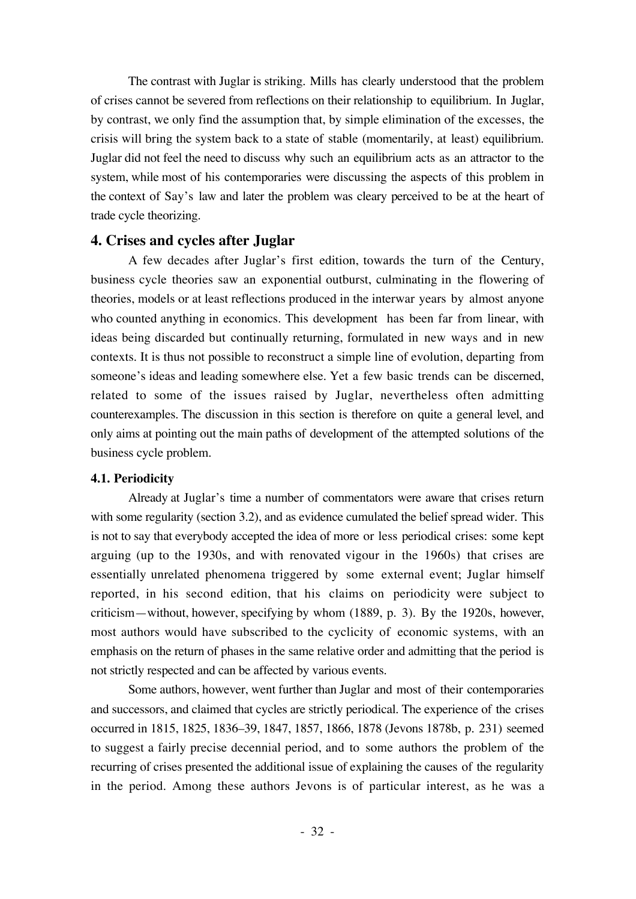The contrast with Juglar is striking. Mills has clearly understood that the problem of crises cannot be severed from reflections on their relationship to equilibrium. In Juglar, by contrast, we only find the assumption that, by simple elimination of the excesses, the crisis will bring the system back to a state of stable (momentarily, at least) equilibrium. Juglar did not feel the need to discuss why such an equilibrium acts as an attractor to the system, while most of his contemporaries were discussing the aspects of this problem in the context of Say's law and later the problem was cleary perceived to be at the heart of trade cycle theorizing.

## **4. Crises and cycles after Juglar**

A few decades after Juglar's first edition, towards the turn of the Century, business cycle theories saw an exponential outburst, culminating in the flowering of theories, models or at least reflections produced in the interwar years by almost anyone who counted anything in economics. This development has been far from linear, with ideas being discarded but continually returning, formulated in new ways and in new contexts. It is thus not possible to reconstruct a simple line of evolution, departing from someone's ideas and leading somewhere else. Yet a few basic trends can be discerned, related to some of the issues raised by Juglar, nevertheless often admitting counterexamples. The discussion in this section is therefore on quite a general level, and only aims at pointing out the main paths of development of the attempted solutions of the business cycle problem.

#### **4.1. Periodicity**

Already at Juglar's time a number of commentators were aware that crises return with some regularity (section 3.2), and as evidence cumulated the belief spread wider. This is not to say that everybody accepted the idea of more or less periodical crises: some kept arguing (up to the 1930s, and with renovated vigour in the 1960s) that crises are essentially unrelated phenomena triggered by some external event; Juglar himself reported, in his second edition, that his claims on periodicity were subject to criticism—without, however, specifying by whom (1889, p. 3). By the 1920s, however, most authors would have subscribed to the cyclicity of economic systems, with an emphasis on the return of phases in the same relative order and admitting that the period is not strictly respected and can be affected by various events.

Some authors, however, went further than Juglar and most of their contemporaries and successors, and claimed that cycles are strictly periodical. The experience of the crises occurred in 1815, 1825, 1836–39, 1847, 1857, 1866, 1878 (Jevons 1878b, p. 231) seemed to suggest a fairly precise decennial period, and to some authors the problem of the recurring of crises presented the additional issue of explaining the causes of the regularity in the period. Among these authors Jevons is of particular interest, as he was a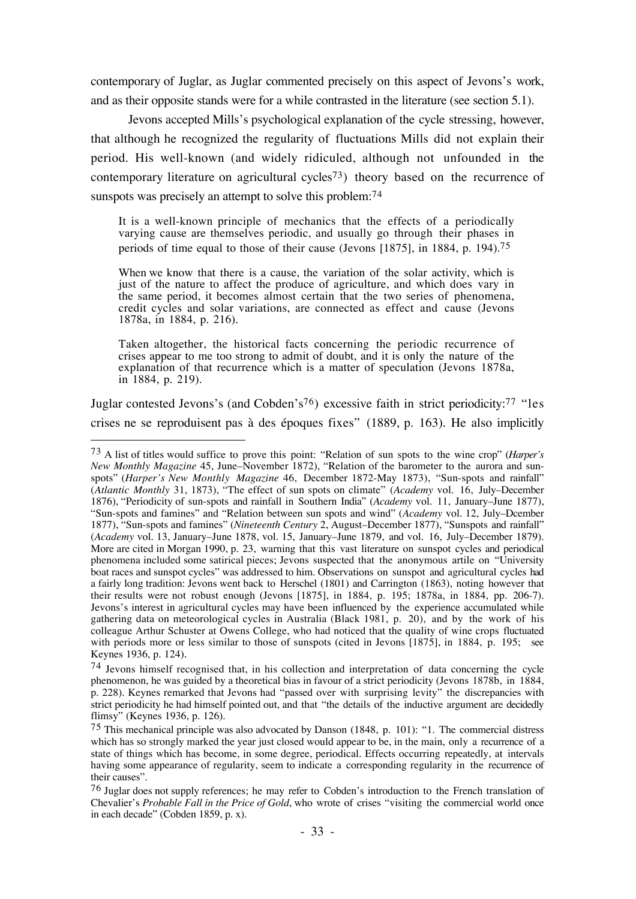contemporary of Juglar, as Juglar commented precisely on this aspect of Jevons's work, and as their opposite stands were for a while contrasted in the literature (see section 5.1).

Jevons accepted Mills's psychological explanation of the cycle stressing, however, that although he recognized the regularity of fluctuations Mills did not explain their period. His well-known (and widely ridiculed, although not unfounded in the contemporary literature on agricultural cycles<sup>73</sup>) theory based on the recurrence of sunspots was precisely an attempt to solve this problem:<sup>74</sup>

It is a well-known principle of mechanics that the effects of a periodically varying cause are themselves periodic, and usually go through their phases in periods of time equal to those of their cause (Jevons [1875], in 1884, p. 194).75

When we know that there is a cause, the variation of the solar activity, which is just of the nature to affect the produce of agriculture, and which does vary in the same period, it becomes almost certain that the two series of phenomena, credit cycles and solar variations, are connected as effect and cause (Jevons 1878a, in 1884, p. 216).

Taken altogether, the historical facts concerning the periodic recurrence of crises appear to me too strong to admit of doubt, and it is only the nature of the explanation of that recurrence which is a matter of speculation (Jevons 1878a, in 1884, p. 219).

Juglar contested Jevons's (and Cobden's<sup>76</sup>) excessive faith in strict periodicity:<sup>77</sup> "les crises ne se reproduisent pas à des époques fixes" (1889, p. 163). He also implicitly

<sup>73</sup> A list of titles would suffice to prove this point: "Relation of sun spots to the wine crop" (*Harper's New Monthly Magazine* 45, June–November 1872), "Relation of the barometer to the aurora and sunspots" (*Harper's New Monthly Magazine* 46, December 1872-May 1873), "Sun-spots and rainfall" (*Atlantic Monthly* 31, 1873), "The effect of sun spots on climate" (*Academy* vol. 16, July–December 1876), "Periodicity of sun-spots and rainfall in Southern India" (*Academy* vol. 11, January–June 1877), "Sun-spots and famines" and "Relation between sun spots and wind" (*Academy* vol. 12, July–Dcember 1877), "Sun-spots and famines" (*Nineteenth Century* 2, August–December 1877), "Sunspots and rainfall" (*Academy* vol. 13, January–June 1878, vol. 15, January–June 1879, and vol. 16, July–December 1879). More are cited in Morgan 1990, p. 23, warning that this vast literature on sunspot cycles and periodical phenomena included some satirical pieces; Jevons suspected that the anonymous artile on "University boat races and sunspot cycles" was addressed to him. Observations on sunspot and agricultural cycles had a fairly long tradition: Jevons went back to Herschel (1801) and Carrington (1863), noting however that their results were not robust enough (Jevons [1875], in 1884, p. 195; 1878a, in 1884, pp. 206-7). Jevons's interest in agricultural cycles may have been influenced by the experience accumulated while gathering data on meteorological cycles in Australia (Black 1981, p. 20), and by the work of his colleague Arthur Schuster at Owens College, who had noticed that the quality of wine crops fluctuated with periods more or less similar to those of sunspots (cited in Jevons [1875], in 1884, p. 195; see Keynes 1936, p. 124).

<sup>74</sup> Jevons himself recognised that, in his collection and interpretation of data concerning the cycle phenomenon, he was guided by a theoretical bias in favour of a strict periodicity (Jevons 1878b, in 1884, p. 228). Keynes remarked that Jevons had "passed over with surprising levity" the discrepancies with strict periodicity he had himself pointed out, and that "the details of the inductive argument are decidedly flimsy" (Keynes 1936, p. 126).

<sup>75</sup> This mechanical principle was also advocated by Danson (1848, p. 101): "1. The commercial distress which has so strongly marked the year just closed would appear to be, in the main, only a recurrence of a state of things which has become, in some degree, periodical. Effects occurring repeatedly, at intervals having some appearance of regularity, seem to indicate a corresponding regularity in the recurrence of their causes".

<sup>76</sup> Juglar does not supply references; he may refer to Cobden's introduction to the French translation of Chevalier's *Probable Fall in the Price of Gold*, who wrote of crises "visiting the commercial world once in each decade" (Cobden 1859, p. x).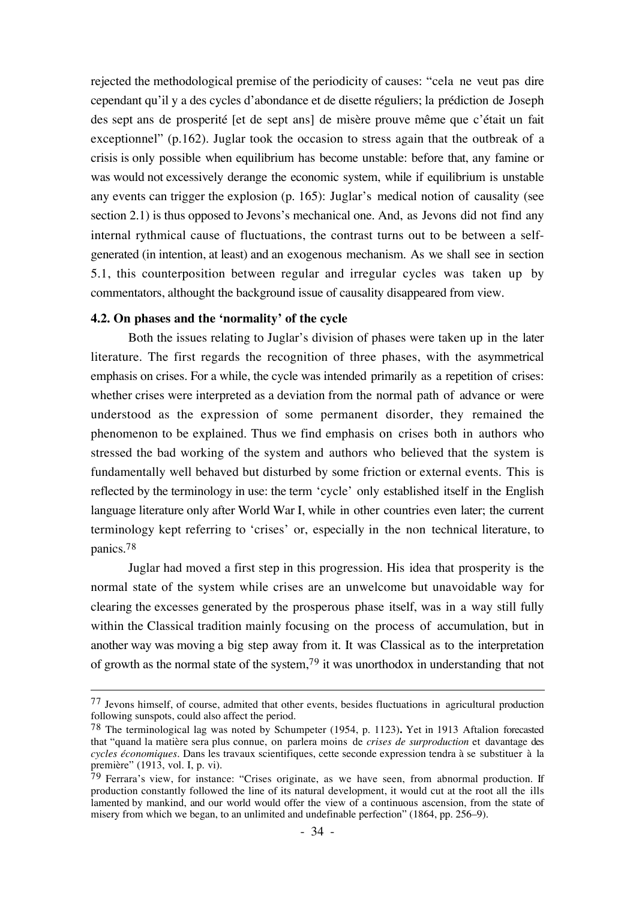rejected the methodological premise of the periodicity of causes: "cela ne veut pas dire cependant qu'il y a des cycles d'abondance et de disette réguliers; la prédiction de Joseph des sept ans de prosperité [et de sept ans] de misère prouve même que c'était un fait exceptionnel" (p.162). Juglar took the occasion to stress again that the outbreak of a crisis is only possible when equilibrium has become unstable: before that, any famine or was would not excessively derange the economic system, while if equilibrium is unstable any events can trigger the explosion (p. 165): Juglar's medical notion of causality (see section 2.1) is thus opposed to Jevons's mechanical one. And, as Jevons did not find any internal rythmical cause of fluctuations, the contrast turns out to be between a selfgenerated (in intention, at least) and an exogenous mechanism. As we shall see in section 5.1, this counterposition between regular and irregular cycles was taken up by commentators, althought the background issue of causality disappeared from view.

#### **4.2. On phases and the 'normality' of the cycle**

 $\overline{a}$ 

Both the issues relating to Juglar's division of phases were taken up in the later literature. The first regards the recognition of three phases, with the asymmetrical emphasis on crises. For a while, the cycle was intended primarily as a repetition of crises: whether crises were interpreted as a deviation from the normal path of advance or were understood as the expression of some permanent disorder, they remained the phenomenon to be explained. Thus we find emphasis on crises both in authors who stressed the bad working of the system and authors who believed that the system is fundamentally well behaved but disturbed by some friction or external events. This is reflected by the terminology in use: the term 'cycle' only established itself in the English language literature only after World War I, while in other countries even later; the current terminology kept referring to 'crises' or, especially in the non technical literature, to panics.78

Juglar had moved a first step in this progression. His idea that prosperity is the normal state of the system while crises are an unwelcome but unavoidable way for clearing the excesses generated by the prosperous phase itself, was in a way still fully within the Classical tradition mainly focusing on the process of accumulation, but in another way was moving a big step away from it. It was Classical as to the interpretation of growth as the normal state of the system,<sup>79</sup> it was unorthodox in understanding that not

<sup>77</sup> Jevons himself, of course, admited that other events, besides fluctuations in agricultural production following sunspots, could also affect the period.

<sup>78</sup> The terminological lag was noted by Schumpeter (1954, p. 1123)**.** Yet in 1913 Aftalion forecasted that "quand la matière sera plus connue, on parlera moins de *crises de surproduction* et davantage des *cycles économiques*. Dans les travaux scientifiques, cette seconde expression tendra à se substituer à la première" (1913, vol. I, p. vi).

 $79$  Ferrara's view, for instance: "Crises originate, as we have seen, from abnormal production. If production constantly followed the line of its natural development, it would cut at the root all the ills lamented by mankind, and our world would offer the view of a continuous ascension, from the state of misery from which we began, to an unlimited and undefinable perfection" (1864, pp. 256–9).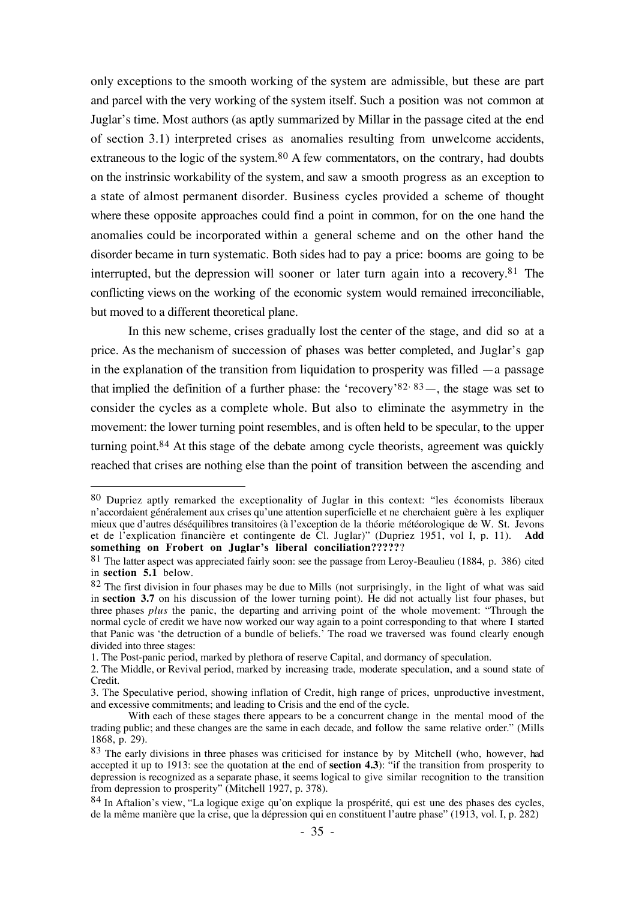only exceptions to the smooth working of the system are admissible, but these are part and parcel with the very working of the system itself. Such a position was not common at Juglar's time. Most authors (as aptly summarized by Millar in the passage cited at the end of section 3.1) interpreted crises as anomalies resulting from unwelcome accidents, extraneous to the logic of the system. $80$  A few commentators, on the contrary, had doubts on the instrinsic workability of the system, and saw a smooth progress as an exception to a state of almost permanent disorder. Business cycles provided a scheme of thought where these opposite approaches could find a point in common, for on the one hand the anomalies could be incorporated within a general scheme and on the other hand the disorder became in turn systematic. Both sides had to pay a price: booms are going to be interrupted, but the depression will sooner or later turn again into a recovery.<sup>81</sup> The conflicting views on the working of the economic system would remained irreconciliable, but moved to a different theoretical plane.

In this new scheme, crises gradually lost the center of the stage, and did so at a price. As the mechanism of succession of phases was better completed, and Juglar's gap in the explanation of the transition from liquidation to prosperity was filled —a passage that implied the definition of a further phase: the 'recovery'<sup>82, 83</sup>, the stage was set to consider the cycles as a complete whole. But also to eliminate the asymmetry in the movement: the lower turning point resembles, and is often held to be specular, to the upper turning point.<sup>84</sup> At this stage of the debate among cycle theorists, agreement was quickly reached that crises are nothing else than the point of transition between the ascending and

<sup>80</sup> Dupriez aptly remarked the exceptionality of Juglar in this context: "les économists liberaux n'accordaient généralement aux crises qu'une attention superficielle et ne cherchaient guère à les expliquer mieux que d'autres déséquilibres transitoires (à l'exception de la théorie météorologique de W. St. Jevons et de l'explication financière et contingente de Cl. Juglar)" (Dupriez 1951, vol I, p. 11). **something on Frobert on Juglar's liberal conciliation?????**?

<sup>81</sup> The latter aspect was appreciated fairly soon: see the passage from Leroy-Beaulieu (1884, p. 386) cited in **section 5.1** below.

 $82$  The first division in four phases may be due to Mills (not surprisingly, in the light of what was said in **section 3.7** on his discussion of the lower turning point). He did not actually list four phases, but three phases *plus* the panic, the departing and arriving point of the whole movement: "Through the normal cycle of credit we have now worked our way again to a point corresponding to that where I started that Panic was 'the detruction of a bundle of beliefs.' The road we traversed was found clearly enough divided into three stages:

<sup>1.</sup> The Post-panic period, marked by plethora of reserve Capital, and dormancy of speculation.

<sup>2.</sup> The Middle, or Revival period, marked by increasing trade, moderate speculation, and a sound state of Credit.

<sup>3.</sup> The Speculative period, showing inflation of Credit, high range of prices, unproductive investment, and excessive commitments; and leading to Crisis and the end of the cycle.

With each of these stages there appears to be a concurrent change in the mental mood of the trading public; and these changes are the same in each decade, and follow the same relative order." (Mills 1868, p. 29).

 $83$  The early divisions in three phases was criticised for instance by by Mitchell (who, however, had accepted it up to 1913: see the quotation at the end of **section 4.3**): "if the transition from prosperity to depression is recognized as a separate phase, it seems logical to give similar recognition to the transition from depression to prosperity" (Mitchell 1927, p. 378).

<sup>84</sup> In Aftalion's view, "La logique exige qu'on explique la prospérité, qui est une des phases des cycles, de la même manière que la crise, que la dépression qui en constituent l'autre phase" (1913, vol. I, p. 282)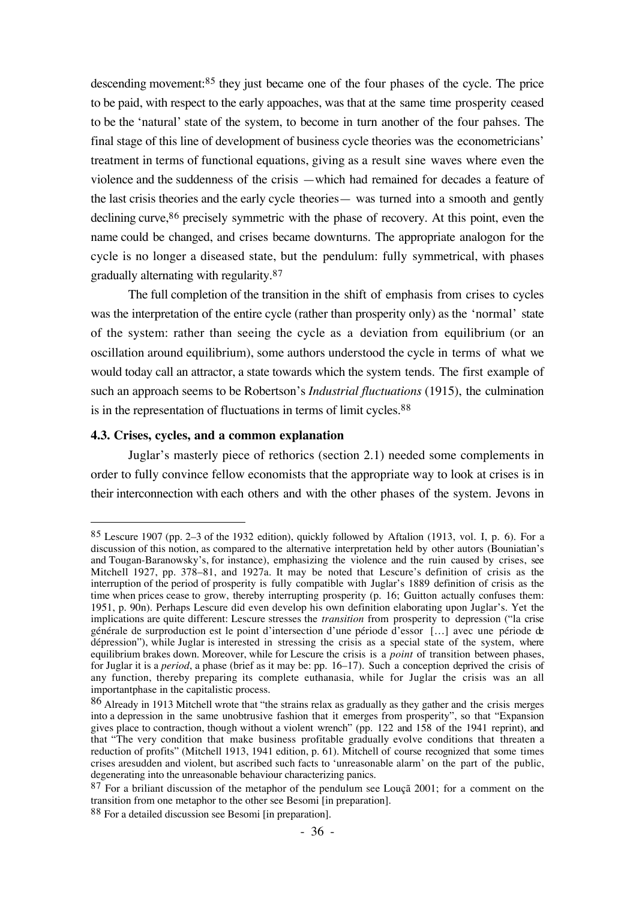descending movement:85 they just became one of the four phases of the cycle. The price to be paid, with respect to the early appoaches, was that at the same time prosperity ceased to be the 'natural' state of the system, to become in turn another of the four pahses. The final stage of this line of development of business cycle theories was the econometricians' treatment in terms of functional equations, giving as a result sine waves where even the violence and the suddenness of the crisis —which had remained for decades a feature of the last crisis theories and the early cycle theories— was turned into a smooth and gently declining curve, <sup>86</sup> precisely symmetric with the phase of recovery. At this point, even the name could be changed, and crises became downturns. The appropriate analogon for the cycle is no longer a diseased state, but the pendulum: fully symmetrical, with phases gradually alternating with regularity.87

The full completion of the transition in the shift of emphasis from crises to cycles was the interpretation of the entire cycle (rather than prosperity only) as the 'normal' state of the system: rather than seeing the cycle as a deviation from equilibrium (or an oscillation around equilibrium), some authors understood the cycle in terms of what we would today call an attractor, a state towards which the system tends. The first example of such an approach seems to be Robertson's *Industrial fluctuations* (1915), the culmination is in the representation of fluctuations in terms of limit cycles.88

#### **4.3. Crises, cycles, and a common explanation**

 $\overline{a}$ 

Juglar's masterly piece of rethorics (section 2.1) needed some complements in order to fully convince fellow economists that the appropriate way to look at crises is in their interconnection with each others and with the other phases of the system. Jevons in

<sup>85</sup> Lescure 1907 (pp. 2–3 of the 1932 edition), quickly followed by Aftalion (1913, vol. I, p. 6). For a discussion of this notion, as compared to the alternative interpretation held by other autors (Bouniatian's and Tougan-Baranowsky's, for instance), emphasizing the violence and the ruin caused by crises, see Mitchell 1927, pp. 378–81, and 1927a. It may be noted that Lescure's definition of crisis as the interruption of the period of prosperity is fully compatible with Juglar's 1889 definition of crisis as the time when prices cease to grow, thereby interrupting prosperity (p. 16; Guitton actually confuses them: 1951, p. 90n). Perhaps Lescure did even develop his own definition elaborating upon Juglar's. Yet the implications are quite different: Lescure stresses the *transition* from prosperity to depression ("la crise générale de surproduction est le point d'intersection d'une période d'essor […] avec une période de dépression"), while Juglar is interested in stressing the crisis as a special state of the system, where equilibrium brakes down. Moreover, while for Lescure the crisis is a *point* of transition between phases, for Juglar it is a *period*, a phase (brief as it may be: pp. 16–17). Such a conception deprived the crisis of any function, thereby preparing its complete euthanasia, while for Juglar the crisis was an all importantphase in the capitalistic process.

<sup>86</sup> Already in 1913 Mitchell wrote that "the strains relax as gradually as they gather and the crisis merges into a depression in the same unobtrusive fashion that it emerges from prosperity", so that "Expansion gives place to contraction, though without a violent wrench" (pp. 122 and 158 of the 1941 reprint), and that "The very condition that make business profitable gradually evolve conditions that threaten a reduction of profits" (Mitchell 1913, 1941 edition, p. 61). Mitchell of course recognized that some times crises aresudden and violent, but ascribed such facts to 'unreasonable alarm' on the part of the public, degenerating into the unreasonable behaviour characterizing panics.

 $87$  For a briliant discussion of the metaphor of the pendulum see Louçã 2001; for a comment on the transition from one metaphor to the other see Besomi [in preparation].

<sup>88</sup> For a detailed discussion see Besomi [in preparation].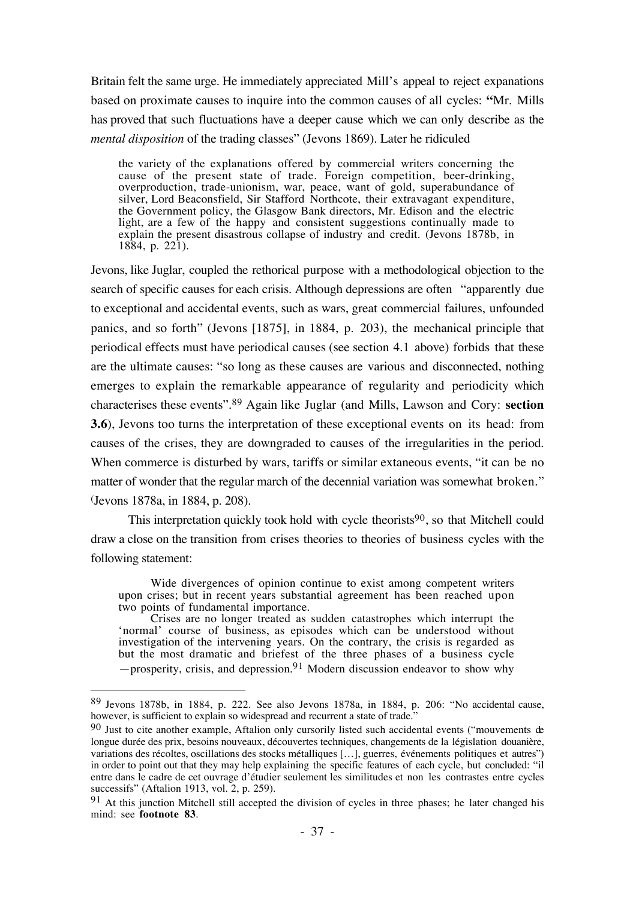Britain felt the same urge. He immediately appreciated Mill's appeal to reject expanations based on proximate causes to inquire into the common causes of all cycles: **"**Mr. Mills has proved that such fluctuations have a deeper cause which we can only describe as the *mental disposition* of the trading classes" (Jevons 1869). Later he ridiculed

the variety of the explanations offered by commercial writers concerning the cause of the present state of trade. Foreign competition, beer-drinking, overproduction, trade-unionism, war, peace, want of gold, superabundance of silver, Lord Beaconsfield, Sir Stafford Northcote, their extravagant expenditure, the Government policy, the Glasgow Bank directors, Mr. Edison and the electric light, are a few of the happy and consistent suggestions continually made to explain the present disastrous collapse of industry and credit. (Jevons 1878b, in 1884, p. 221).

Jevons, like Juglar, coupled the rethorical purpose with a methodological objection to the search of specific causes for each crisis. Although depressions are often "apparently due to exceptional and accidental events, such as wars, great commercial failures, unfounded panics, and so forth" (Jevons [1875], in 1884, p. 203), the mechanical principle that periodical effects must have periodical causes (see section 4.1 above) forbids that these are the ultimate causes: "so long as these causes are various and disconnected, nothing emerges to explain the remarkable appearance of regularity and periodicity which characterises these events".89 Again like Juglar (and Mills, Lawson and Cory: **section 3.6**), Jevons too turns the interpretation of these exceptional events on its head: from causes of the crises, they are downgraded to causes of the irregularities in the period. When commerce is disturbed by wars, tariffs or similar extaneous events, "it can be no matter of wonder that the regular march of the decennial variation was somewhat broken." (Jevons 1878a, in 1884, p. 208).

This interpretation quickly took hold with cycle theorists<sup>90</sup>, so that Mitchell could draw a close on the transition from crises theories to theories of business cycles with the following statement:

Wide divergences of opinion continue to exist among competent writers upon crises; but in recent years substantial agreement has been reached upon two points of fundamental importance.

Crises are no longer treated as sudden catastrophes which interrupt the 'normal' course of business, as episodes which can be understood without investigation of the intervening years. On the contrary, the crisis is regarded as but the most dramatic and briefest of the three phases of a business cycle  $-$ prosperity, crisis, and depression.<sup>91</sup> Modern discussion endeavor to show why

<sup>89</sup> Jevons 1878b, in 1884, p. 222. See also Jevons 1878a, in 1884, p. 206: "No accidental cause, however, is sufficient to explain so widespread and recurrent a state of trade.<sup>7</sup>

<sup>&</sup>lt;sup>90</sup> Just to cite another example, Aftalion only cursorily listed such accidental events ("mouvements de longue durée des prix, besoins nouveaux, découvertes techniques, changements de la législation douanière, variations des récoltes, oscillations des stocks métalliques […], guerres, événements politiques et autres") in order to point out that they may help explaining the specific features of each cycle, but concluded: "il entre dans le cadre de cet ouvrage d'étudier seulement les similitudes et non les contrastes entre cycles successifs" (Aftalion 1913, vol. 2, p. 259).

 $91$  At this junction Mitchell still accepted the division of cycles in three phases; he later changed his mind: see **footnote 83**.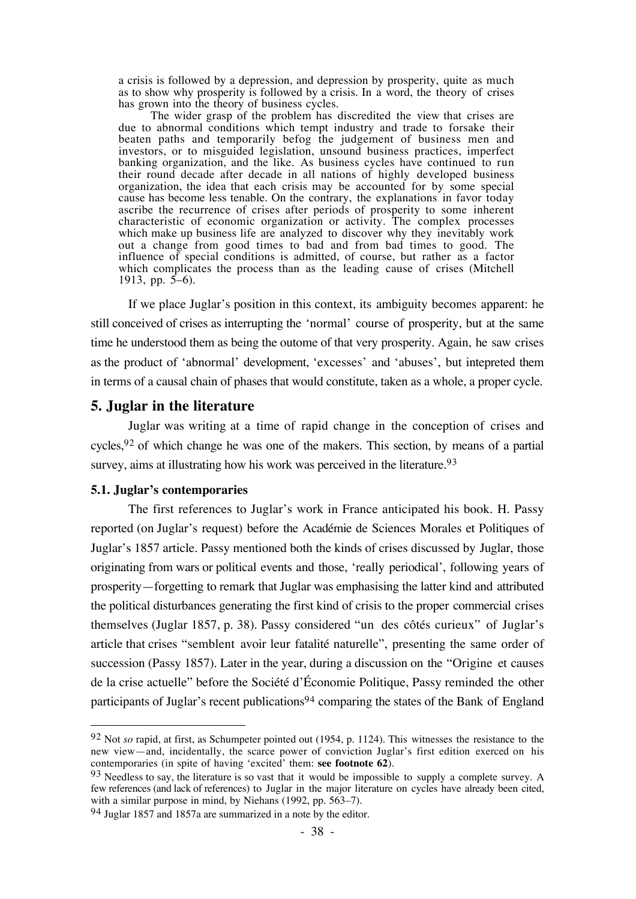a crisis is followed by a depression, and depression by prosperity, quite as much as to show why prosperity is followed by a crisis. In a word, the theory of crises has grown into the theory of business cycles.

The wider grasp of the problem has discredited the view that crises are due to abnormal conditions which tempt industry and trade to forsake their beaten paths and temporarily befog the judgement of business men and investors, or to misguided legislation, unsound business practices, imperfect banking organization, and the like. As business cycles have continued to run their round decade after decade in all nations of highly developed business organization, the idea that each crisis may be accounted for by some special cause has become less tenable. On the contrary, the explanations in favor today ascribe the recurrence of crises after periods of prosperity to some inherent characteristic of economic organization or activity. The complex processes which make up business life are analyzed to discover why they inevitably work out a change from good times to bad and from bad times to good. The influence of special conditions is admitted, of course, but rather as a factor which complicates the process than as the leading cause of crises (Mitchell 1913, pp.  $5-6$ ).

If we place Juglar's position in this context, its ambiguity becomes apparent: he still conceived of crises as interrupting the 'normal' course of prosperity, but at the same time he understood them as being the outome of that very prosperity. Again, he saw crises as the product of 'abnormal' development, 'excesses' and 'abuses', but intepreted them in terms of a causal chain of phases that would constitute, taken as a whole, a proper cycle.

## **5. Juglar in the literature**

Juglar was writing at a time of rapid change in the conception of crises and cycles,<sup>92</sup> of which change he was one of the makers. This section, by means of a partial survey, aims at illustrating how his work was perceived in the literature.<sup>93</sup>

#### **5.1. Juglar's contemporaries**

 $\overline{a}$ 

The first references to Juglar's work in France anticipated his book. H. Passy reported (on Juglar's request) before the Académie de Sciences Morales et Politiques of Juglar's 1857 article. Passy mentioned both the kinds of crises discussed by Juglar, those originating from wars or political events and those, 'really periodical', following years of prosperity—forgetting to remark that Juglar was emphasising the latter kind and attributed the political disturbances generating the first kind of crisis to the proper commercial crises themselves (Juglar 1857, p. 38). Passy considered "un des côtés curieux" of Juglar's article that crises "semblent avoir leur fatalité naturelle", presenting the same order of succession (Passy 1857). Later in the year, during a discussion on the "Origine et causes de la crise actuelle" before the Société d'Économie Politique, Passy reminded the other participants of Juglar's recent publications<sup>94</sup> comparing the states of the Bank of England

<sup>92</sup> Not *so* rapid, at first, as Schumpeter pointed out (1954, p. 1124). This witnesses the resistance to the new view—and, incidentally, the scarce power of conviction Juglar's first edition exerced on his contemporaries (in spite of having 'excited' them: **see footnote 62**).

<sup>93</sup> Needless to say, the literature is so vast that it would be impossible to supply a complete survey. A few references (and lack of references) to Juglar in the major literature on cycles have already been cited, with a similar purpose in mind, by Niehans (1992, pp. 563–7).

<sup>94</sup> Juglar 1857 and 1857a are summarized in a note by the editor.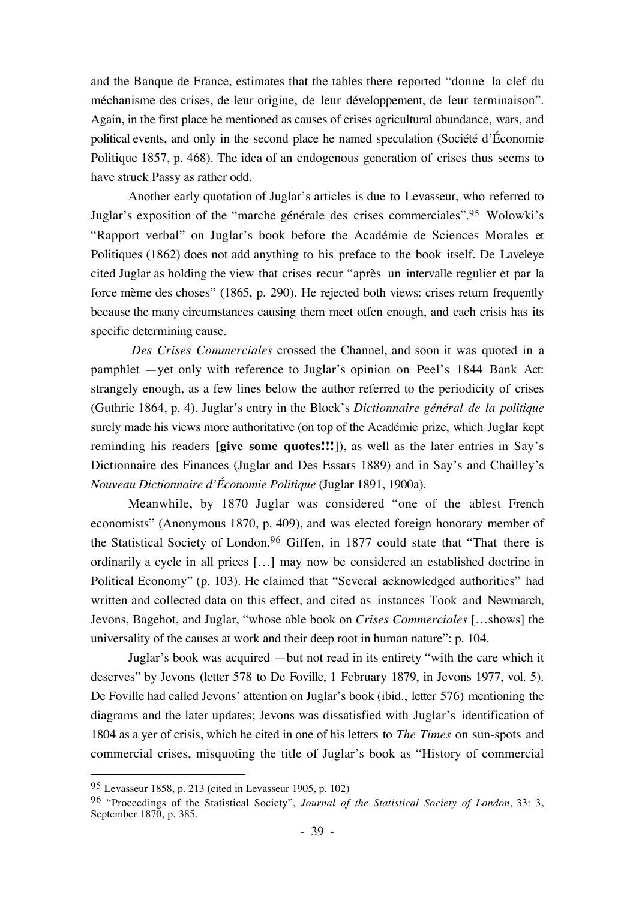and the Banque de France, estimates that the tables there reported "donne la clef du méchanisme des crises, de leur origine, de leur développement, de leur terminaison". Again, in the first place he mentioned as causes of crises agricultural abundance, wars, and political events, and only in the second place he named speculation (Société d'Économie Politique 1857, p. 468). The idea of an endogenous generation of crises thus seems to have struck Passy as rather odd.

Another early quotation of Juglar's articles is due to Levasseur, who referred to Juglar's exposition of the "marche générale des crises commerciales".95 Wolowki's "Rapport verbal" on Juglar's book before the Académie de Sciences Morales et Politiques (1862) does not add anything to his preface to the book itself. De Laveleye cited Juglar as holding the view that crises recur "après un intervalle regulier et par la force mème des choses" (1865, p. 290). He rejected both views: crises return frequently because the many circumstances causing them meet otfen enough, and each crisis has its specific determining cause.

*Des Crises Commerciales* crossed the Channel, and soon it was quoted in a pamphlet —yet only with reference to Juglar's opinion on Peel's 1844 Bank Act: strangely enough, as a few lines below the author referred to the periodicity of crises (Guthrie 1864, p. 4). Juglar's entry in the Block's *Dictionnaire général de la politique* surely made his views more authoritative (on top of the Académie prize, which Juglar kept reminding his readers **[give some quotes!!!**]), as well as the later entries in Say's Dictionnaire des Finances (Juglar and Des Essars 1889) and in Say's and Chailley's *Nouveau Dictionnaire d'Économie Politique* (Juglar 1891, 1900a).

Meanwhile, by 1870 Juglar was considered "one of the ablest French economists" (Anonymous 1870, p. 409), and was elected foreign honorary member of the Statistical Society of London.96 Giffen, in 1877 could state that "That there is ordinarily a cycle in all prices […] may now be considered an established doctrine in Political Economy" (p. 103). He claimed that "Several acknowledged authorities" had written and collected data on this effect, and cited as instances Took and Newmarch, Jevons, Bagehot, and Juglar, "whose able book on *Crises Commerciales* […shows] the universality of the causes at work and their deep root in human nature": p. 104.

Juglar's book was acquired —but not read in its entirety "with the care which it deserves" by Jevons (letter 578 to De Foville, 1 February 1879, in Jevons 1977, vol. 5). De Foville had called Jevons' attention on Juglar's book (ibid., letter 576) mentioning the diagrams and the later updates; Jevons was dissatisfied with Juglar's identification of 1804 as a yer of crisis, which he cited in one of his letters to *The Times* on sun-spots and commercial crises, misquoting the title of Juglar's book as "History of commercial

<sup>95</sup> Levasseur 1858, p. 213 (cited in Levasseur 1905, p. 102)

<sup>96</sup> "Proceedings of the Statistical Society", *Journal of the Statistical Society of London*, 33: 3, September 1870, p. 385.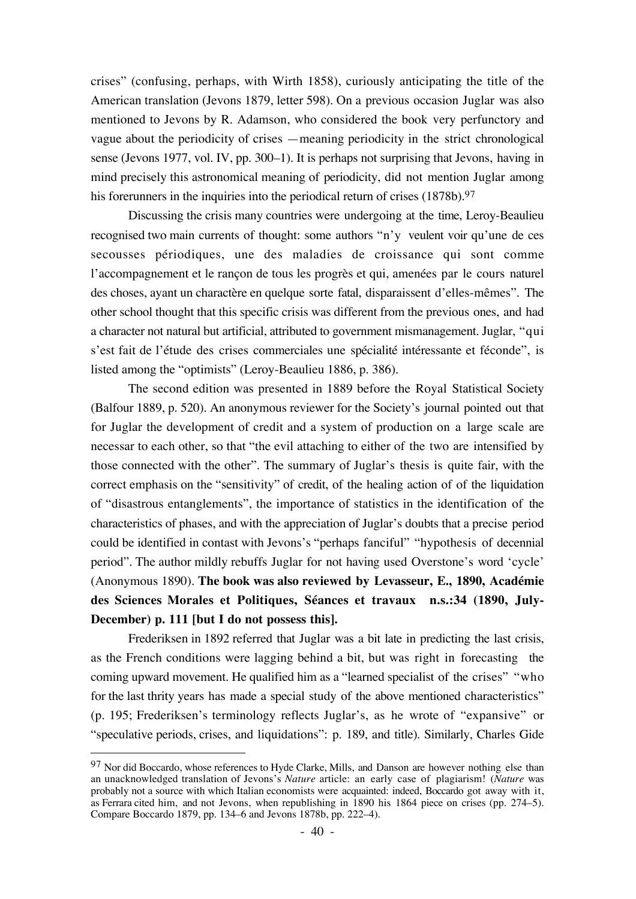crises" (confusing, perhaps, with Wirth 1858), curiously anticipating the title of the American translation (Jevons 1879, letter 598). On a previous occasion Juglar was also mentioned to Jevons by R. Adamson, who considered the book very perfunctory and vague about the periodicity of crises —meaning periodicity in the strict chronological sense (Jevons 1977, vol. IV, pp. 300–1). It is perhaps not surprising that Jevons, having in mind precisely this astronomical meaning of periodicity, did not mention Juglar among his forerunners in the inquiries into the periodical return of crises (1878b).<sup>97</sup>

Discussing the crisis many countries were undergoing at the time, Leroy-Beaulieu recognised two main currents of thought: some authors "n'y veulent voir qu'une de ces secousses périodiques, une des maladies de croissance qui sont comme l'accompagnement et le rançon de tous les progrès et qui, amenées par le cours naturel des choses, ayant un charactère en quelque sorte fatal, disparaissent d'elles-mêmes". The other school thought that this specific crisis was different from the previous ones, and had a character not natural but artificial, attributed to government mismanagement. Juglar, "qui s'est fait de l'étude des crises commerciales une spécialité intéressante et féconde", is listed among the "optimists" (Leroy-Beaulieu 1886, p. 386).

The second edition was presented in 1889 before the Royal Statistical Society (Balfour 1889, p. 520). An anonymous reviewer for the Society's journal pointed out that for Juglar the development of credit and a system of production on a large scale are necessar to each other, so that "the evil attaching to either of the two are intensified by those connected with the other". The summary of Juglar's thesis is quite fair, with the correct emphasis on the "sensitivity" of credit, of the healing action of of the liquidation of "disastrous entanglements", the importance of statistics in the identification of the characteristics of phases, and with the appreciation of Juglar's doubts that a precise period could be identified in contast with Jevons's "perhaps fanciful" "hypothesis of decennial period". The author mildly rebuffs Juglar for not having used Overstone's word 'cycle' (Anonymous 1890). **The book was also reviewed by Levasseur, E., 1890, Académie des Sciences Morales et Politiques, Séances et travaux n.s.:34 (1890, July-December) p. 111 [but I do not possess this].**

Frederiksen in 1892 referred that Juglar was a bit late in predicting the last crisis, as the French conditions were lagging behind a bit, but was right in forecasting the coming upward movement. He qualified him as a "learned specialist of the crises" "who for the last thrity years has made a special study of the above mentioned characteristics" (p. 195; Frederiksen's terminology reflects Juglar's, as he wrote of "expansive" or "speculative periods, crises, and liquidations": p. 189, and title). Similarly, Charles Gide

<sup>&</sup>lt;sup>97</sup> Nor did Boccardo, whose references to Hyde Clarke, Mills, and Danson are however nothing else than an unacknowledged translation of Jevons's *Nature* article: an early case of plagiarism! (*Nature* was probably not a source with which Italian economists were acquainted: indeed, Boccardo got away with it, as Ferrara cited him, and not Jevons, when republishing in 1890 his 1864 piece on crises (pp. 274–5). Compare Boccardo 1879, pp. 134–6 and Jevons 1878b, pp. 222–4).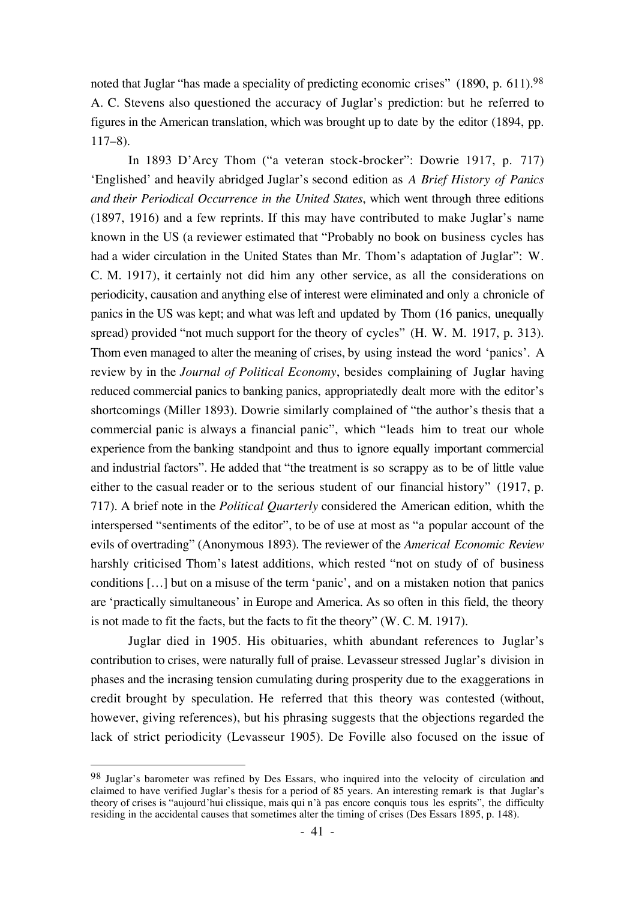noted that Juglar "has made a speciality of predicting economic crises" (1890, p. 611).<sup>98</sup> A. C. Stevens also questioned the accuracy of Juglar's prediction: but he referred to figures in the American translation, which was brought up to date by the editor (1894, pp. 117–8).

In 1893 D'Arcy Thom ("a veteran stock-brocker": Dowrie 1917, p. 717) 'Englished' and heavily abridged Juglar's second edition as *A Brief History of Panics and their Periodical Occurrence in the United States*, which went through three editions (1897, 1916) and a few reprints. If this may have contributed to make Juglar's name known in the US (a reviewer estimated that "Probably no book on business cycles has had a wider circulation in the United States than Mr. Thom's adaptation of Juglar": W. C. M. 1917), it certainly not did him any other service, as all the considerations on periodicity, causation and anything else of interest were eliminated and only a chronicle of panics in the US was kept; and what was left and updated by Thom (16 panics, unequally spread) provided "not much support for the theory of cycles" (H. W. M. 1917, p. 313). Thom even managed to alter the meaning of crises, by using instead the word 'panics'. A review by in the *Journal of Political Economy*, besides complaining of Juglar having reduced commercial panics to banking panics, appropriatedly dealt more with the editor's shortcomings (Miller 1893). Dowrie similarly complained of "the author's thesis that a commercial panic is always a financial panic", which "leads him to treat our whole experience from the banking standpoint and thus to ignore equally important commercial and industrial factors". He added that "the treatment is so scrappy as to be of little value either to the casual reader or to the serious student of our financial history" (1917, p. 717). A brief note in the *Political Quarterly* considered the American edition, whith the interspersed "sentiments of the editor", to be of use at most as "a popular account of the evils of overtrading" (Anonymous 1893). The reviewer of the *Americal Economic Review* harshly criticised Thom's latest additions, which rested "not on study of of business conditions […] but on a misuse of the term 'panic', and on a mistaken notion that panics are 'practically simultaneous' in Europe and America. As so often in this field, the theory is not made to fit the facts, but the facts to fit the theory" (W. C. M. 1917).

Juglar died in 1905. His obituaries, whith abundant references to Juglar's contribution to crises, were naturally full of praise. Levasseur stressed Juglar's division in phases and the incrasing tension cumulating during prosperity due to the exaggerations in credit brought by speculation. He referred that this theory was contested (without, however, giving references), but his phrasing suggests that the objections regarded the lack of strict periodicity (Levasseur 1905). De Foville also focused on the issue of

<sup>98</sup> Juglar's barometer was refined by Des Essars, who inquired into the velocity of circulation and claimed to have verified Juglar's thesis for a period of 85 years. An interesting remark is that Juglar's theory of crises is "aujourd'hui clissique, mais qui n'à pas encore conquis tous les esprits", the difficulty residing in the accidental causes that sometimes alter the timing of crises (Des Essars 1895, p. 148).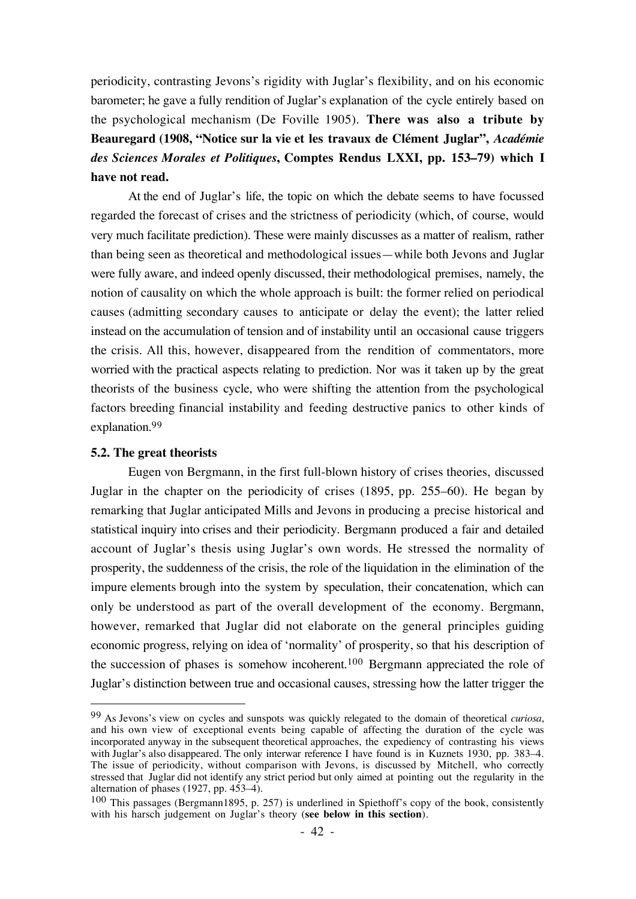periodicity, contrasting Jevons's rigidity with Juglar's flexibility, and on his economic barometer; he gave a fully rendition of Juglar's explanation of the cycle entirely based on the psychological mechanism (De Foville 1905). **There was also a tribute by Beauregard (1908, "Notice sur la vie et les travaux de Clément Juglar",** *Académie des Sciences Morales et Politiques***, Comptes Rendus LXXI, pp. 153–79) which I have not read.**

At the end of Juglar's life, the topic on which the debate seems to have focussed regarded the forecast of crises and the strictness of periodicity (which, of course, would very much facilitate prediction). These were mainly discusses as a matter of realism, rather than being seen as theoretical and methodological issues—while both Jevons and Juglar were fully aware, and indeed openly discussed, their methodological premises, namely, the notion of causality on which the whole approach is built: the former relied on periodical causes (admitting secondary causes to anticipate or delay the event); the latter relied instead on the accumulation of tension and of instability until an occasional cause triggers the crisis. All this, however, disappeared from the rendition of commentators, more worried with the practical aspects relating to prediction. Nor was it taken up by the great theorists of the business cycle, who were shifting the attention from the psychological factors breeding financial instability and feeding destructive panics to other kinds of explanation.99

#### **5.2. The great theorists**

 $\overline{a}$ 

Eugen von Bergmann, in the first full-blown history of crises theories, discussed Juglar in the chapter on the periodicity of crises (1895, pp. 255–60). He began by remarking that Juglar anticipated Mills and Jevons in producing a precise historical and statistical inquiry into crises and their periodicity. Bergmann produced a fair and detailed account of Juglar's thesis using Juglar's own words. He stressed the normality of prosperity, the suddenness of the crisis, the role of the liquidation in the elimination of the impure elements brough into the system by speculation, their concatenation, which can only be understood as part of the overall development of the economy. Bergmann, however, remarked that Juglar did not elaborate on the general principles guiding economic progress, relying on idea of 'normality' of prosperity, so that his description of the succession of phases is somehow incoherent.100 Bergmann appreciated the role of Juglar's distinction between true and occasional causes, stressing how the latter trigger the

<sup>99</sup> As Jevons's view on cycles and sunspots was quickly relegated to the domain of theoretical *curiosa*, and his own view of exceptional events being capable of affecting the duration of the cycle was incorporated anyway in the subsequent theoretical approaches, the expediency of contrasting his views with Juglar's also disappeared. The only interwar reference I have found is in Kuznets 1930, pp. 383–4. The issue of periodicity, without comparison with Jevons, is discussed by Mitchell, who correctly stressed that Juglar did not identify any strict period but only aimed at pointing out the regularity in the alternation of phases (1927, pp. 453–4).

<sup>100</sup> This passages (Bergmann1895, p. 257) is underlined in Spiethoff's copy of the book, consistently with his harsch judgement on Juglar's theory (**see below in this section**).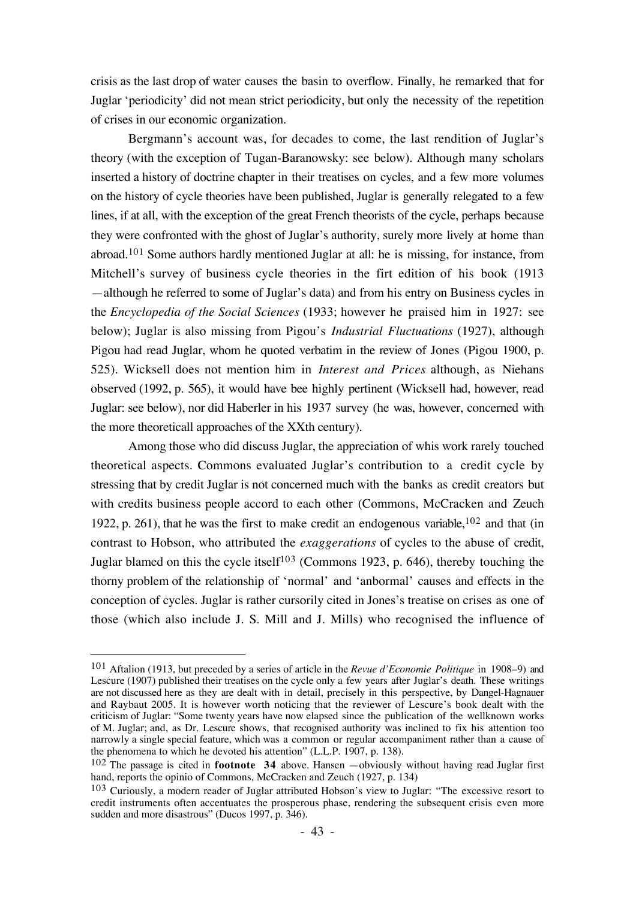crisis as the last drop of water causes the basin to overflow. Finally, he remarked that for Juglar 'periodicity' did not mean strict periodicity, but only the necessity of the repetition of crises in our economic organization.

Bergmann's account was, for decades to come, the last rendition of Juglar's theory (with the exception of Tugan-Baranowsky: see below). Although many scholars inserted a history of doctrine chapter in their treatises on cycles, and a few more volumes on the history of cycle theories have been published, Juglar is generally relegated to a few lines, if at all, with the exception of the great French theorists of the cycle, perhaps because they were confronted with the ghost of Juglar's authority, surely more lively at home than abroad.101 Some authors hardly mentioned Juglar at all: he is missing, for instance, from Mitchell's survey of business cycle theories in the firt edition of his book (1913 —although he referred to some of Juglar's data) and from his entry on Business cycles in the *Encyclopedia of the Social Sciences* (1933; however he praised him in 1927: see below); Juglar is also missing from Pigou's *Industrial Fluctuations* (1927), although Pigou had read Juglar, whom he quoted verbatim in the review of Jones (Pigou 1900, p. 525). Wicksell does not mention him in *Interest and Prices* although, as Niehans observed (1992, p. 565), it would have bee highly pertinent (Wicksell had, however, read Juglar: see below), nor did Haberler in his 1937 survey (he was, however, concerned with the more theoreticall approaches of the XXth century).

Among those who did discuss Juglar, the appreciation of whis work rarely touched theoretical aspects. Commons evaluated Juglar's contribution to a credit cycle by stressing that by credit Juglar is not concerned much with the banks as credit creators but with credits business people accord to each other (Commons, McCracken and Zeuch 1922, p. 261), that he was the first to make credit an endogenous variable,  $102$  and that (in contrast to Hobson, who attributed the *exaggerations* of cycles to the abuse of credit, Juglar blamed on this the cycle itself<sup>103</sup> (Commons 1923, p. 646), thereby touching the thorny problem of the relationship of 'normal' and 'anbormal' causes and effects in the conception of cycles. Juglar is rather cursorily cited in Jones's treatise on crises as one of those (which also include J. S. Mill and J. Mills) who recognised the influence of

<sup>101</sup> Aftalion (1913, but preceded by a series of article in the *Revue d'Economie Politique* in 1908–9) and Lescure (1907) published their treatises on the cycle only a few years after Juglar's death. These writings are not discussed here as they are dealt with in detail, precisely in this perspective, by Dangel-Hagnauer and Raybaut 2005. It is however worth noticing that the reviewer of Lescure's book dealt with the criticism of Juglar: "Some twenty years have now elapsed since the publication of the wellknown works of M. Juglar; and, as Dr. Lescure shows, that recognised authority was inclined to fix his attention too narrowly a single special feature, which was a common or regular accompaniment rather than a cause of the phenomena to which he devoted his attention" (L.L.P. 1907, p. 138).

<sup>102</sup> The passage is cited in **footnote 34** above. Hansen —obviously without having read Juglar first hand, reports the opinio of Commons, McCracken and Zeuch (1927, p. 134)

<sup>103</sup> Curiously, a modern reader of Juglar attributed Hobson's view to Juglar: "The excessive resort to credit instruments often accentuates the prosperous phase, rendering the subsequent crisis even more sudden and more disastrous" (Ducos 1997, p. 346).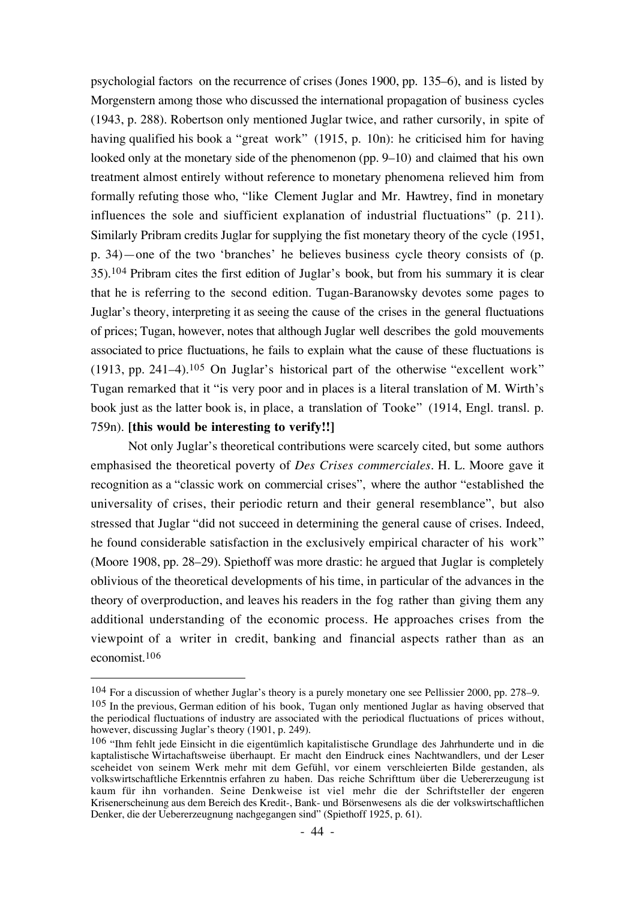psychologial factors on the recurrence of crises (Jones 1900, pp. 135–6), and is listed by Morgenstern among those who discussed the international propagation of business cycles (1943, p. 288). Robertson only mentioned Juglar twice, and rather cursorily, in spite of having qualified his book a "great work" (1915, p. 10n): he criticised him for having looked only at the monetary side of the phenomenon (pp. 9–10) and claimed that his own treatment almost entirely without reference to monetary phenomena relieved him from formally refuting those who, "like Clement Juglar and Mr. Hawtrey, find in monetary influences the sole and siufficient explanation of industrial fluctuations" (p. 211). Similarly Pribram credits Juglar for supplying the fist monetary theory of the cycle (1951, p. 34)—one of the two 'branches' he believes business cycle theory consists of (p. 35).104 Pribram cites the first edition of Juglar's book, but from his summary it is clear that he is referring to the second edition. Tugan-Baranowsky devotes some pages to Juglar's theory, interpreting it as seeing the cause of the crises in the general fluctuations of prices; Tugan, however, notes that although Juglar well describes the gold mouvements associated to price fluctuations, he fails to explain what the cause of these fluctuations is (1913, pp. 241–4).105 On Juglar's historical part of the otherwise "excellent work" Tugan remarked that it "is very poor and in places is a literal translation of M. Wirth's book just as the latter book is, in place, a translation of Tooke" (1914, Engl. transl. p. 759n). **[this would be interesting to verify!!]**

Not only Juglar's theoretical contributions were scarcely cited, but some authors emphasised the theoretical poverty of *Des Crises commerciales*. H. L. Moore gave it recognition as a "classic work on commercial crises", where the author "established the universality of crises, their periodic return and their general resemblance", but also stressed that Juglar "did not succeed in determining the general cause of crises. Indeed, he found considerable satisfaction in the exclusively empirical character of his work" (Moore 1908, pp. 28–29). Spiethoff was more drastic: he argued that Juglar is completely oblivious of the theoretical developments of his time, in particular of the advances in the theory of overproduction, and leaves his readers in the fog rather than giving them any additional understanding of the economic process. He approaches crises from the viewpoint of a writer in credit, banking and financial aspects rather than as an economist.106

<sup>104</sup> For a discussion of whether Juglar's theory is a purely monetary one see Pellissier 2000, pp. 278–9. <sup>105</sup> In the previous, German edition of his book, Tugan only mentioned Juglar as having observed that the periodical fluctuations of industry are associated with the periodical fluctuations of prices without, however, discussing Juglar's theory (1901, p. 249).

<sup>106</sup> "Ihm fehlt jede Einsicht in die eigentümlich kapitalistische Grundlage des Jahrhunderte und in die kaptalistische Wirtachaftsweise überhaupt. Er macht den Eindruck eines Nachtwandlers, und der Leser sceheidet von seinem Werk mehr mit dem Gefühl, vor einem verschleierten Bilde gestanden, als volkswirtschaftliche Erkenntnis erfahren zu haben. Das reiche Schrifttum über die Uebererzeugung ist kaum für ihn vorhanden. Seine Denkweise ist viel mehr die der Schriftsteller der engeren Krisenerscheinung aus dem Bereich des Kredit-, Bank- und Börsenwesens als die der volkswirtschaftlichen Denker, die der Uebererzeugnung nachgegangen sind" (Spiethoff 1925, p. 61).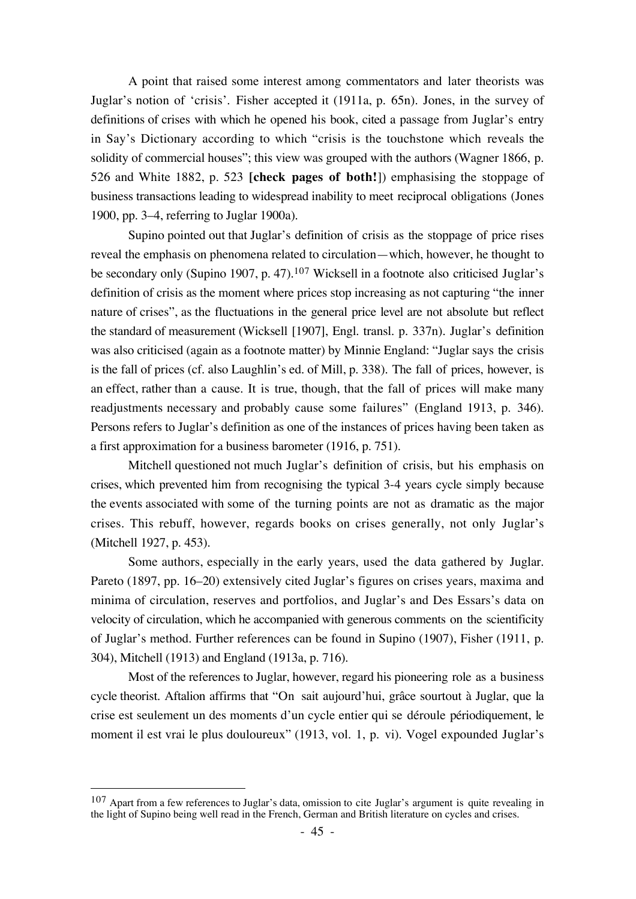A point that raised some interest among commentators and later theorists was Juglar's notion of 'crisis'. Fisher accepted it (1911a, p. 65n). Jones, in the survey of definitions of crises with which he opened his book, cited a passage from Juglar's entry in Say's Dictionary according to which "crisis is the touchstone which reveals the solidity of commercial houses"; this view was grouped with the authors (Wagner 1866, p. 526 and White 1882, p. 523 **[check pages of both!**]) emphasising the stoppage of business transactions leading to widespread inability to meet reciprocal obligations (Jones 1900, pp. 3–4, referring to Juglar 1900a).

Supino pointed out that Juglar's definition of crisis as the stoppage of price rises reveal the emphasis on phenomena related to circulation—which, however, he thought to be secondary only (Supino 1907, p. 47).<sup>107</sup> Wicksell in a footnote also criticised Juglar's definition of crisis as the moment where prices stop increasing as not capturing "the inner nature of crises", as the fluctuations in the general price level are not absolute but reflect the standard of measurement (Wicksell [1907], Engl. transl. p. 337n). Juglar's definition was also criticised (again as a footnote matter) by Minnie England: "Juglar says the crisis is the fall of prices (cf. also Laughlin's ed. of Mill, p. 338). The fall of prices, however, is an effect, rather than a cause. It is true, though, that the fall of prices will make many readjustments necessary and probably cause some failures" (England 1913, p. 346). Persons refers to Juglar's definition as one of the instances of prices having been taken as a first approximation for a business barometer (1916, p. 751).

Mitchell questioned not much Juglar's definition of crisis, but his emphasis on crises, which prevented him from recognising the typical 3-4 years cycle simply because the events associated with some of the turning points are not as dramatic as the major crises. This rebuff, however, regards books on crises generally, not only Juglar's (Mitchell 1927, p. 453).

Some authors, especially in the early years, used the data gathered by Juglar. Pareto (1897, pp. 16–20) extensively cited Juglar's figures on crises years, maxima and minima of circulation, reserves and portfolios, and Juglar's and Des Essars's data on velocity of circulation, which he accompanied with generous comments on the scientificity of Juglar's method. Further references can be found in Supino (1907), Fisher (1911, p. 304), Mitchell (1913) and England (1913a, p. 716).

Most of the references to Juglar, however, regard his pioneering role as a business cycle theorist. Aftalion affirms that "On sait aujourd'hui, grâce sourtout à Juglar, que la crise est seulement un des moments d'un cycle entier qui se déroule périodiquement, le moment il est vrai le plus douloureux" (1913, vol. 1, p. vi). Vogel expounded Juglar's

<sup>&</sup>lt;sup>107</sup> Apart from a few references to Juglar's data, omission to cite Juglar's argument is quite revealing in the light of Supino being well read in the French, German and British literature on cycles and crises.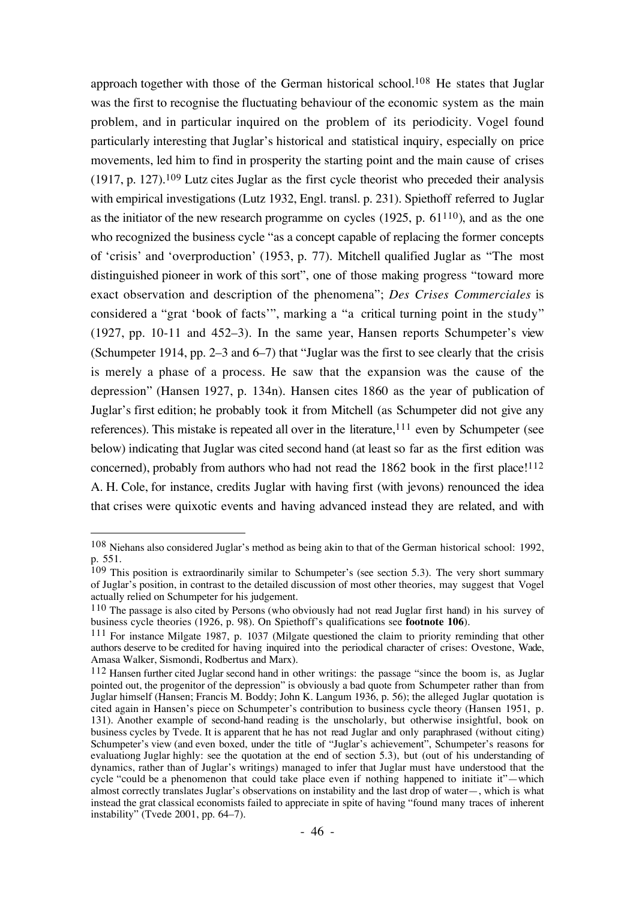approach together with those of the German historical school.<sup>108</sup> He states that Juglar was the first to recognise the fluctuating behaviour of the economic system as the main problem, and in particular inquired on the problem of its periodicity. Vogel found particularly interesting that Juglar's historical and statistical inquiry, especially on price movements, led him to find in prosperity the starting point and the main cause of crises  $(1917, p. 127)$ .<sup>109</sup> Lutz cites Juglar as the first cycle theorist who preceded their analysis with empirical investigations (Lutz 1932, Engl. transl. p. 231). Spiethoff referred to Juglar as the initiator of the new research programme on cycles (1925, p.  $61^{110}$ ), and as the one who recognized the business cycle "as a concept capable of replacing the former concepts of 'crisis' and 'overproduction' (1953, p. 77). Mitchell qualified Juglar as "The most distinguished pioneer in work of this sort", one of those making progress "toward more exact observation and description of the phenomena"; *Des Crises Commerciales* is considered a "grat 'book of facts'", marking a "a critical turning point in the study" (1927, pp. 10-11 and 452–3). In the same year, Hansen reports Schumpeter's view (Schumpeter 1914, pp. 2–3 and 6–7) that "Juglar was the first to see clearly that the crisis is merely a phase of a process. He saw that the expansion was the cause of the depression" (Hansen 1927, p. 134n). Hansen cites 1860 as the year of publication of Juglar's first edition; he probably took it from Mitchell (as Schumpeter did not give any references). This mistake is repeated all over in the literature,  $111$  even by Schumpeter (see below) indicating that Juglar was cited second hand (at least so far as the first edition was concerned), probably from authors who had not read the  $1862$  book in the first place!<sup>112</sup> A. H. Cole, for instance, credits Juglar with having first (with jevons) renounced the idea that crises were quixotic events and having advanced instead they are related, and with

<sup>108</sup> Niehans also considered Juglar's method as being akin to that of the German historical school: 1992, p. 551.

<sup>&</sup>lt;sup>109</sup> This position is extraordinarily similar to Schumpeter's (see section 5.3). The very short summary of Juglar's position, in contrast to the detailed discussion of most other theories, may suggest that Vogel actually relied on Schumpeter for his judgement.

<sup>110</sup> The passage is also cited by Persons (who obviously had not read Juglar first hand) in his survey of business cycle theories (1926, p. 98). On Spiethoff's qualifications see **footnote 106**).

<sup>111</sup> For instance Milgate 1987, p. 1037 (Milgate questioned the claim to priority reminding that other authors deserve to be credited for having inquired into the periodical character of crises: Ovestone, Wade, Amasa Walker, Sismondi, Rodbertus and Marx).

<sup>112</sup> Hansen further cited Juglar second hand in other writings: the passage "since the boom is, as Juglar pointed out, the progenitor of the depression" is obviously a bad quote from Schumpeter rather than from Juglar himself (Hansen; Francis M. Boddy; John K. Langum 1936, p. 56); the alleged Juglar quotation is cited again in Hansen's piece on Schumpeter's contribution to business cycle theory (Hansen 1951, p. 131). Another example of second-hand reading is the unscholarly, but otherwise insightful, book on business cycles by Tvede. It is apparent that he has not read Juglar and only paraphrased (without citing) Schumpeter's view (and even boxed, under the title of "Juglar's achievement", Schumpeter's reasons for evaluationg Juglar highly: see the quotation at the end of section 5.3), but (out of his understanding of dynamics, rather than of Juglar's writings) managed to infer that Juglar must have understood that the cycle "could be a phenomenon that could take place even if nothing happened to initiate it"—which almost correctly translates Juglar's observations on instability and the last drop of water—, which is what instead the grat classical economists failed to appreciate in spite of having "found many traces of inherent instability" (Tvede 2001, pp. 64–7).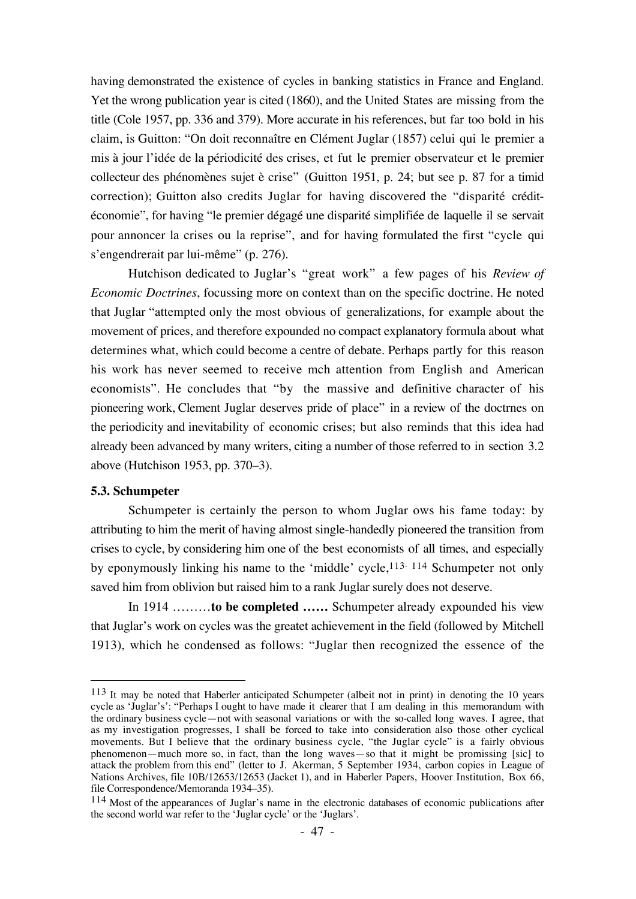having demonstrated the existence of cycles in banking statistics in France and England. Yet the wrong publication year is cited (1860), and the United States are missing from the title (Cole 1957, pp. 336 and 379). More accurate in his references, but far too bold in his claim, is Guitton: "On doit reconnaître en Clément Juglar (1857) celui qui le premier a mis à jour l'idée de la périodicité des crises, et fut le premier observateur et le premier collecteur des phénomènes sujet è crise" (Guitton 1951, p. 24; but see p. 87 for a timid correction); Guitton also credits Juglar for having discovered the "disparité créditéconomie", for having "le premier dégagé une disparité simplifiée de laquelle il se servait pour annoncer la crises ou la reprise", and for having formulated the first "cycle qui s'engendrerait par lui-même" (p. 276).

Hutchison dedicated to Juglar's "great work" a few pages of his *Review of Economic Doctrines*, focussing more on context than on the specific doctrine. He noted that Juglar "attempted only the most obvious of generalizations, for example about the movement of prices, and therefore expounded no compact explanatory formula about what determines what, which could become a centre of debate. Perhaps partly for this reason his work has never seemed to receive mch attention from English and American economists". He concludes that "by the massive and definitive character of his pioneering work, Clement Juglar deserves pride of place" in a review of the doctrnes on the periodicity and inevitability of economic crises; but also reminds that this idea had already been advanced by many writers, citing a number of those referred to in section 3.2 above (Hutchison 1953, pp. 370–3).

#### **5.3. Schumpeter**

 $\overline{a}$ 

Schumpeter is certainly the person to whom Juglar ows his fame today: by attributing to him the merit of having almost single-handedly pioneered the transition from crises to cycle, by considering him one of the best economists of all times, and especially by eponymously linking his name to the 'middle' cycle,<sup>113, 114</sup> Schumpeter not only saved him from oblivion but raised him to a rank Juglar surely does not deserve.

In 1914 ………**to be completed ……** Schumpeter already expounded his view that Juglar's work on cycles was the greatet achievement in the field (followed by Mitchell 1913), which he condensed as follows: "Juglar then recognized the essence of the

<sup>113</sup> It may be noted that Haberler anticipated Schumpeter (albeit not in print) in denoting the 10 years cycle as 'Juglar's': "Perhaps I ought to have made it clearer that I am dealing in this memorandum with the ordinary business cycle—not with seasonal variations or with the so-called long waves. I agree, that as my investigation progresses, I shall be forced to take into consideration also those other cyclical movements. But I believe that the ordinary business cycle, "the Juglar cycle" is a fairly obvious phenomenon—much more so, in fact, than the long waves—so that it might be promissing [sic] to attack the problem from this end" (letter to J. Akerman, 5 September 1934, carbon copies in League of Nations Archives, file 10B/12653/12653 (Jacket 1), and in Haberler Papers, Hoover Institution, Box 66, file Correspondence/Memoranda 1934–35).

<sup>114</sup> Most of the appearances of Juglar's name in the electronic databases of economic publications after the second world war refer to the 'Juglar cycle' or the 'Juglars'.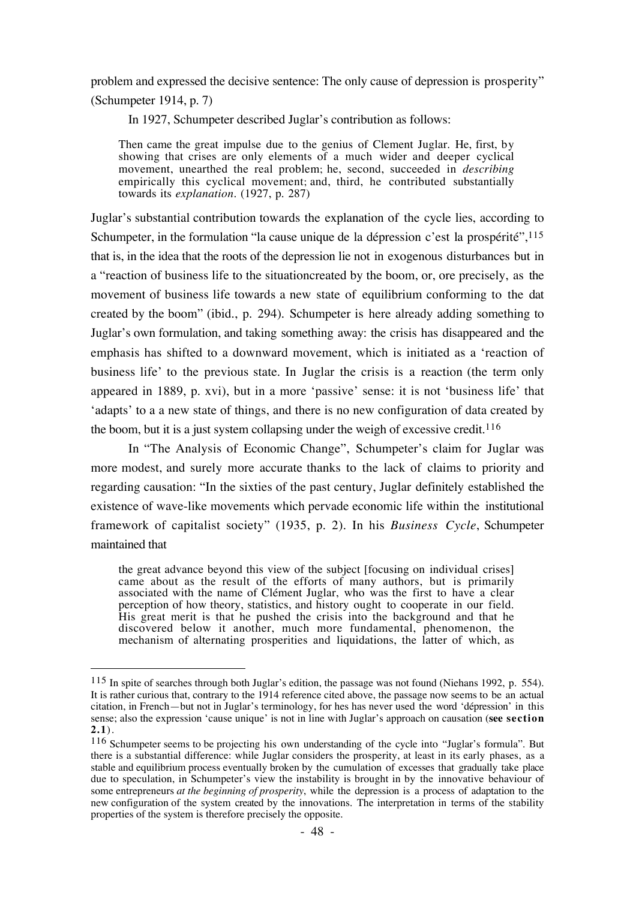problem and expressed the decisive sentence: The only cause of depression is prosperity" (Schumpeter 1914, p. 7)

In 1927, Schumpeter described Juglar's contribution as follows:

Then came the great impulse due to the genius of Clement Juglar. He, first, by showing that crises are only elements of a much wider and deeper cyclical movement, unearthed the real problem; he, second, succeeded in *describing* empirically this cyclical movement; and, third, he contributed substantially towards its *explanation.* (1927, p. 287)

Juglar's substantial contribution towards the explanation of the cycle lies, according to Schumpeter, in the formulation "la cause unique de la dépression c'est la prospérité", <sup>115</sup> that is, in the idea that the roots of the depression lie not in exogenous disturbances but in a "reaction of business life to the situationcreated by the boom, or, ore precisely, as the movement of business life towards a new state of equilibrium conforming to the dat created by the boom" (ibid., p. 294). Schumpeter is here already adding something to Juglar's own formulation, and taking something away: the crisis has disappeared and the emphasis has shifted to a downward movement, which is initiated as a 'reaction of business life' to the previous state. In Juglar the crisis is a reaction (the term only appeared in 1889, p. xvi), but in a more 'passive' sense: it is not 'business life' that 'adapts' to a a new state of things, and there is no new configuration of data created by the boom, but it is a just system collapsing under the weigh of excessive credit.<sup>116</sup>

In "The Analysis of Economic Change", Schumpeter's claim for Juglar was more modest, and surely more accurate thanks to the lack of claims to priority and regarding causation: "In the sixties of the past century, Juglar definitely established the existence of wave-like movements which pervade economic life within the institutional framework of capitalist society" (1935, p. 2). In his *Business Cycle*, Schumpeter maintained that

the great advance beyond this view of the subject [focusing on individual crises] came about as the result of the efforts of many authors, but is primarily associated with the name of Clément Juglar, who was the first to have a clear perception of how theory, statistics, and history ought to cooperate in our field. His great merit is that he pushed the crisis into the background and that he discovered below it another, much more fundamental, phenomenon, the mechanism of alternating prosperities and liquidations, the latter of which, as

<sup>115</sup> In spite of searches through both Juglar's edition, the passage was not found (Niehans 1992, p. 554). It is rather curious that, contrary to the 1914 reference cited above, the passage now seems to be an actual citation, in French—but not in Juglar's terminology, for hes has never used the word 'dépression' in this sense; also the expression 'cause unique' is not in line with Juglar's approach on causation (**see section 2.1**).

<sup>116</sup> Schumpeter seems to be projecting his own understanding of the cycle into "Juglar's formula". But there is a substantial difference: while Juglar considers the prosperity, at least in its early phases, as a stable and equilibrium process eventually broken by the cumulation of excesses that gradually take place due to speculation, in Schumpeter's view the instability is brought in by the innovative behaviour of some entrepreneurs *at the beginning of prosperity*, while the depression is a process of adaptation to the new configuration of the system created by the innovations. The interpretation in terms of the stability properties of the system is therefore precisely the opposite.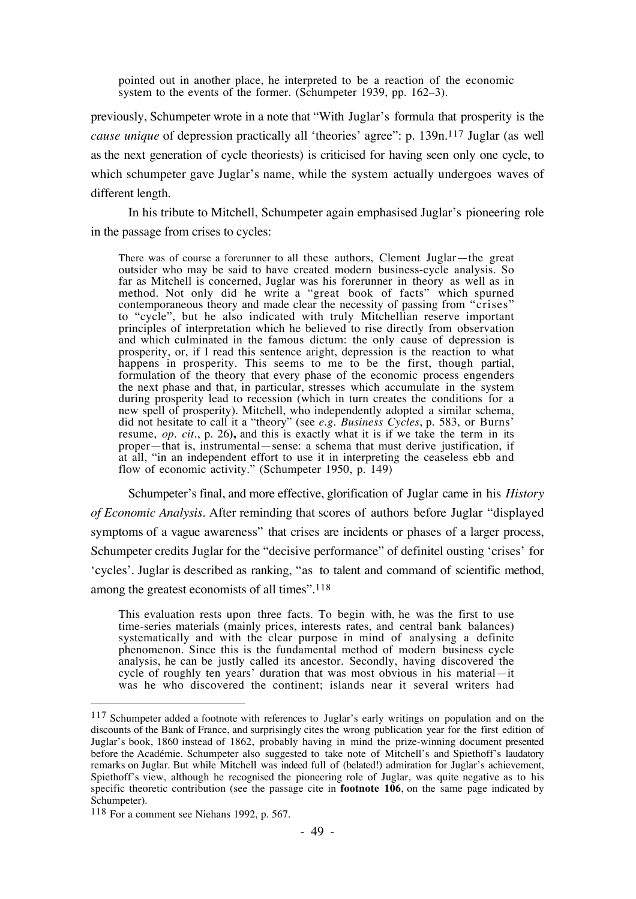pointed out in another place, he interpreted to be a reaction of the economic system to the events of the former. (Schumpeter 1939, pp. 162–3).

previously, Schumpeter wrote in a note that "With Juglar's formula that prosperity is the *cause unique* of depression practically all 'theories' agree": p. 139n.<sup>117</sup> Juglar (as well as the next generation of cycle theoriests) is criticised for having seen only one cycle, to which schumpeter gave Juglar's name, while the system actually undergoes waves of different length.

In his tribute to Mitchell, Schumpeter again emphasised Juglar's pioneering role in the passage from crises to cycles:

There was of course a forerunner to all these authors, Clement Juglar—the great outsider who may be said to have created modern business-cycle analysis. So far as Mitchell is concerned, Juglar was his forerunner in theory as well as in method. Not only did he write a "great book of facts" which spurned contemporaneous theory and made clear the necessity of passing from "crises" to "cycle", but he also indicated with truly Mitchellian reserve important principles of interpretation which he believed to rise directly from observation and which culminated in the famous dictum: the only cause of depression is prosperity, or, if I read this sentence aright, depression is the reaction to what happens in prosperity. This seems to me to be the first, though partial, formulation of the theory that every phase of the economic process engenders the next phase and that, in particular, stresses which accumulate in the system during prosperity lead to recession (which in turn creates the conditions for a new spell of prosperity). Mitchell, who independently adopted a similar schema, did not hesitate to call it a "theory" (see *e.g. Business Cycles*, p. 583, or Burns' resume, *op. cit.*, p. 26**),** and this is exactly what it is if we take the term in its proper—that is, instrumental—sense: a schema that must derive justification, if at all, "in an independent effort to use it in interpreting the ceaseless ebb and flow of economic activity." (Schumpeter 1950, p. 149)

Schumpeter's final, and more effective, glorification of Juglar came in his *History of Economic Analysis*. After reminding that scores of authors before Juglar "displayed symptoms of a vague awareness" that crises are incidents or phases of a larger process, Schumpeter credits Juglar for the "decisive performance" of definitel ousting 'crises' for 'cycles'. Juglar is described as ranking, "as to talent and command of scientific method, among the greatest economists of all times".118

This evaluation rests upon three facts. To begin with, he was the first to use time-series materials (mainly prices, interests rates, and central bank balances) systematically and with the clear purpose in mind of analysing a definite phenomenon. Since this is the fundamental method of modern business cycle analysis, he can be justly called its ancestor. Secondly, having discovered the cycle of roughly ten years' duration that was most obvious in his material—it was he who discovered the continent; islands near it several writers had

<sup>117</sup> Schumpeter added a footnote with references to Juglar's early writings on population and on the discounts of the Bank of France, and surprisingly cites the wrong publication year for the first edition of Juglar's book, 1860 instead of 1862, probably having in mind the prize-winning document presented before the Académie. Schumpeter also suggested to take note of Mitchell's and Spiethoff's laudatory remarks on Juglar. But while Mitchell was indeed full of (belated!) admiration for Juglar's achievement, Spiethoff's view, although he recognised the pioneering role of Juglar, was quite negative as to his specific theoretic contribution (see the passage cite in **footnote 106**, on the same page indicated by Schumpeter).

<sup>118</sup> For a comment see Niehans 1992, p. 567.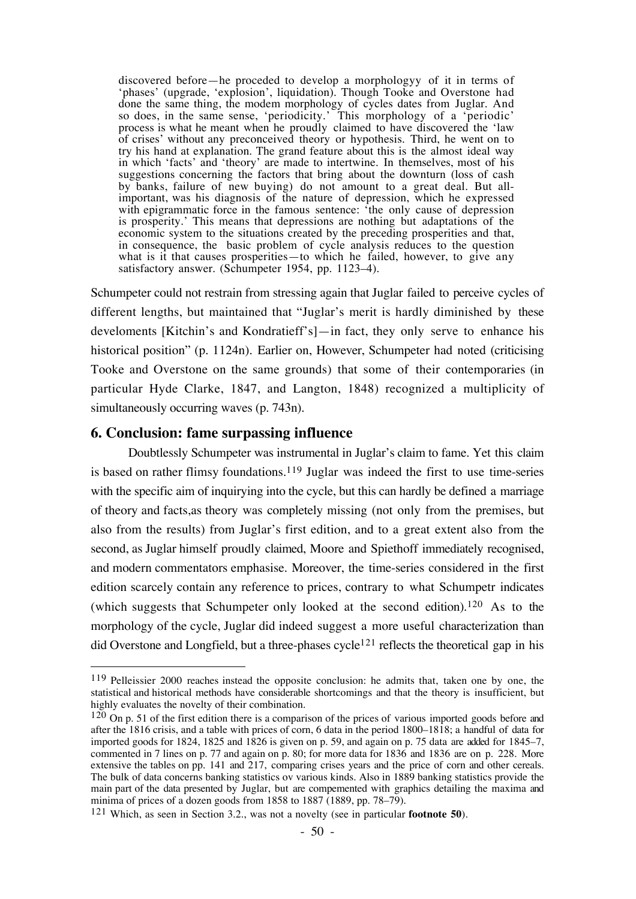discovered before—he proceded to develop a morphologyy of it in terms of 'phases' (upgrade, 'explosion', liquidation). Though Tooke and Overstone had done the same thing, the modem morphology of cycles dates from Juglar. And so does, in the same sense, 'periodicity.' This morphology of a 'periodic' process is what he meant when he proudly claimed to have discovered the 'law of crises' without any preconceived theory or hypothesis. Third, he went on to try his hand at explanation. The grand feature about this is the almost ideal way in which 'facts' and 'theory' are made to intertwine. In themselves, most of his suggestions concerning the factors that bring about the downturn (loss of cash by banks, failure of new buying) do not amount to a great deal. But allimportant, was his diagnosis of the nature of depression, which he expressed with epigrammatic force in the famous sentence: 'the only cause of depression is prosperity.' This means that depressions are nothing but adaptations of the economic system to the situations created by the preceding prosperities and that, in consequence, the basic problem of cycle analysis reduces to the question what is it that causes prosperities—to which he failed, however, to give any satisfactory answer. (Schumpeter 1954, pp. 1123–4).

Schumpeter could not restrain from stressing again that Juglar failed to perceive cycles of different lengths, but maintained that "Juglar's merit is hardly diminished by these develoments [Kitchin's and Kondratieff's]—in fact, they only serve to enhance his historical position" (p. 1124n). Earlier on, However, Schumpeter had noted (criticising Tooke and Overstone on the same grounds) that some of their contemporaries (in particular Hyde Clarke, 1847, and Langton, 1848) recognized a multiplicity of simultaneously occurring waves (p. 743n).

## **6. Conclusion: fame surpassing influence**

 $\overline{a}$ 

Doubtlessly Schumpeter was instrumental in Juglar's claim to fame. Yet this claim is based on rather flimsy foundations.<sup>119</sup> Juglar was indeed the first to use time-series with the specific aim of inquirying into the cycle, but this can hardly be defined a marriage of theory and facts,as theory was completely missing (not only from the premises, but also from the results) from Juglar's first edition, and to a great extent also from the second, as Juglar himself proudly claimed, Moore and Spiethoff immediately recognised, and modern commentators emphasise. Moreover, the time-series considered in the first edition scarcely contain any reference to prices, contrary to what Schumpetr indicates (which suggests that Schumpeter only looked at the second edition).120 As to the morphology of the cycle, Juglar did indeed suggest a more useful characterization than did Overstone and Longfield, but a three-phases cycle<sup>121</sup> reflects the theoretical gap in his

<sup>119</sup> Pelleissier 2000 reaches instead the opposite conclusion: he admits that, taken one by one, the statistical and historical methods have considerable shortcomings and that the theory is insufficient, but highly evaluates the novelty of their combination.

 $120$  On p. 51 of the first edition there is a comparison of the prices of various imported goods before and after the 1816 crisis, and a table with prices of corn, 6 data in the period 1800–1818; a handful of data for imported goods for 1824, 1825 and 1826 is given on p. 59, and again on p. 75 data are added for 1845–7, commented in 7 lines on p. 77 and again on p. 80; for more data for 1836 and 1836 are on p. 228. More extensive the tables on pp. 141 and 217, comparing crises years and the price of corn and other cereals. The bulk of data concerns banking statistics ov various kinds. Also in 1889 banking statistics provide the main part of the data presented by Juglar, but are compemented with graphics detailing the maxima and minima of prices of a dozen goods from 1858 to 1887 (1889, pp. 78–79).

<sup>121</sup> Which, as seen in Section 3.2., was not a novelty (see in particular **footnote 50**).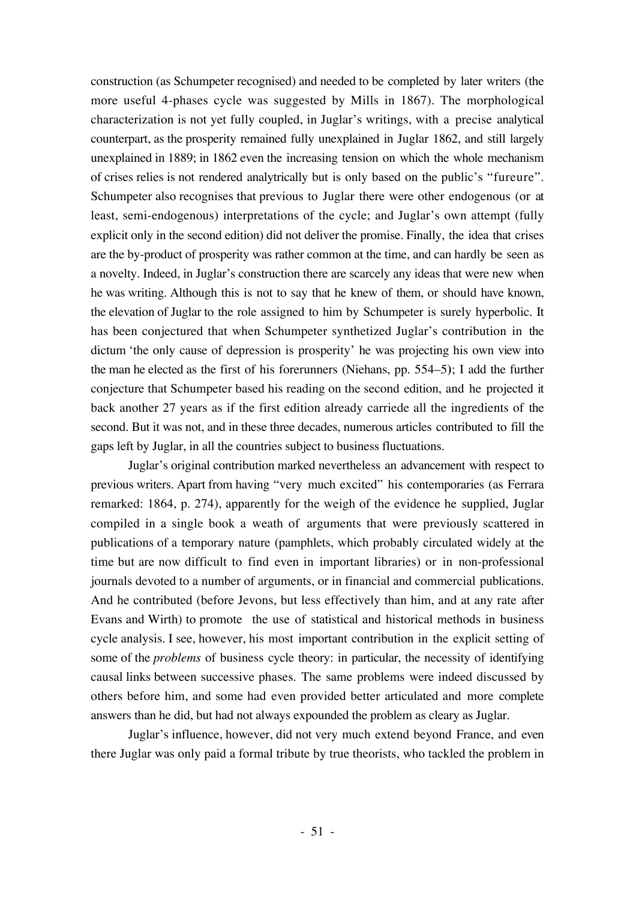construction (as Schumpeter recognised) and needed to be completed by later writers (the more useful 4-phases cycle was suggested by Mills in 1867). The morphological characterization is not yet fully coupled, in Juglar's writings, with a precise analytical counterpart, as the prosperity remained fully unexplained in Juglar 1862, and still largely unexplained in 1889; in 1862 even the increasing tension on which the whole mechanism of crises relies is not rendered analytrically but is only based on the public's "fureure". Schumpeter also recognises that previous to Juglar there were other endogenous (or at least, semi-endogenous) interpretations of the cycle; and Juglar's own attempt (fully explicit only in the second edition) did not deliver the promise. Finally, the idea that crises are the by-product of prosperity was rather common at the time, and can hardly be seen as a novelty. Indeed, in Juglar's construction there are scarcely any ideas that were new when he was writing. Although this is not to say that he knew of them, or should have known, the elevation of Juglar to the role assigned to him by Schumpeter is surely hyperbolic. It has been conjectured that when Schumpeter synthetized Juglar's contribution in the dictum 'the only cause of depression is prosperity' he was projecting his own view into the man he elected as the first of his forerunners (Niehans, pp. 554–5**)**; I add the further conjecture that Schumpeter based his reading on the second edition, and he projected it back another 27 years as if the first edition already carriede all the ingredients of the second. But it was not, and in these three decades, numerous articles contributed to fill the gaps left by Juglar, in all the countries subject to business fluctuations.

Juglar's original contribution marked nevertheless an advancement with respect to previous writers. Apart from having "very much excited" his contemporaries (as Ferrara remarked: 1864, p. 274), apparently for the weigh of the evidence he supplied, Juglar compiled in a single book a weath of arguments that were previously scattered in publications of a temporary nature (pamphlets, which probably circulated widely at the time but are now difficult to find even in important libraries) or in non-professional journals devoted to a number of arguments, or in financial and commercial publications. And he contributed (before Jevons, but less effectively than him, and at any rate after Evans and Wirth) to promote the use of statistical and historical methods in business cycle analysis. I see, however, his most important contribution in the explicit setting of some of the *problems* of business cycle theory: in particular, the necessity of identifying causal links between successive phases. The same problems were indeed discussed by others before him, and some had even provided better articulated and more complete answers than he did, but had not always expounded the problem as cleary as Juglar.

Juglar's influence, however, did not very much extend beyond France, and even there Juglar was only paid a formal tribute by true theorists, who tackled the problem in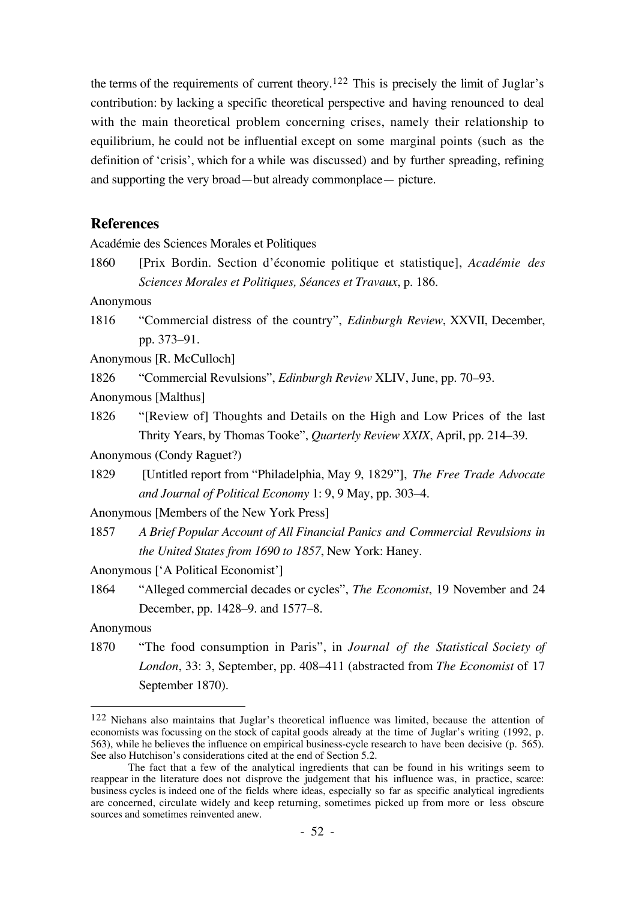the terms of the requirements of current theory.<sup>122</sup> This is precisely the limit of Juglar's contribution: by lacking a specific theoretical perspective and having renounced to deal with the main theoretical problem concerning crises, namely their relationship to equilibrium, he could not be influential except on some marginal points (such as the definition of 'crisis', which for a while was discussed) and by further spreading, refining and supporting the very broad—but already commonplace— picture.

## **References**

Académie des Sciences Morales et Politiques

1860 [Prix Bordin. Section d'économie politique et statistique], *Académie des Sciences Morales et Politiques, Séances et Travaux*, p. 186.

Anonymous

1816 "Commercial distress of the country", *Edinburgh Review*, XXVII, December, pp. 373–91.

Anonymous [R. McCulloch]

1826 "Commercial Revulsions", *Edinburgh Review* XLIV, June, pp. 70–93.

Anonymous [Malthus]

1826 "[Review of] Thoughts and Details on the High and Low Prices of the last Thrity Years, by Thomas Tooke", *Quarterly Review XXIX*, April, pp. 214–39.

Anonymous (Condy Raguet?)

1829 [Untitled report from "Philadelphia, May 9, 1829"], *The Free Trade Advocate and Journal of Political Economy* 1: 9, 9 May, pp. 303–4.

Anonymous [Members of the New York Press]

1857 *A Brief Popular Account of All Financial Panics and Commercial Revulsions in the United States from 1690 to 1857*, New York: Haney.

Anonymous ['A Political Economist']

1864 "Alleged commercial decades or cycles", *The Economist*, 19 November and 24 December, pp. 1428–9. and 1577–8.

Anonymous

 $\overline{a}$ 

1870 "The food consumption in Paris", in *Journal of the Statistical Society of London*, 33: 3, September, pp. 408–411 (abstracted from *The Economist* of 17 September 1870).

<sup>122</sup> Niehans also maintains that Juglar's theoretical influence was limited, because the attention of economists was focussing on the stock of capital goods already at the time of Juglar's writing (1992, p. 563), while he believes the influence on empirical business-cycle research to have been decisive (p. 565). See also Hutchison's considerations cited at the end of Section 5.2.

The fact that a few of the analytical ingredients that can be found in his writings seem to reappear in the literature does not disprove the judgement that his influence was, in practice, scarce: business cycles is indeed one of the fields where ideas, especially so far as specific analytical ingredients are concerned, circulate widely and keep returning, sometimes picked up from more or less obscure sources and sometimes reinvented anew.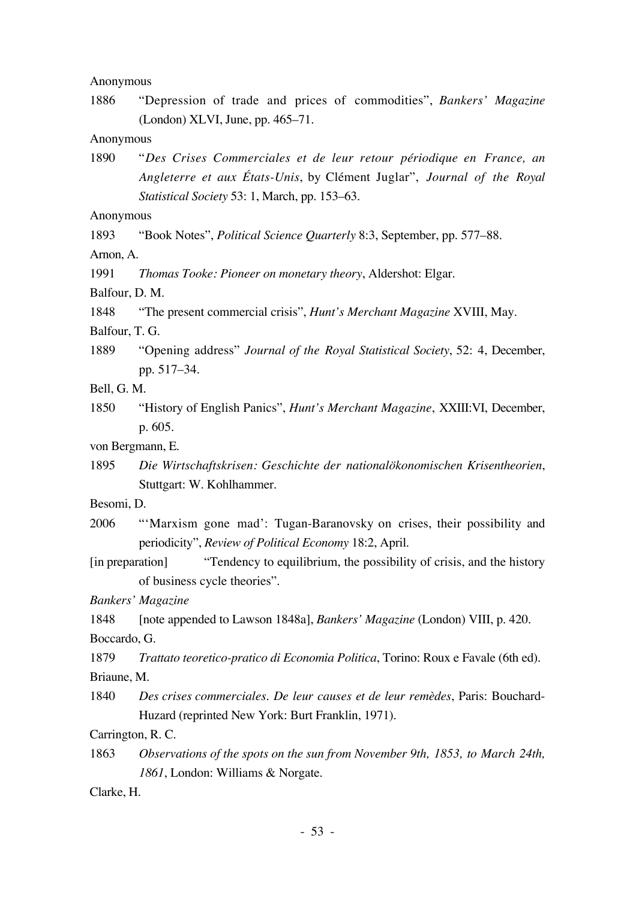#### Anonymous

1886 "Depression of trade and prices of commodities", *Bankers' Magazine* (London) XLVI, June, pp. 465–71.

#### Anonymous

1890 "*Des Crises Commerciales et de leur retour périodique en France, an Angleterre et aux États-Unis*, by Clément Juglar", *Journal of the Royal Statistical Society* 53: 1, March, pp. 153–63.

## Anonymous

1893 "Book Notes", *Political Science Quarterly* 8:3, September, pp. 577–88.

Arnon, A.

1991 *Thomas Tooke: Pioneer on monetary theory*, Aldershot: Elgar.

Balfour, D. M.

1848 "The present commercial crisis", *Hunt's Merchant Magazine* XVIII, May.

Balfour, T. G.

- 1889 "Opening address" *Journal of the Royal Statistical Society*, 52: 4, December, pp. 517–34.
- Bell, G. M.
- 1850 "History of English Panics", *Hunt's Merchant Magazine*, XXIII:VI, December, p. 605.

von Bergmann, E.

1895 *Die Wirtschaftskrisen: Geschichte der nationalökonomischen Krisentheorien*, Stuttgart: W. Kohlhammer.

Besomi, D.

- 2006 "'Marxism gone mad': Tugan-Baranovsky on crises, their possibility and periodicity", *Review of Political Economy* 18:2, April.
- [in preparation] "Tendency to equilibrium, the possibility of crisis, and the history of business cycle theories".

*Bankers' Magazine*

- 1848 [note appended to Lawson 1848a], *Bankers' Magazine* (London) VIII, p. 420. Boccardo, G.
- 1879 *Trattato teoretico-pratico di Economia Politica*, Torino: Roux e Favale (6th ed). Briaune, M.
- 1840 *Des crises commerciales. De leur causes et de leur remèdes*, Paris: Bouchard-Huzard (reprinted New York: Burt Franklin, 1971).

Carrington, R. C.

1863 *Observations of the spots on the sun from November 9th, 1853, to March 24th, 1861*, London: Williams & Norgate.

Clarke, H.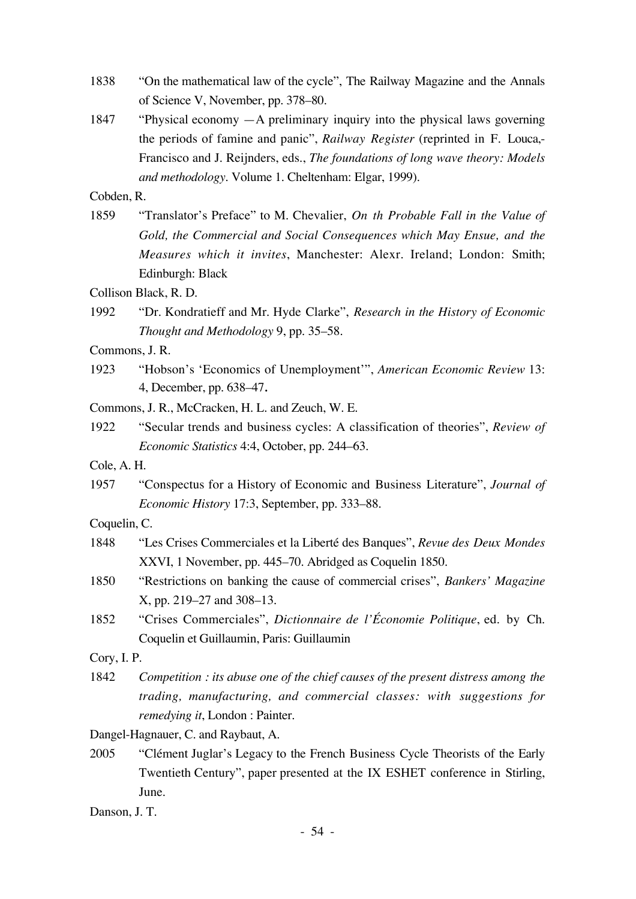- 1838 "On the mathematical law of the cycle", The Railway Magazine and the Annals of Science V, November, pp. 378–80.
- 1847 "Physical economy —A preliminary inquiry into the physical laws governing the periods of famine and panic", *Railway Register* (reprinted in F. Louca,- Francisco and J. Reijnders, eds., *The foundations of long wave theory: Models and methodology*. Volume 1. Cheltenham: Elgar, 1999).

## Cobden, R.

1859 "Translator's Preface" to M. Chevalier, *On th Probable Fall in the Value of Gold, the Commercial and Social Consequences which May Ensue, and the Measures which it invites*, Manchester: Alexr. Ireland; London: Smith; Edinburgh: Black

Collison Black, R. D.

- 1992 "Dr. Kondratieff and Mr. Hyde Clarke", *Research in the History of Economic Thought and Methodology* 9, pp. 35–58.
- Commons, J. R.
- 1923 "Hobson's 'Economics of Unemployment'", *American Economic Review* 13: 4, December, pp. 638–47.

Commons, J. R., McCracken, H. L. and Zeuch, W. E.

- 1922 "Secular trends and business cycles: A classification of theories", *Review of Economic Statistics* 4:4, October, pp. 244–63.
- Cole, A. H.
- 1957 "Conspectus for a History of Economic and Business Literature", *Journal of Economic History* 17:3, September, pp. 333–88.

Coquelin, C.

- 1848 "Les Crises Commerciales et la Liberté des Banques", *Revue des Deux Mondes* XXVI, 1 November, pp. 445–70. Abridged as Coquelin 1850.
- 1850 "Restrictions on banking the cause of commercial crises", *Bankers' Magazine* X, pp. 219–27 and 308–13.
- 1852 "Crises Commerciales", *Dictionnaire de l'Économie Politique*, ed. by Ch. Coquelin et Guillaumin, Paris: Guillaumin

Cory, I. P.

- 1842 *Competition : its abuse one of the chief causes of the present distress among the trading, manufacturing, and commercial classes: with suggestions for remedying it*, London : Painter.
- Dangel-Hagnauer, C. and Raybaut, A.
- 2005 "Clément Juglar's Legacy to the French Business Cycle Theorists of the Early Twentieth Century", paper presented at the IX ESHET conference in Stirling, June.

Danson, J. T.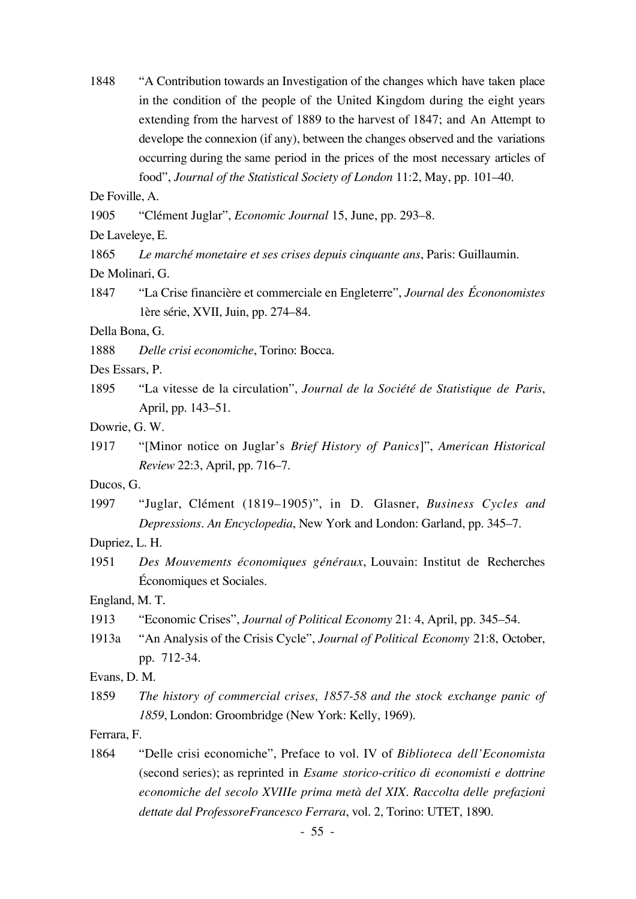1848 "A Contribution towards an Investigation of the changes which have taken place in the condition of the people of the United Kingdom during the eight years extending from the harvest of 1889 to the harvest of 1847; and An Attempt to develope the connexion (if any), between the changes observed and the variations occurring during the same period in the prices of the most necessary articles of food", *Journal of the Statistical Society of London* 11:2, May, pp. 101–40.

De Foville, A.

1905 "Clément Juglar", *Economic Journal* 15, June, pp. 293–8.

De Laveleye, E.

1865 *Le marché monetaire et ses crises depuis cinquante ans*, Paris: Guillaumin.

De Molinari, G.

1847 "La Crise financière et commerciale en Engleterre", *Journal des Écononomistes* 1ère série, XVII, Juin, pp. 274–84.

Della Bona, G.

1888 *Delle crisi economiche*, Torino: Bocca.

Des Essars, P.

1895 "La vitesse de la circulation", *Journal de la Société de Statistique de Paris*, April, pp. 143–51.

Dowrie, G. W.

1917 "[Minor notice on Juglar's *Brief History of Panics*]", *American Historical Review* 22:3, April, pp. 716–7.

Ducos, G.

1997 "Juglar, Clément (1819–1905)", in D. Glasner, *Business Cycles and Depressions. An Encyclopedia*, New York and London: Garland, pp. 345–7.

Dupriez, L. H.

1951 *Des Mouvements économiques généraux*, Louvain: Institut de Recherches Économiques et Sociales.

England, M. T.

- 1913 "Economic Crises", *Journal of Political Economy* 21: 4, April, pp. 345–54.
- 1913a "An Analysis of the Crisis Cycle", *Journal of Political Economy* 21:8, October, pp. 712-34.

Evans, D. M.

1859 *The history of commercial crises, 1857-58 and the stock exchange panic of 1859*, London: Groombridge (New York: Kelly, 1969).

Ferrara, F.

1864 "Delle crisi economiche", Preface to vol. IV of *Biblioteca dell'Economista* (second series); as reprinted in *Esame storico-critico di economisti e dottrine economiche del secolo XVIIIe prima metà del XIX. Raccolta delle prefazioni dettate dal ProfessoreFrancesco Ferrara*, vol. 2, Torino: UTET, 1890.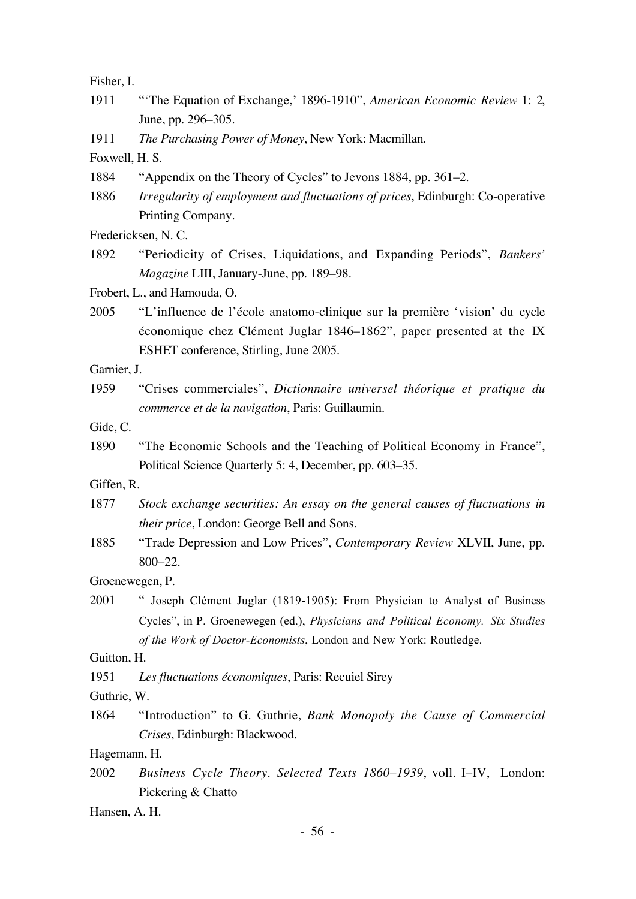Fisher, I.

- 1911 "'The Equation of Exchange,' 1896-1910", *American Economic Review* 1: 2, June, pp. 296–305.
- 1911 *The Purchasing Power of Money*, New York: Macmillan.

Foxwell, H. S.

- 1884 "Appendix on the Theory of Cycles" to Jevons 1884, pp. 361–2.
- 1886 *Irregularity of employment and fluctuations of prices*, Edinburgh: Co-operative Printing Company.

Fredericksen, N. C.

1892 "Periodicity of Crises, Liquidations, and Expanding Periods", *Bankers' Magazine* LIII, January-June, pp. 189–98.

Frobert, L., and Hamouda, O.

2005 "L'influence de l'école anatomo-clinique sur la première 'vision' du cycle économique chez Clément Juglar 1846–1862", paper presented at the IX ESHET conference, Stirling, June 2005.

Garnier, J.

1959 "Crises commerciales", *Dictionnaire universel théorique et pratique du commerce et de la navigation*, Paris: Guillaumin.

Gide, C.

1890 "The Economic Schools and the Teaching of Political Economy in France", Political Science Quarterly 5: 4, December, pp. 603–35.

Giffen, R.

- 1877 *Stock exchange securities: An essay on the general causes of fluctuations in their price*, London: George Bell and Sons.
- 1885 "Trade Depression and Low Prices", *Contemporary Review* XLVII, June, pp. 800–22.

Groenewegen, P.

2001 " Joseph Clément Juglar (1819-1905): From Physician to Analyst of Business Cycles", in P. Groenewegen (ed.), *Physicians and Political Economy. Six Studies of the Work of Doctor-Economists*, London and New York: Routledge.

Guitton, H.

1951 *Les fluctuations économiques*, Paris: Recuiel Sirey

Guthrie, W.

1864 "Introduction" to G. Guthrie, *Bank Monopoly the Cause of Commercial Crises*, Edinburgh: Blackwood.

Hagemann, H.

2002 *Business Cycle Theory. Selected Texts 1860–1939*, voll. I–IV, London: Pickering & Chatto

Hansen, A. H.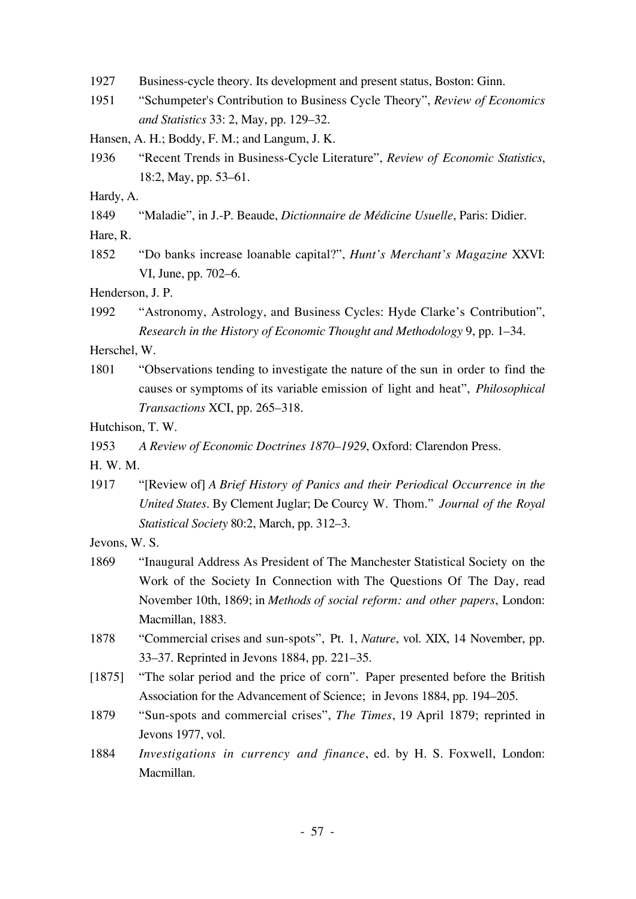- 1927 Business-cycle theory. Its development and present status, Boston: Ginn.
- 1951 "Schumpeter's Contribution to Business Cycle Theory", *Review of Economics and Statistics* 33: 2, May, pp. 129–32.

Hansen, A. H.; Boddy, F. M.; and Langum, J. K.

1936 "Recent Trends in Business-Cycle Literature", *Review of Economic Statistics*, 18:2, May, pp. 53–61.

Hardy, A.

1849 "Maladie", in J.-P. Beaude, *Dictionnaire de Médicine Usuelle*, Paris: Didier.

Hare, R.

1852 "Do banks increase loanable capital?", *Hunt's Merchant's Magazine* XXVI: VI, June, pp. 702–6.

Henderson, J. P.

1992 "Astronomy, Astrology, and Business Cycles: Hyde Clarke's Contribution", *Research in the History of Economic Thought and Methodology* 9, pp. 1–34.

Herschel, W.

1801 "Observations tending to investigate the nature of the sun in order to find the causes or symptoms of its variable emission of light and heat", *Philosophical Transactions* XCI, pp. 265–318.

Hutchison, T. W.

1953 *A Review of Economic Doctrines 1870–1929*, Oxford: Clarendon Press.

H. W. M.

1917 "[Review of] *A Brief History of Panics and their Periodical Occurrence in the United States*. By Clement Juglar; De Courcy W. Thom." *Journal of the Royal Statistical Society* 80:2, March, pp. 312–3.

Jevons, W. S.

- 1869 "Inaugural Address As President of The Manchester Statistical Society on the Work of the Society In Connection with The Questions Of The Day, read November 10th, 1869; in *Methods of social reform: and other papers*, London: Macmillan, 1883.
- 1878 "Commercial crises and sun-spots", Pt. 1, *Nature*, vol. XIX, 14 November, pp. 33–37. Reprinted in Jevons 1884, pp. 221–35.
- [1875] "The solar period and the price of corn". Paper presented before the British Association for the Advancement of Science; in Jevons 1884, pp. 194–205.
- 1879 "Sun-spots and commercial crises", *The Times*, 19 April 1879; reprinted in Jevons 1977, vol.
- 1884 *Investigations in currency and finance*, ed. by H. S. Foxwell, London: Macmillan.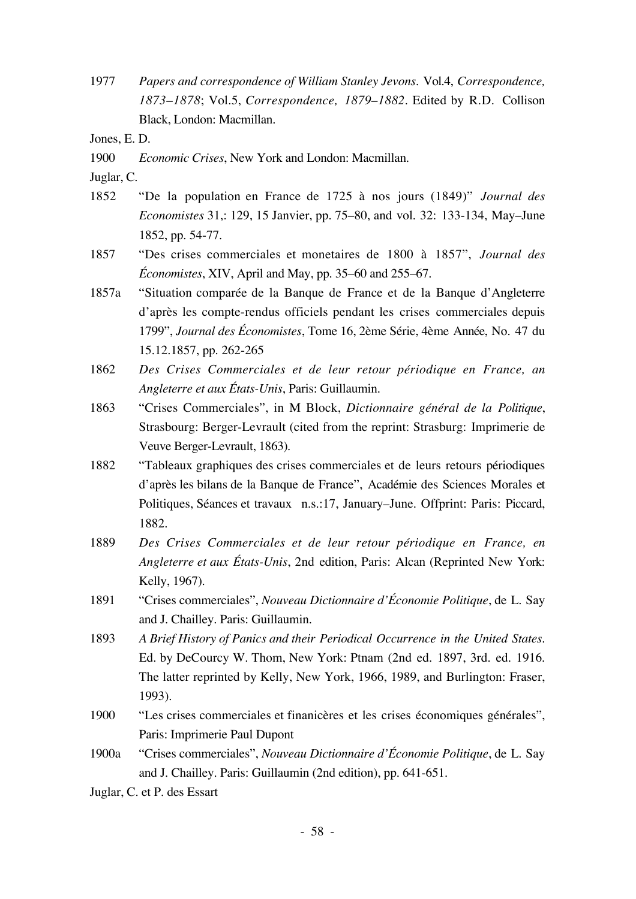1977 *Papers and correspondence of William Stanley Jevons*. Vol.4, *Correspondence, 1873–1878*; Vol.5, *Correspondence, 1879–1882*. Edited by R.D. Collison Black, London: Macmillan.

Jones, E. D.

1900 *Economic Crises*, New York and London: Macmillan.

Juglar, C.

- 1852 "De la population en France de 1725 à nos jours (1849)" *Journal des Economistes* 31,: 129, 15 Janvier, pp. 75–80, and vol. 32: 133-134, May–June 1852, pp. 54-77.
- 1857 "Des crises commerciales et monetaires de 1800 à 1857", *Journal des Économistes*, XIV, April and May, pp. 35–60 and 255–67.
- 1857a "Situation comparée de la Banque de France et de la Banque d'Angleterre d'après les compte-rendus officiels pendant les crises commerciales depuis 1799", *Journal des Économistes*, Tome 16, 2ème Série, 4ème Année, No. 47 du 15.12.1857, pp. 262-265
- 1862 *Des Crises Commerciales et de leur retour périodique en France, an Angleterre et aux États-Unis*, Paris: Guillaumin.
- 1863 "Crises Commerciales", in M Block, *Dictionnaire général de la Politique*, Strasbourg: Berger-Levrault (cited from the reprint: Strasburg: Imprimerie de Veuve Berger-Levrault, 1863).
- 1882 "Tableaux graphiques des crises commerciales et de leurs retours périodiques d'après les bilans de la Banque de France", Académie des Sciences Morales et Politiques, Séances et travaux n.s.:17, January–June. Offprint: Paris: Piccard, 1882.
- 1889 *Des Crises Commerciales et de leur retour périodique en France, en Angleterre et aux États-Unis*, 2nd edition, Paris: Alcan (Reprinted New York: Kelly, 1967).
- 1891 "Crises commerciales", *Nouveau Dictionnaire d'Économie Politique*, de L. Say and J. Chailley. Paris: Guillaumin.
- 1893 *A Brief History of Panics and their Periodical Occurrence in the United States*. Ed. by DeCourcy W. Thom, New York: Ptnam (2nd ed. 1897, 3rd. ed. 1916. The latter reprinted by Kelly, New York, 1966, 1989, and Burlington: Fraser, 1993).
- 1900 "Les crises commerciales et finanicères et les crises économiques générales", Paris: Imprimerie Paul Dupont
- 1900a "Crises commerciales", *Nouveau Dictionnaire d'Économie Politique*, de L. Say and J. Chailley. Paris: Guillaumin (2nd edition), pp. 641-651.

Juglar, C. et P. des Essart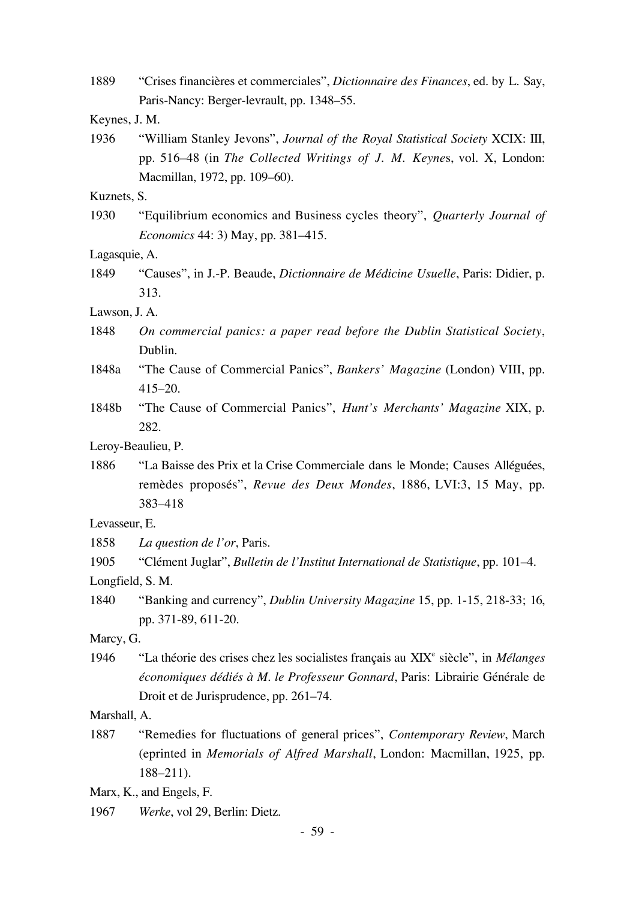- 1889 "Crises financières et commerciales", *Dictionnaire des Finances*, ed. by L. Say, Paris-Nancy: Berger-levrault, pp. 1348–55.
- Keynes, J. M.
- 1936 "William Stanley Jevons", *Journal of the Royal Statistical Society* XCIX: III, pp. 516–48 (in *The Collected Writings of J. M. Keyne*s, vol. X, London: Macmillan, 1972, pp. 109–60).

## Kuznets, S.

1930 "Equilibrium economics and Business cycles theory", *Quarterly Journal of Economics* 44: 3) May, pp. 381–415.

#### Lagasquie, A.

1849 "Causes", in J.-P. Beaude, *Dictionnaire de Médicine Usuelle*, Paris: Didier, p. 313.

### Lawson, J. A.

- 1848 *On commercial panics: a paper read before the Dublin Statistical Society*, Dublin.
- 1848a "The Cause of Commercial Panics", *Bankers' Magazine* (London) VIII, pp. 415–20.
- 1848b "The Cause of Commercial Panics", *Hunt's Merchants' Magazine* XIX, p. 282.

Leroy-Beaulieu, P.

1886 "La Baisse des Prix et la Crise Commerciale dans le Monde; Causes Alléguées, remèdes proposés", *Revue des Deux Mondes*, 1886, LVI:3, 15 May, pp. 383–418

Levasseur, E.

1858 *La question de l'or*, Paris.

1840 "Banking and currency", *Dublin University Magazine* 15, pp. 1-15, 218-33; 16, pp. 371-89, 611-20.

Marcy, G.

1946 "La théorie des crises chez les socialistes français au XIX<sup>e</sup> siècle", in *Mélanges économiques dédiés à M. le Professeur Gonnard*, Paris: Librairie Générale de Droit et de Jurisprudence, pp. 261–74.

Marshall, A.

1887 "Remedies for fluctuations of general prices", *Contemporary Review*, March (eprinted in *Memorials of Alfred Marshall*, London: Macmillan, 1925, pp. 188–211).

Marx, K., and Engels, F.

1967 *Werke*, vol 29, Berlin: Dietz.

<sup>1905</sup> "Clément Juglar", *Bulletin de l'Institut International de Statistique*, pp. 101–4. Longfield, S. M.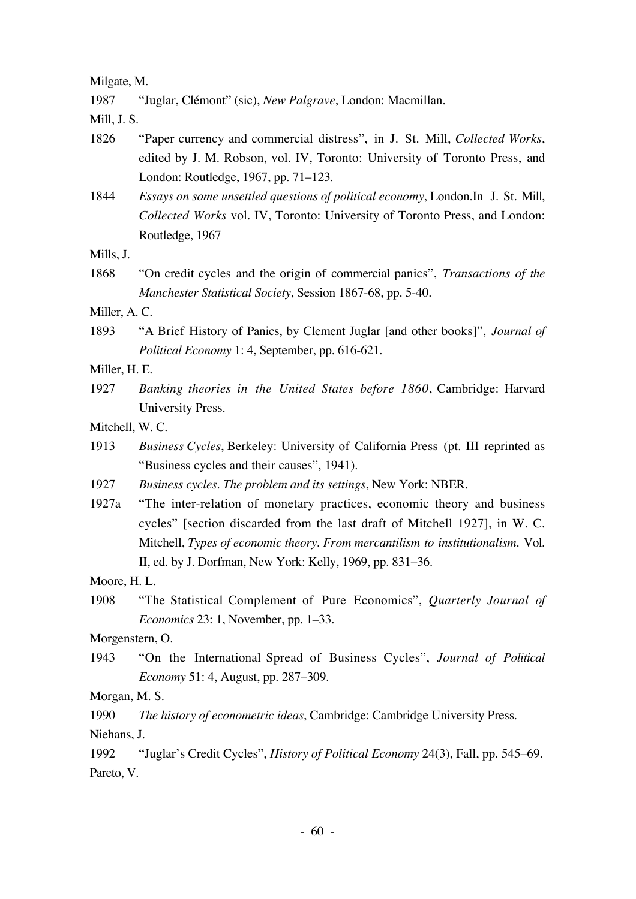Milgate, M.

1987 "Juglar, Clémont" (sic), *New Palgrave*, London: Macmillan.

Mill, J. S.

- 1826 "Paper currency and commercial distress", in J. St. Mill, *Collected Works*, edited by J. M. Robson, vol. IV, Toronto: University of Toronto Press, and London: Routledge, 1967, pp. 71–123.
- 1844 *Essays on some unsettled questions of political economy*, London.In J. St. Mill, *Collected Works* vol. IV, Toronto: University of Toronto Press, and London: Routledge, 1967

Mills, J.

1868 "On credit cycles and the origin of commercial panics", *Transactions of the Manchester Statistical Society*, Session 1867-68, pp. 5-40.

Miller, A. C.

1893 "A Brief History of Panics, by Clement Juglar [and other books]", *Journal of Political Economy* 1: 4, September, pp. 616-621.

Miller, H. E.

1927 *Banking theories in the United States before 1860*, Cambridge: Harvard University Press.

Mitchell, W. C.

- 1913 *Business Cycles*, Berkeley: University of California Press (pt. III reprinted as "Business cycles and their causes", 1941).
- 1927 *Business cycles. The problem and its settings*, New York: NBER.
- 1927a "The inter-relation of monetary practices, economic theory and business cycles" [section discarded from the last draft of Mitchell 1927], in W. C. Mitchell, *Types of economic theory. From mercantilism to institutionalism*. Vol. II, ed. by J. Dorfman, New York: Kelly, 1969, pp. 831–36.

Moore, H. L.

1908 "The Statistical Complement of Pure Economics", *Quarterly Journal of Economics* 23: 1, November, pp. 1–33.

Morgenstern, O.

1943 "On the International Spread of Business Cycles", *Journal of Political Economy* 51: 4, August, pp. 287–309.

Morgan, M. S.

1990 *The history of econometric ideas*, Cambridge: Cambridge University Press. Niehans, J.

1992 "Juglar's Credit Cycles", *History of Political Economy* 24(3), Fall, pp. 545–69. Pareto, V.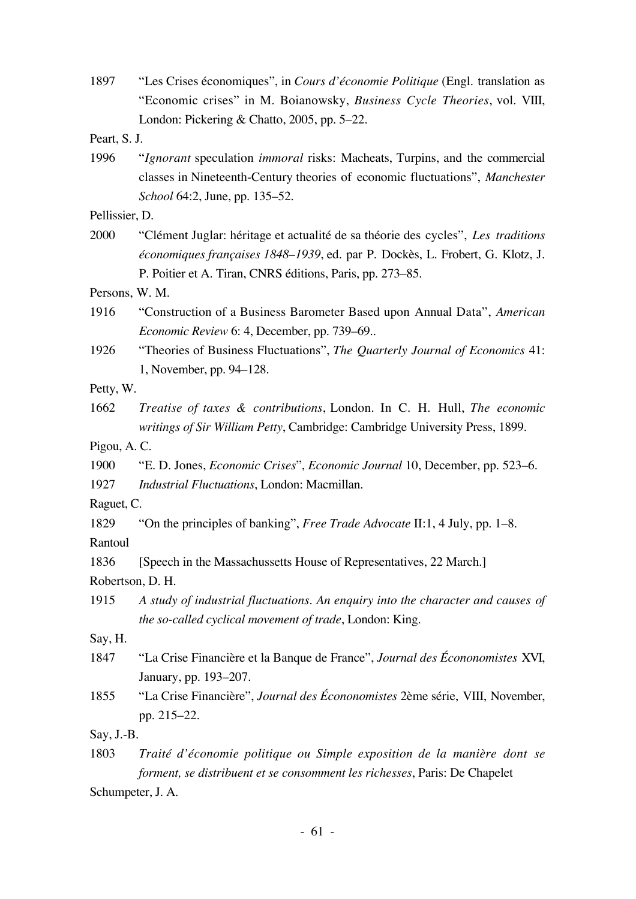1897 "Les Crises économiques", in *Cours d'économie Politique* (Engl. translation as "Economic crises" in M. Boianowsky, *Business Cycle Theories*, vol. VIII, London: Pickering & Chatto, 2005, pp. 5–22.

Peart, S. J.

1996 "*Ignorant* speculation *immoral* risks: Macheats, Turpins, and the commercial classes in Nineteenth-Century theories of economic fluctuations", *Manchester School* 64:2, June, pp. 135–52.

Pellissier, D.

2000 "Clément Juglar: héritage et actualité de sa théorie des cycles", *Les traditions économiques françaises 1848–1939*, ed. par P. Dockès, L. Frobert, G. Klotz, J. P. Poitier et A. Tiran, CNRS éditions, Paris, pp. 273–85.

Persons, W. M.

- 1916 "Construction of a Business Barometer Based upon Annual Data", *American Economic Review* 6: 4, December, pp. 739–69..
- 1926 "Theories of Business Fluctuations", *The Quarterly Journal of Economics* 41: 1, November, pp. 94–128.

Petty, W.

1662 *Treatise of taxes & contributions*, London. In C. H. Hull, *The economic writings of Sir William Petty*, Cambridge: Cambridge University Press, 1899.

Pigou, A. C.

- 1900 "E. D. Jones, *Economic Crises*", *Economic Journal* 10, December, pp. 523–6.
- 1927 *Industrial Fluctuations*, London: Macmillan.

Raguet, C.

1829 "On the principles of banking", *Free Trade Advocate* II:1, 4 July, pp. 1–8. Rantoul

1836 [Speech in the Massachussetts House of Representatives, 22 March.]

Robertson, D. H.

1915 *A study of industrial fluctuations. An enquiry into the character and causes of the so-called cyclical movement of trade*, London: King.

Say, H.

- 1847 "La Crise Financière et la Banque de France", *Journal des Écononomistes* XVI, January, pp. 193–207.
- 1855 "La Crise Financière", *Journal des Écononomistes* 2ème série, VIII, November, pp. 215–22.

Say, J.-B.

1803 *Traité d'économie politique ou Simple exposition de la manière dont se forment, se distribuent et se consomment les richesses*, Paris: De Chapelet

Schumpeter, J. A.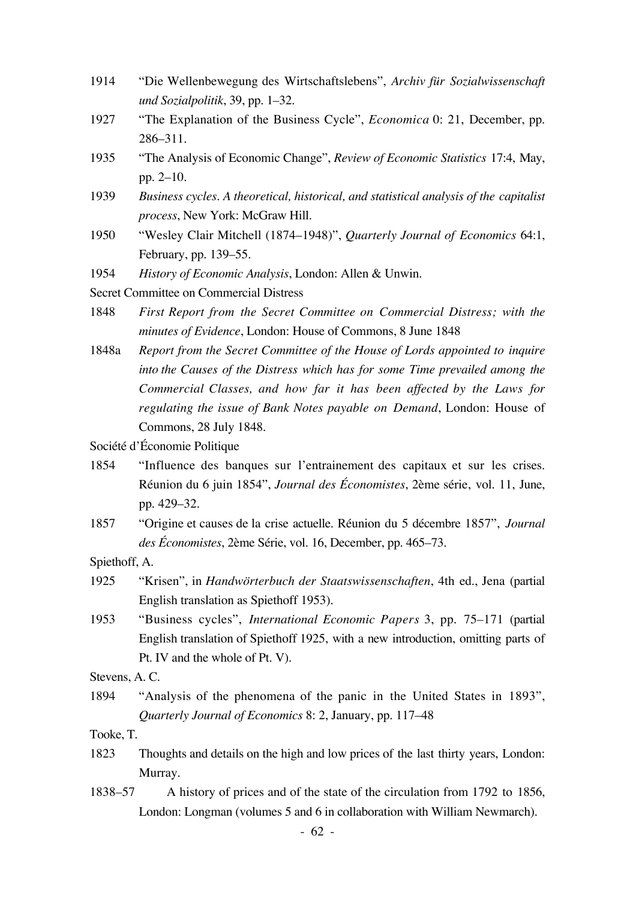- 1914 "Die Wellenbewegung des Wirtschaftslebens", *Archiv für Sozialwissenschaft und Sozialpolitik*, 39, pp. 1–32.
- 1927 "The Explanation of the Business Cycle", *Economica* 0: 21, December, pp. 286–311.
- 1935 "The Analysis of Economic Change", *Review of Economic Statistics* 17:4, May, pp. 2–10.
- 1939 *Business cycles. A theoretical, historical, and statistical analysis of the capitalist process*, New York: McGraw Hill.
- 1950 "Wesley Clair Mitchell (1874–1948)", *Quarterly Journal of Economics* 64:1, February, pp. 139–55.
- 1954 *History of Economic Analysis*, London: Allen & Unwin.

Secret Committee on Commercial Distress

- 1848 *First Report from the Secret Committee on Commercial Distress; with the minutes of Evidence*, London: House of Commons, 8 June 1848
- 1848a *Report from the Secret Committee of the House of Lords appointed to inquire into the Causes of the Distress which has for some Time prevailed among the Commercial Classes, and how far it has been affected by the Laws for regulating the issue of Bank Notes payable on Demand*, London: House of Commons, 28 July 1848.
- Société d'Économie Politique
- 1854 "Influence des banques sur l'entrainement des capitaux et sur les crises. Réunion du 6 juin 1854", *Journal des Économistes*, 2ème série, vol. 11, June, pp. 429–32.
- 1857 "Origine et causes de la crise actuelle. Réunion du 5 décembre 1857", *Journal des Économistes*, 2ème Série, vol. 16, December, pp. 465–73.

Spiethoff, A.

- 1925 "Krisen", in *Handwörterbuch der Staatswissenschaften*, 4th ed., Jena (partial English translation as Spiethoff 1953).
- 1953 "Business cycles", *International Economic Papers* 3, pp. 75–171 (partial English translation of Spiethoff 1925, with a new introduction, omitting parts of Pt. IV and the whole of Pt. V).

Stevens, A. C.

1894 "Analysis of the phenomena of the panic in the United States in 1893", *Quarterly Journal of Economics* 8: 2, January, pp. 117–48

Tooke, T.

- 1823 Thoughts and details on the high and low prices of the last thirty years, London: Murray.
- 1838–57 A history of prices and of the state of the circulation from 1792 to 1856, London: Longman (volumes 5 and 6 in collaboration with William Newmarch).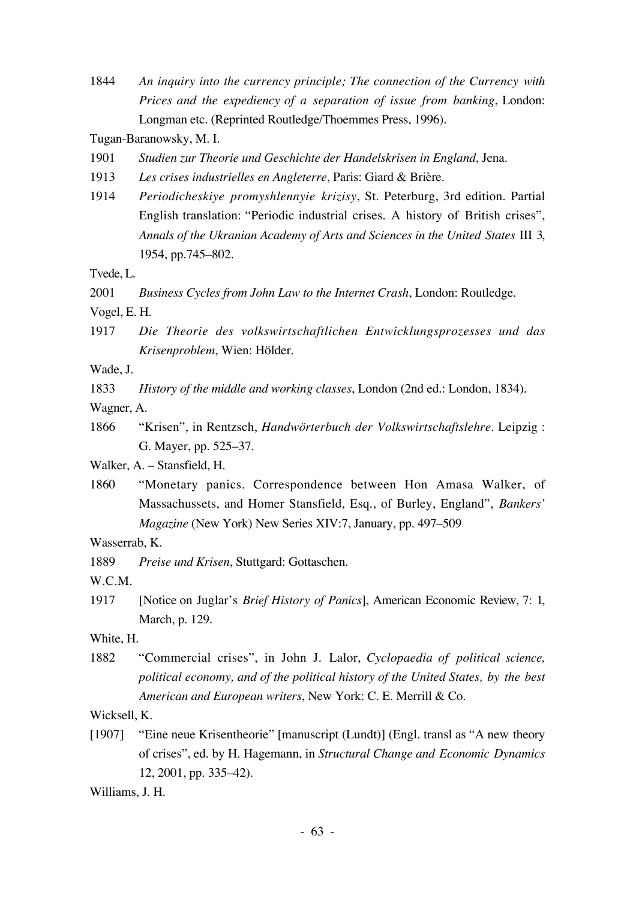1844 *An inquiry into the currency principle; The connection of the Currency with Prices and the expediency of a separation of issue from banking*, London: Longman etc. (Reprinted Routledge/Thoemmes Press, 1996).

Tugan-Baranowsky, M. I.

- 1901 *Studien zur Theorie und Geschichte der Handelskrisen in England*, Jena.
- 1913 *Les crises industrielles en Angleterre*, Paris: Giard & Brière.
- 1914 *Periodicheskiye promyshlennyie krizisy*, St. Peterburg, 3rd edition. Partial English translation: "Periodic industrial crises. A history of British crises", *Annals of the Ukranian Academy of Arts and Sciences in the United States* III 3, 1954, pp.745–802.

Tvede, L.

2001 *Business Cycles from John Law to the Internet Crash*, London: Routledge.

Vogel, E. H.

1917 *Die Theorie des volkswirtschaftlichen Entwicklungsprozesses und das Krisenproblem*, Wien: Hölder.

Wade, J.

1833 *History of the middle and working classes*, London (2nd ed.: London, 1834).

Wagner, A.

1866 "Krisen", in Rentzsch, *Handwörterbuch der Volkswirtschaftslehre*. Leipzig : G. Mayer, pp. 525–37.

Walker, A. – Stansfield, H.

1860 "Monetary panics. Correspondence between Hon Amasa Walker, of Massachussets, and Homer Stansfield, Esq., of Burley, England", *Bankers' Magazine* (New York) New Series XIV:7, January, pp. 497–509

Wasserrab, K.

1889 *Preise und Krisen*, Stuttgard: Gottaschen.

W.C.M.

1917 [Notice on Juglar's *Brief History of Panics*], American Economic Review, 7: 1, March, p. 129.

White, H.

1882 "Commercial crises", in John J. Lalor, *Cyclopaedia of political science, political economy, and of the political history of the United States, by the best American and European writers*, New York: C. E. Merrill & Co.

Wicksell, K.

[1907] "Eine neue Krisentheorie" [manuscript (Lundt)] (Engl. transl as "A new theory of crises", ed. by H. Hagemann, in *Structural Change and Economic Dynamics* 12, 2001, pp. 335–42).

Williams, J. H.